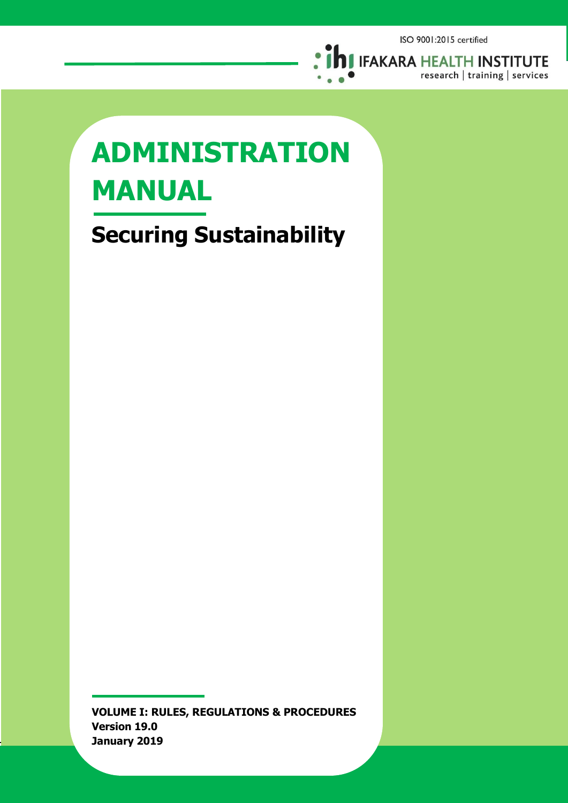

# **ADMINISTRATION MANUAL**

**Securing Sustainability**

**VOLUME I: RULES, REGULATIONS & PROCEDURES Version 19.0 January 2019**

Volume 1: Rules, Regulations & Procedures **Page i**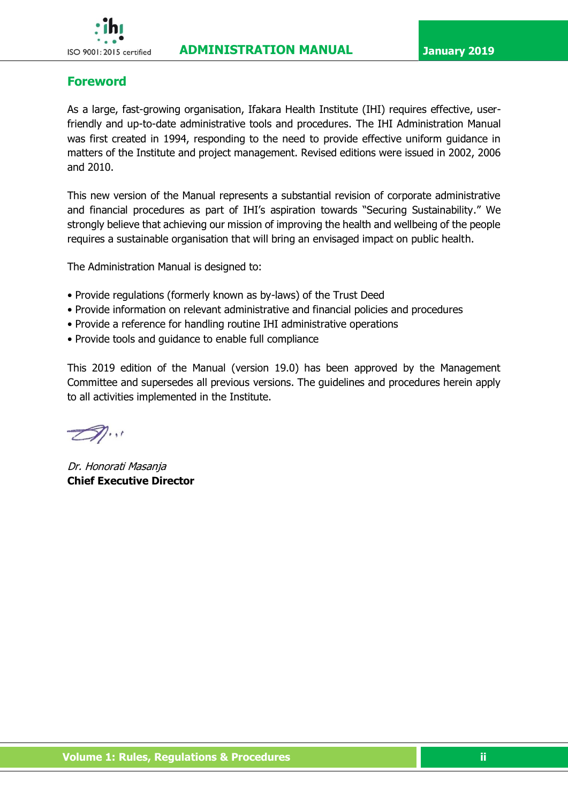# <span id="page-1-0"></span>**Foreword**

As a large, fast-growing organisation, Ifakara Health Institute (IHI) requires effective, userfriendly and up-to-date administrative tools and procedures. The IHI Administration Manual was first created in 1994, responding to the need to provide effective uniform guidance in matters of the Institute and project management. Revised editions were issued in 2002, 2006 and 2010.

This new version of the Manual represents a substantial revision of corporate administrative and financial procedures as part of IHI's aspiration towards "Securing Sustainability." We strongly believe that achieving our mission of improving the health and wellbeing of the people requires a sustainable organisation that will bring an envisaged impact on public health.

The Administration Manual is designed to:

- Provide regulations (formerly known as by-laws) of the Trust Deed
- Provide information on relevant administrative and financial policies and procedures
- Provide a reference for handling routine IHI administrative operations
- Provide tools and guidance to enable full compliance

This 2019 edition of the Manual (version 19.0) has been approved by the Management Committee and supersedes all previous versions. The guidelines and procedures herein apply to all activities implemented in the Institute.

 $\mathscr{D}_{\cdot}$ 

Dr. Honorati Masanja **Chief Executive Director**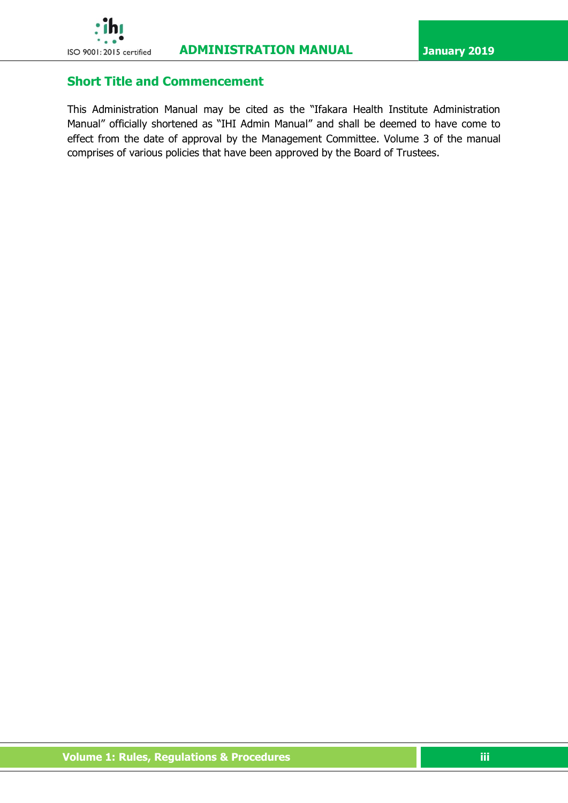# <span id="page-2-0"></span>**Short Title and Commencement**

This Administration Manual may be cited as the "Ifakara Health Institute Administration Manual" officially shortened as "IHI Admin Manual" and shall be deemed to have come to effect from the date of approval by the Management Committee. Volume 3 of the manual comprises of various policies that have been approved by the Board of Trustees.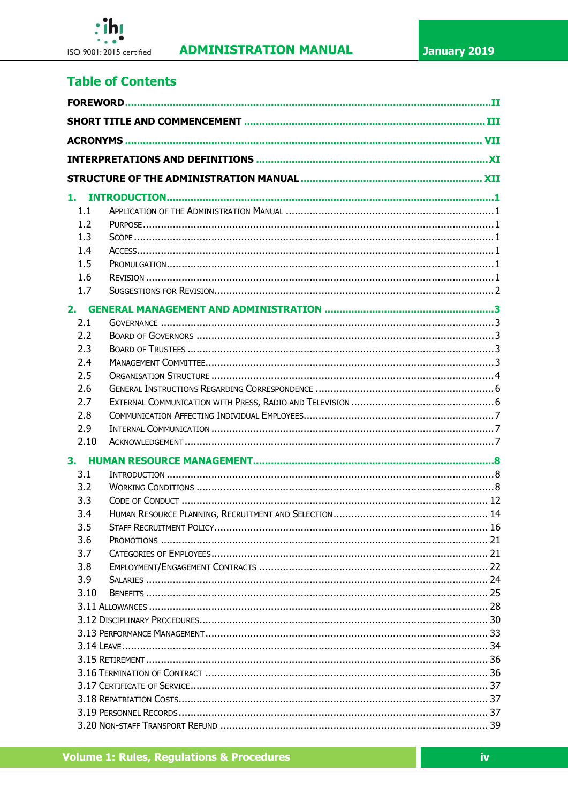

# **Table of Contents**

| 1.1  |     |  |  |
|------|-----|--|--|
| 1.2  |     |  |  |
| 1.3  |     |  |  |
| 1.4  |     |  |  |
| 1.5  |     |  |  |
| 1.6  |     |  |  |
| 1.7  |     |  |  |
| 2.   |     |  |  |
| 2.1  |     |  |  |
| 2.2  |     |  |  |
| 2.3  |     |  |  |
| 2.4  |     |  |  |
| 2.5  |     |  |  |
| 2.6  |     |  |  |
| 2.7  |     |  |  |
| 2.8  |     |  |  |
| 2.9  |     |  |  |
| 2.10 |     |  |  |
| 3.   |     |  |  |
| 3.1  |     |  |  |
| 3.2  |     |  |  |
| 3.3  |     |  |  |
| 3.4  |     |  |  |
| 3.5  |     |  |  |
| 3.6  |     |  |  |
| 3.7  |     |  |  |
|      | 3.8 |  |  |
|      | 3.9 |  |  |
| 3.10 |     |  |  |
|      |     |  |  |
|      |     |  |  |
|      |     |  |  |
|      |     |  |  |
|      |     |  |  |
|      |     |  |  |
|      |     |  |  |
|      |     |  |  |
|      |     |  |  |
|      |     |  |  |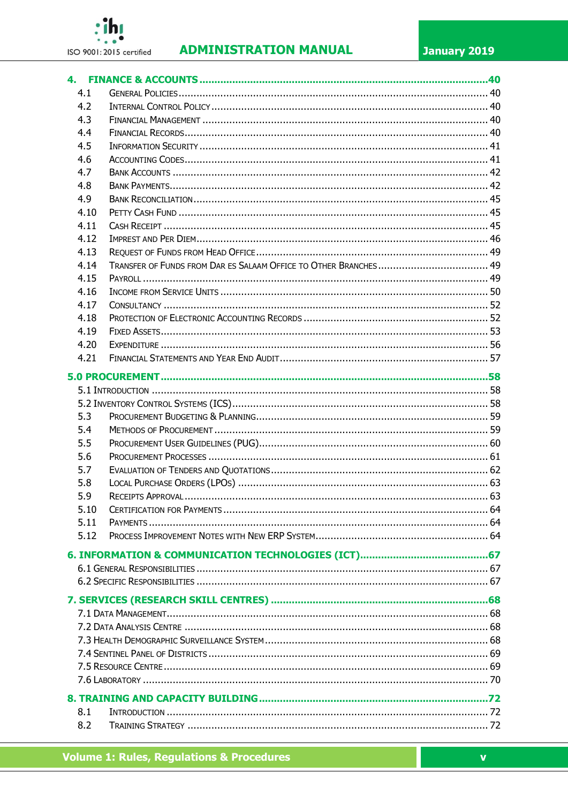

# **ADMINISTRATION MANUAL**

| 4.1  |  |  |  |
|------|--|--|--|
| 4.2  |  |  |  |
| 4.3  |  |  |  |
| 4.4  |  |  |  |
| 4.5  |  |  |  |
| 4.6  |  |  |  |
| 4.7  |  |  |  |
| 4.8  |  |  |  |
| 4.9  |  |  |  |
| 4.10 |  |  |  |
| 4.11 |  |  |  |
| 4.12 |  |  |  |
| 4.13 |  |  |  |
| 4.14 |  |  |  |
| 4.15 |  |  |  |
| 4.16 |  |  |  |
| 4.17 |  |  |  |
| 4.18 |  |  |  |
| 4.19 |  |  |  |
| 4.20 |  |  |  |
| 4.21 |  |  |  |
|      |  |  |  |
|      |  |  |  |
|      |  |  |  |
| 5.3  |  |  |  |
| 5.4  |  |  |  |
| 5.5  |  |  |  |
| 5.6  |  |  |  |
| 5.7  |  |  |  |
| 5.8  |  |  |  |
| 5.9  |  |  |  |
| 5.10 |  |  |  |
| 5.11 |  |  |  |
| 5.12 |  |  |  |
|      |  |  |  |
|      |  |  |  |
|      |  |  |  |
|      |  |  |  |
|      |  |  |  |
|      |  |  |  |
|      |  |  |  |
|      |  |  |  |
|      |  |  |  |
|      |  |  |  |
|      |  |  |  |
|      |  |  |  |
| 8.1  |  |  |  |
| 8.2  |  |  |  |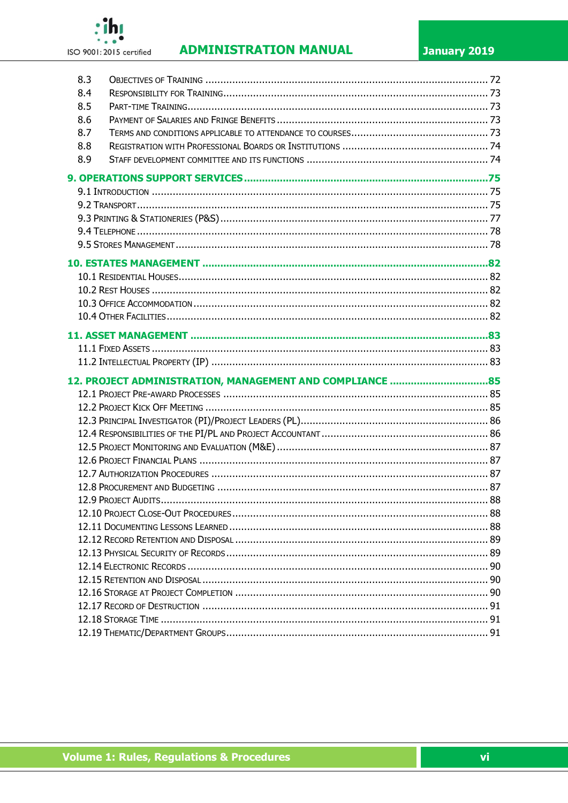

# **ADMINISTRATION MANUAL**

| 8.3 |  |  |  |  |  |
|-----|--|--|--|--|--|
| 8.4 |  |  |  |  |  |
| 8.5 |  |  |  |  |  |
| 8.6 |  |  |  |  |  |
| 8.7 |  |  |  |  |  |
| 8.8 |  |  |  |  |  |
| 8.9 |  |  |  |  |  |
|     |  |  |  |  |  |
|     |  |  |  |  |  |
|     |  |  |  |  |  |
|     |  |  |  |  |  |
|     |  |  |  |  |  |
|     |  |  |  |  |  |
|     |  |  |  |  |  |
|     |  |  |  |  |  |
|     |  |  |  |  |  |
|     |  |  |  |  |  |
|     |  |  |  |  |  |
|     |  |  |  |  |  |
|     |  |  |  |  |  |
|     |  |  |  |  |  |
|     |  |  |  |  |  |
|     |  |  |  |  |  |
|     |  |  |  |  |  |
|     |  |  |  |  |  |
|     |  |  |  |  |  |
|     |  |  |  |  |  |
|     |  |  |  |  |  |
|     |  |  |  |  |  |
|     |  |  |  |  |  |
|     |  |  |  |  |  |
|     |  |  |  |  |  |
|     |  |  |  |  |  |
|     |  |  |  |  |  |
|     |  |  |  |  |  |
|     |  |  |  |  |  |
|     |  |  |  |  |  |
|     |  |  |  |  |  |
|     |  |  |  |  |  |
|     |  |  |  |  |  |
|     |  |  |  |  |  |
|     |  |  |  |  |  |
|     |  |  |  |  |  |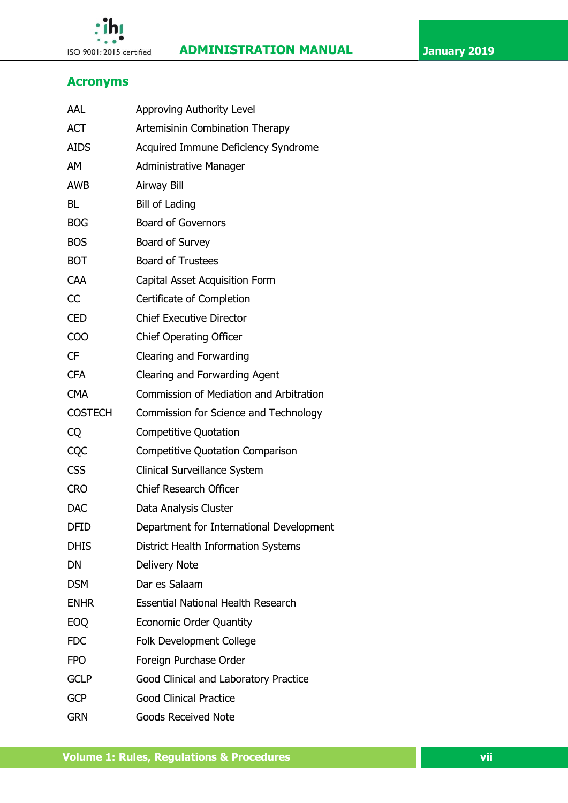



# <span id="page-6-0"></span>**Acronyms**

 $\cdot$ ihı

| AAL                                         | Approving Authority Level                 |  |  |  |
|---------------------------------------------|-------------------------------------------|--|--|--|
| <b>ACT</b>                                  | Artemisinin Combination Therapy           |  |  |  |
| <b>AIDS</b>                                 | Acquired Immune Deficiency Syndrome       |  |  |  |
| AM                                          | <b>Administrative Manager</b>             |  |  |  |
| <b>AWB</b>                                  | Airway Bill                               |  |  |  |
| <b>BL</b>                                   | <b>Bill of Lading</b>                     |  |  |  |
| <b>BOG</b>                                  | <b>Board of Governors</b>                 |  |  |  |
| <b>BOS</b>                                  | Board of Survey                           |  |  |  |
| <b>BOT</b>                                  | <b>Board of Trustees</b>                  |  |  |  |
| CAA                                         | Capital Asset Acquisition Form            |  |  |  |
| CC                                          | Certificate of Completion                 |  |  |  |
| <b>CED</b>                                  | <b>Chief Executive Director</b>           |  |  |  |
| <b>COO</b>                                  | <b>Chief Operating Officer</b>            |  |  |  |
| <b>CF</b>                                   | Clearing and Forwarding                   |  |  |  |
| <b>CFA</b><br>Clearing and Forwarding Agent |                                           |  |  |  |
| <b>CMA</b>                                  | Commission of Mediation and Arbitration   |  |  |  |
| <b>COSTECH</b>                              | Commission for Science and Technology     |  |  |  |
| CQ                                          | <b>Competitive Quotation</b>              |  |  |  |
| CQC                                         | <b>Competitive Quotation Comparison</b>   |  |  |  |
| <b>CSS</b>                                  | Clinical Surveillance System              |  |  |  |
| <b>CRO</b>                                  | <b>Chief Research Officer</b>             |  |  |  |
| <b>DAC</b>                                  | Data Analysis Cluster                     |  |  |  |
| <b>DFID</b>                                 | Department for International Development  |  |  |  |
| <b>DHIS</b>                                 | District Health Information Systems       |  |  |  |
| DN                                          | <b>Delivery Note</b>                      |  |  |  |
| <b>DSM</b>                                  | Dar es Salaam                             |  |  |  |
| <b>ENHR</b>                                 | <b>Essential National Health Research</b> |  |  |  |
| <b>EOQ</b>                                  | <b>Economic Order Quantity</b>            |  |  |  |
| <b>FDC</b>                                  | <b>Folk Development College</b>           |  |  |  |
| <b>FPO</b>                                  | Foreign Purchase Order                    |  |  |  |
| <b>GCLP</b>                                 | Good Clinical and Laboratory Practice     |  |  |  |
| <b>GCP</b>                                  | <b>Good Clinical Practice</b>             |  |  |  |
| <b>GRN</b>                                  | <b>Goods Received Note</b>                |  |  |  |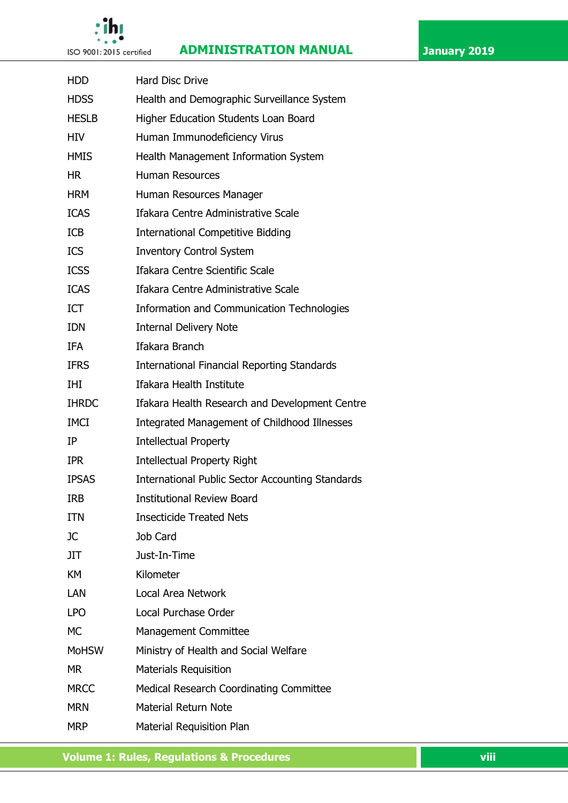# ٩í

# **ISO 9001:2015 certified ADMINISTRATION MANUAL January 2019**

| <b>HDD</b>                                          | <b>Hard Disc Drive</b>                                  |  |  |  |
|-----------------------------------------------------|---------------------------------------------------------|--|--|--|
| <b>HDSS</b>                                         | Health and Demographic Surveillance System              |  |  |  |
| <b>HESLB</b>                                        | Higher Education Students Loan Board                    |  |  |  |
| <b>HIV</b>                                          | Human Immunodeficiency Virus                            |  |  |  |
| <b>HMIS</b><br>Health Management Information System |                                                         |  |  |  |
| <b>HR</b>                                           | <b>Human Resources</b>                                  |  |  |  |
| <b>HRM</b>                                          | Human Resources Manager                                 |  |  |  |
| <b>ICAS</b>                                         | Ifakara Centre Administrative Scale                     |  |  |  |
| <b>ICB</b>                                          | <b>International Competitive Bidding</b>                |  |  |  |
| <b>ICS</b>                                          | <b>Inventory Control System</b>                         |  |  |  |
| <b>ICSS</b>                                         | Ifakara Centre Scientific Scale                         |  |  |  |
| <b>ICAS</b>                                         | Ifakara Centre Administrative Scale                     |  |  |  |
| <b>ICT</b>                                          | <b>Information and Communication Technologies</b>       |  |  |  |
| <b>IDN</b>                                          | <b>Internal Delivery Note</b>                           |  |  |  |
| <b>IFA</b>                                          | Ifakara Branch                                          |  |  |  |
| <b>IFRS</b>                                         | <b>International Financial Reporting Standards</b>      |  |  |  |
| IHI                                                 | Ifakara Health Institute                                |  |  |  |
| <b>IHRDC</b>                                        | Ifakara Health Research and Development Centre          |  |  |  |
| <b>IMCI</b>                                         | Integrated Management of Childhood Illnesses            |  |  |  |
| IP                                                  | <b>Intellectual Property</b>                            |  |  |  |
| <b>IPR</b>                                          | <b>Intellectual Property Right</b>                      |  |  |  |
| <b>IPSAS</b>                                        | <b>International Public Sector Accounting Standards</b> |  |  |  |
| <b>IRB</b>                                          | <b>Institutional Review Board</b>                       |  |  |  |
| <b>ITN</b>                                          | <b>Insecticide Treated Nets</b>                         |  |  |  |
| JС                                                  | Job Card                                                |  |  |  |
| <b>JIT</b>                                          | Just-In-Time                                            |  |  |  |
| KM                                                  | Kilometer                                               |  |  |  |
| LAN                                                 | Local Area Network                                      |  |  |  |
| <b>LPO</b>                                          | Local Purchase Order                                    |  |  |  |
| <b>MC</b>                                           | <b>Management Committee</b>                             |  |  |  |
| <b>MoHSW</b>                                        | Ministry of Health and Social Welfare                   |  |  |  |
| MR.                                                 | <b>Materials Requisition</b>                            |  |  |  |
| <b>MRCC</b>                                         | <b>Medical Research Coordinating Committee</b>          |  |  |  |
| <b>MRN</b>                                          | <b>Material Return Note</b>                             |  |  |  |
| <b>MRP</b>                                          | Material Requisition Plan                               |  |  |  |

**The Volume 1: Rules, Regulations & Procedures views and the Views of Viii**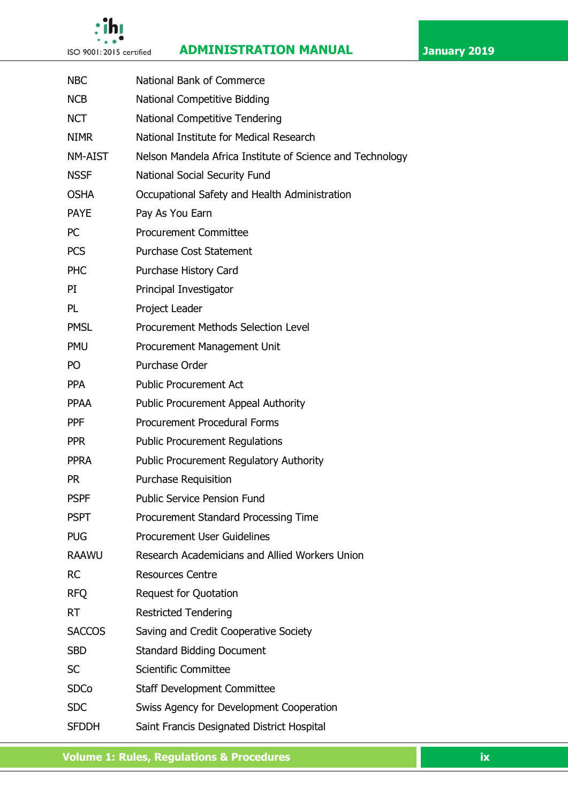



# **ISO 9001:2015 certified ADMINISTRATION MANUAL January 2019**

| <b>NBC</b>     | National Bank of Commerce                                 |  |  |  |
|----------------|-----------------------------------------------------------|--|--|--|
| <b>NCB</b>     | <b>National Competitive Bidding</b>                       |  |  |  |
| <b>NCT</b>     | National Competitive Tendering                            |  |  |  |
| <b>NIMR</b>    | National Institute for Medical Research                   |  |  |  |
| <b>NM-AIST</b> | Nelson Mandela Africa Institute of Science and Technology |  |  |  |
| <b>NSSF</b>    | National Social Security Fund                             |  |  |  |
| <b>OSHA</b>    | Occupational Safety and Health Administration             |  |  |  |
| <b>PAYE</b>    | Pay As You Earn                                           |  |  |  |
| <b>PC</b>      | <b>Procurement Committee</b>                              |  |  |  |
| <b>PCS</b>     | <b>Purchase Cost Statement</b>                            |  |  |  |
| <b>PHC</b>     | Purchase History Card                                     |  |  |  |
| PI             | Principal Investigator                                    |  |  |  |
| <b>PL</b>      | Project Leader                                            |  |  |  |
| <b>PMSL</b>    | <b>Procurement Methods Selection Level</b>                |  |  |  |
| <b>PMU</b>     | Procurement Management Unit                               |  |  |  |
| PO             | Purchase Order                                            |  |  |  |
| <b>PPA</b>     | <b>Public Procurement Act</b>                             |  |  |  |
| <b>PPAA</b>    | <b>Public Procurement Appeal Authority</b>                |  |  |  |
| <b>PPF</b>     | <b>Procurement Procedural Forms</b>                       |  |  |  |
| <b>PPR</b>     | <b>Public Procurement Regulations</b>                     |  |  |  |
| <b>PPRA</b>    | <b>Public Procurement Regulatory Authority</b>            |  |  |  |
| <b>PR</b>      | <b>Purchase Requisition</b>                               |  |  |  |
| <b>PSPF</b>    | <b>Public Service Pension Fund</b>                        |  |  |  |
| <b>PSPT</b>    | Procurement Standard Processing Time                      |  |  |  |
| <b>PUG</b>     | <b>Procurement User Guidelines</b>                        |  |  |  |
| <b>RAAWU</b>   | Research Academicians and Allied Workers Union            |  |  |  |
| <b>RC</b>      | <b>Resources Centre</b>                                   |  |  |  |
| <b>RFQ</b>     | <b>Request for Quotation</b>                              |  |  |  |
| <b>RT</b>      | <b>Restricted Tendering</b>                               |  |  |  |
| <b>SACCOS</b>  | Saving and Credit Cooperative Society                     |  |  |  |
| <b>SBD</b>     | <b>Standard Bidding Document</b>                          |  |  |  |
| <b>SC</b>      | <b>Scientific Committee</b>                               |  |  |  |
| <b>SDCo</b>    | <b>Staff Development Committee</b>                        |  |  |  |
| <b>SDC</b>     | Swiss Agency for Development Cooperation                  |  |  |  |
| <b>SFDDH</b>   | Saint Francis Designated District Hospital                |  |  |  |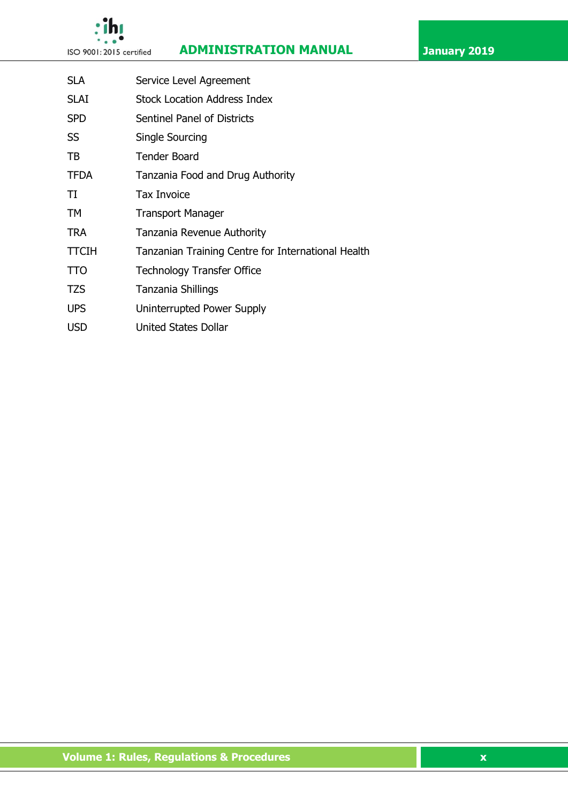

# **ISO 9001:2015 certified ADMINISTRATION MANUAL January 2019**



| <b>SLA</b>  | Service Level Agreement                            |  |  |  |
|-------------|----------------------------------------------------|--|--|--|
| SLAI        | <b>Stock Location Address Index</b>                |  |  |  |
| <b>SPD</b>  | Sentinel Panel of Districts                        |  |  |  |
| SS          | Single Sourcing                                    |  |  |  |
| ТB          | <b>Tender Board</b>                                |  |  |  |
| <b>TFDA</b> | Tanzania Food and Drug Authority                   |  |  |  |
| TI          | <b>Tax Invoice</b>                                 |  |  |  |
| TМ          | <b>Transport Manager</b>                           |  |  |  |
| TRA         | Tanzania Revenue Authority                         |  |  |  |
| TTCIH       | Tanzanian Training Centre for International Health |  |  |  |
| TTO         | <b>Technology Transfer Office</b>                  |  |  |  |
| TZS         | Tanzania Shillings                                 |  |  |  |
| <b>UPS</b>  | Uninterrupted Power Supply                         |  |  |  |
| <b>USD</b>  | <b>United States Dollar</b>                        |  |  |  |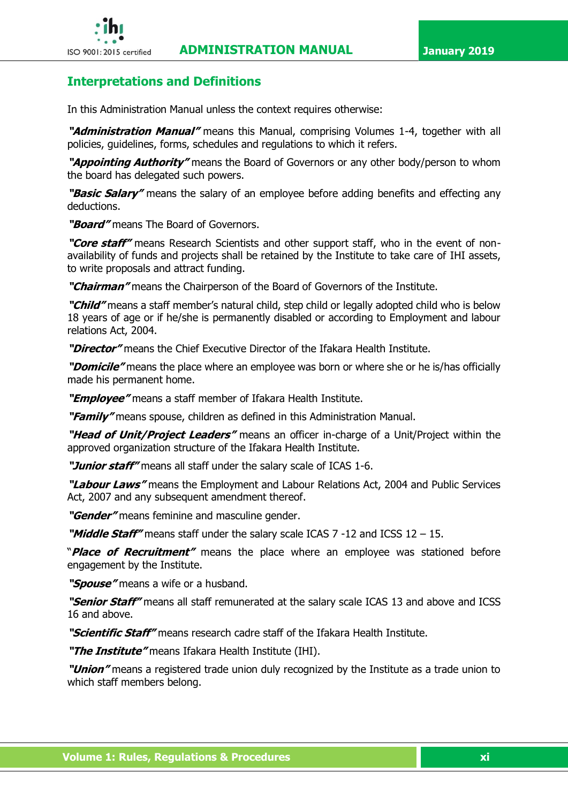

# <span id="page-10-0"></span>**Interpretations and Definitions**

In this Administration Manual unless the context requires otherwise:

**"Administration Manual"** means this Manual, comprising Volumes 1-4, together with all policies, guidelines, forms, schedules and regulations to which it refers.

**"Appointing Authority"** means the Board of Governors or any other body/person to whom the board has delegated such powers.

**"Basic Salary"** means the salary of an employee before adding benefits and effecting any deductions.

**"Board"** means The Board of Governors.

**"Core staff"** means Research Scientists and other support staff, who in the event of nonavailability of funds and projects shall be retained by the Institute to take care of IHI assets, to write proposals and attract funding.

**"Chairman"** means the Chairperson of the Board of Governors of the Institute.

**"Child"** means a staff member's natural child, step child or legally adopted child who is below 18 years of age or if he/she is permanently disabled or according to Employment and labour relations Act, 2004.

**"Director"** means the Chief Executive Director of the Ifakara Health Institute.

**"Domicile"** means the place where an employee was born or where she or he is/has officially made his permanent home.

**"Employee"** means a staff member of Ifakara Health Institute.

**"Family"** means spouse, children as defined in this Administration Manual.

**"Head of Unit/Project Leaders"** means an officer in-charge of a Unit/Project within the approved organization structure of the Ifakara Health Institute.

**"Junior staff"** means all staff under the salary scale of ICAS 1-6.

**"Labour Laws"** means the Employment and Labour Relations Act, 2004 and Public Services Act, 2007 and any subsequent amendment thereof.

**"Gender"** means feminine and masculine gender.

**"Middle Staff"** means staff under the salary scale ICAS 7 -12 and ICSS 12 – 15.

"**Place of Recruitment"** means the place where an employee was stationed before engagement by the Institute.

**"Spouse"** means a wife or a husband.

**"Senior Staff"** means all staff remunerated at the salary scale ICAS 13 and above and ICSS 16 and above.

**"Scientific Staff"** means research cadre staff of the Ifakara Health Institute.

**"The Institute"** means Ifakara Health Institute (IHI).

**"Union"** means a registered trade union duly recognized by the Institute as a trade union to which staff members belong.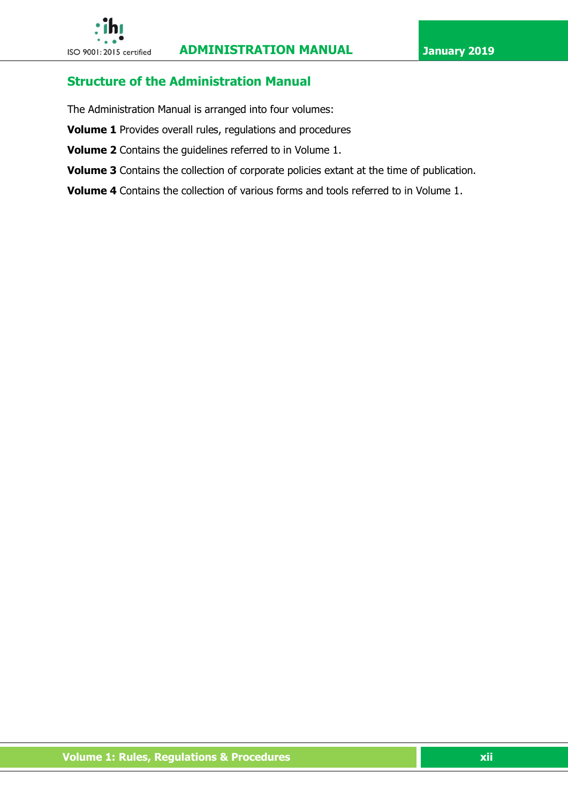# <span id="page-11-0"></span>**Structure of the Administration Manual**

The Administration Manual is arranged into four volumes:

- **Volume 1** Provides overall rules, regulations and procedures
- **Volume 2** Contains the guidelines referred to in Volume 1.
- **Volume 3** Contains the collection of corporate policies extant at the time of publication.

**Volume 4** Contains the collection of various forms and tools referred to in Volume 1.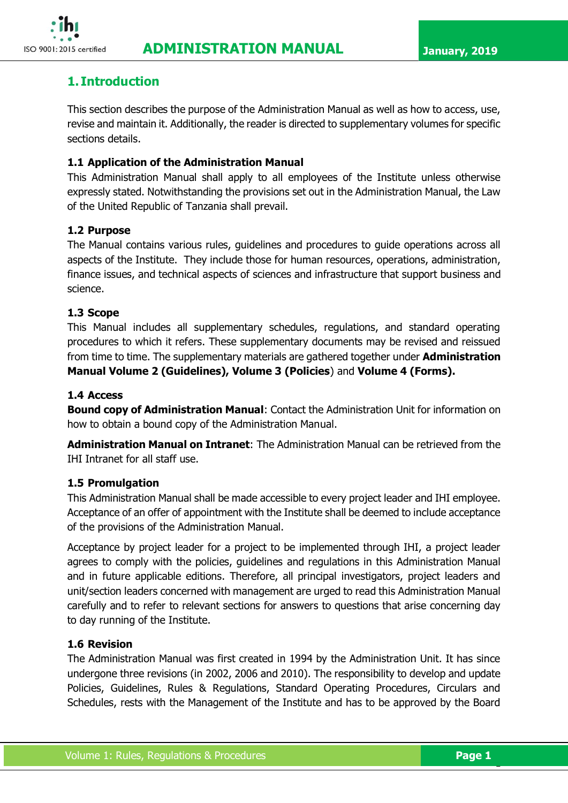

# <span id="page-12-0"></span>**1. Introduction**

This section describes the purpose of the Administration Manual as well as how to access, use, revise and maintain it. Additionally, the reader is directed to supplementary volumes for specific sections details.

## <span id="page-12-1"></span>**1.1 Application of the Administration Manual**

This Administration Manual shall apply to all employees of the Institute unless otherwise expressly stated. Notwithstanding the provisions set out in the Administration Manual, the Law of the United Republic of Tanzania shall prevail.

### <span id="page-12-2"></span>**1.2 Purpose**

The Manual contains various rules, guidelines and procedures to guide operations across all aspects of the Institute. They include those for human resources, operations, administration, finance issues, and technical aspects of sciences and infrastructure that support business and science.

### <span id="page-12-3"></span>**1.3 Scope**

This Manual includes all supplementary schedules, regulations, and standard operating procedures to which it refers. These supplementary documents may be revised and reissued from time to time. The supplementary materials are gathered together under **Administration Manual Volume 2 (Guidelines), Volume 3 (Policies**) and **Volume 4 (Forms).**

### <span id="page-12-4"></span>**1.4 Access**

**Bound copy of Administration Manual**: Contact the Administration Unit for information on how to obtain a bound copy of the Administration Manual.

**Administration Manual on Intranet**: The Administration Manual can be retrieved from the IHI Intranet for all staff use.

#### <span id="page-12-5"></span>**1.5 Promulgation**

This Administration Manual shall be made accessible to every project leader and IHI employee. Acceptance of an offer of appointment with the Institute shall be deemed to include acceptance of the provisions of the Administration Manual.

Acceptance by project leader for a project to be implemented through IHI, a project leader agrees to comply with the policies, guidelines and regulations in this Administration Manual and in future applicable editions. Therefore, all principal investigators, project leaders and unit/section leaders concerned with management are urged to read this Administration Manual carefully and to refer to relevant sections for answers to questions that arise concerning day to day running of the Institute.

## <span id="page-12-6"></span>**1.6 Revision**

The Administration Manual was first created in 1994 by the Administration Unit. It has since undergone three revisions (in 2002, 2006 and 2010). The responsibility to develop and update Policies, Guidelines, Rules & Regulations, Standard Operating Procedures, Circulars and Schedules, rests with the Management of the Institute and has to be approved by the Board

1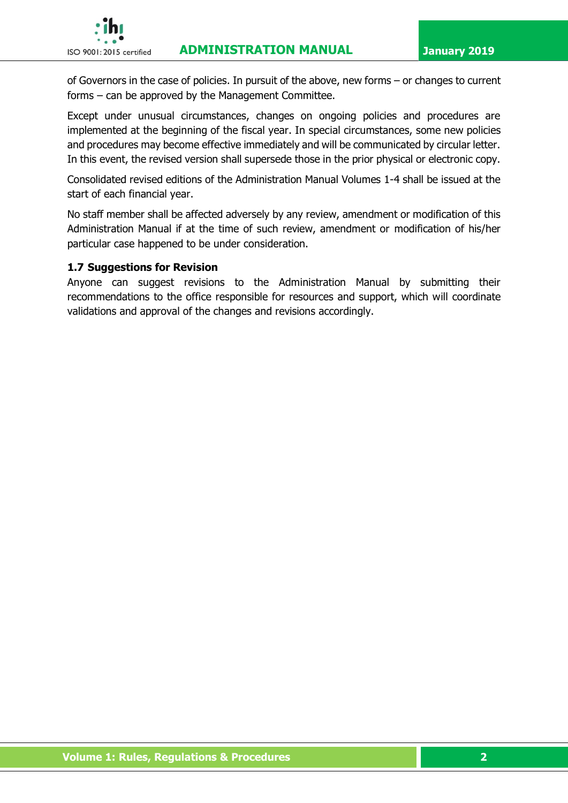

of Governors in the case of policies. In pursuit of the above, new forms – or changes to current forms – can be approved by the Management Committee.

Except under unusual circumstances, changes on ongoing policies and procedures are implemented at the beginning of the fiscal year. In special circumstances, some new policies and procedures may become effective immediately and will be communicated by circular letter. In this event, the revised version shall supersede those in the prior physical or electronic copy.

Consolidated revised editions of the Administration Manual Volumes 1-4 shall be issued at the start of each financial year.

No staff member shall be affected adversely by any review, amendment or modification of this Administration Manual if at the time of such review, amendment or modification of his/her particular case happened to be under consideration.

#### <span id="page-13-0"></span>**1.7 Suggestions for Revision**

Anyone can suggest revisions to the Administration Manual by submitting their recommendations to the office responsible for resources and support, which will coordinate validations and approval of the changes and revisions accordingly.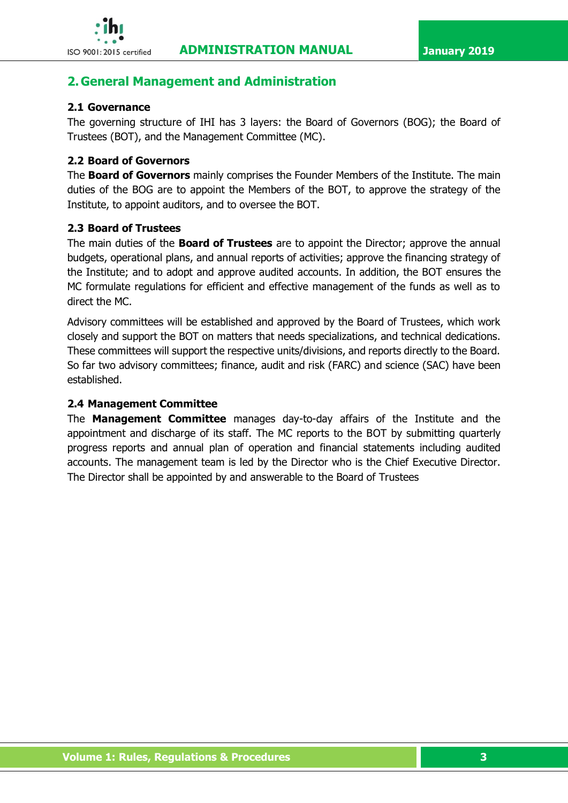

# <span id="page-14-0"></span>**2. General Management and Administration**

# <span id="page-14-1"></span>**2.1 Governance**

The governing structure of IHI has 3 layers: the Board of Governors (BOG); the Board of Trustees (BOT), and the Management Committee (MC).

# <span id="page-14-2"></span>**2.2 Board of Governors**

The **Board of Governors** mainly comprises the Founder Members of the Institute. The main duties of the BOG are to appoint the Members of the BOT, to approve the strategy of the Institute, to appoint auditors, and to oversee the BOT.

# <span id="page-14-3"></span>**2.3 Board of Trustees**

The main duties of the **Board of Trustees** are to appoint the Director; approve the annual budgets, operational plans, and annual reports of activities; approve the financing strategy of the Institute; and to adopt and approve audited accounts. In addition, the BOT ensures the MC formulate regulations for efficient and effective management of the funds as well as to direct the MC.

Advisory committees will be established and approved by the Board of Trustees, which work closely and support the BOT on matters that needs specializations, and technical dedications. These committees will support the respective units/divisions, and reports directly to the Board. So far two advisory committees; finance, audit and risk (FARC) and science (SAC) have been established.

# <span id="page-14-4"></span>**2.4 Management Committee**

The **Management Committee** manages day-to-day affairs of the Institute and the appointment and discharge of its staff. The MC reports to the BOT by submitting quarterly progress reports and annual plan of operation and financial statements including audited accounts. The management team is led by the Director who is the Chief Executive Director. The Director shall be appointed by and answerable to the Board of Trustees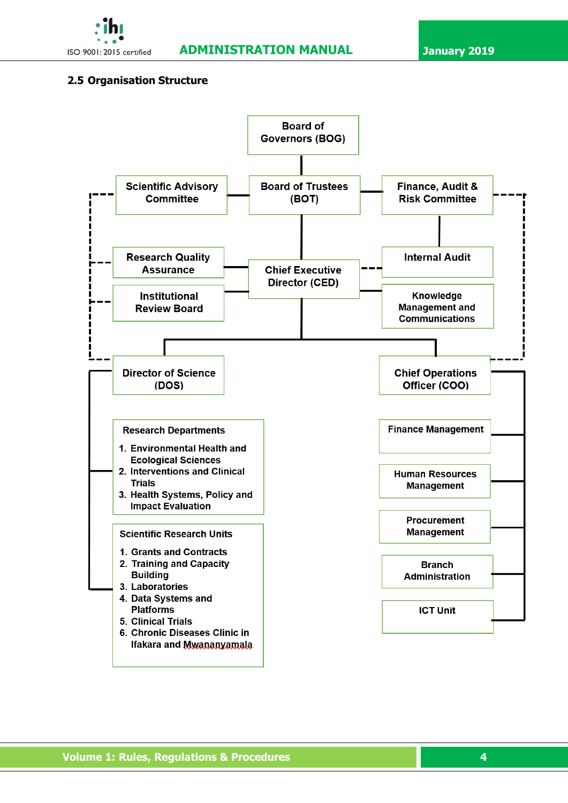

### <span id="page-15-0"></span>**2.5 Organisation Structure**



 **Volume 1: Rules, Regulations & Procedures 4**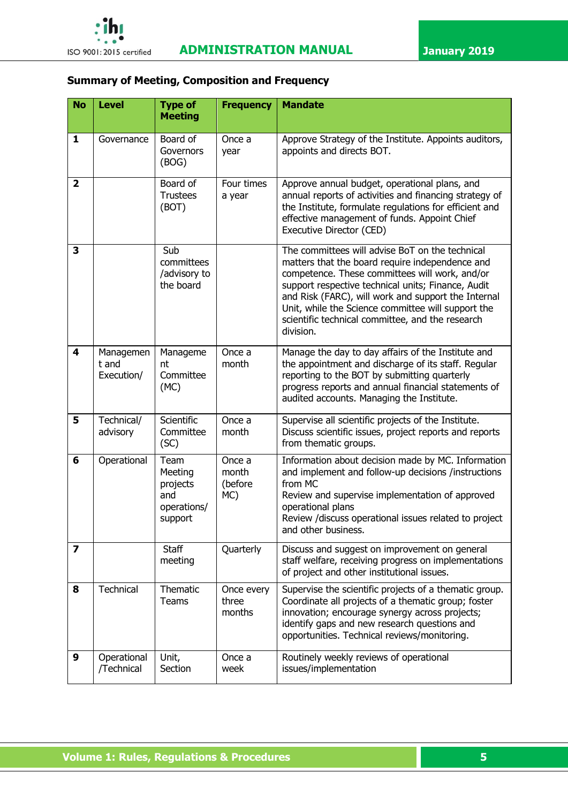

# **Summary of Meeting, Composition and Frequency**

| <b>No</b>               | <b>Level</b>                     | <b>Type of</b><br><b>Meeting</b>                             | <b>Frequency</b>                  | <b>Mandate</b>                                                                                                                                                                                                                                                                                                                                                                           |
|-------------------------|----------------------------------|--------------------------------------------------------------|-----------------------------------|------------------------------------------------------------------------------------------------------------------------------------------------------------------------------------------------------------------------------------------------------------------------------------------------------------------------------------------------------------------------------------------|
| $\mathbf{1}$            | Governance                       | Board of<br>Governors<br>(BOG)                               | Once a<br>year                    | Approve Strategy of the Institute. Appoints auditors,<br>appoints and directs BOT.                                                                                                                                                                                                                                                                                                       |
| $\overline{\mathbf{2}}$ |                                  | Board of<br><b>Trustees</b><br>(BOT)                         | Four times<br>a year              | Approve annual budget, operational plans, and<br>annual reports of activities and financing strategy of<br>the Institute, formulate regulations for efficient and<br>effective management of funds. Appoint Chief<br>Executive Director (CED)                                                                                                                                            |
| 3                       |                                  | Sub<br>committees<br>/advisory to<br>the board               |                                   | The committees will advise BoT on the technical<br>matters that the board require independence and<br>competence. These committees will work, and/or<br>support respective technical units; Finance, Audit<br>and Risk (FARC), will work and support the Internal<br>Unit, while the Science committee will support the<br>scientific technical committee, and the research<br>division. |
| $\overline{\mathbf{4}}$ | Managemen<br>t and<br>Execution/ | Manageme<br>nt<br>Committee<br>(MC)                          | Once a<br>month                   | Manage the day to day affairs of the Institute and<br>the appointment and discharge of its staff. Regular<br>reporting to the BOT by submitting quarterly<br>progress reports and annual financial statements of<br>audited accounts. Managing the Institute.                                                                                                                            |
| 5                       | Technical/<br>advisory           | Scientific<br>Committee<br>(SC)                              | Once a<br>month                   | Supervise all scientific projects of the Institute.<br>Discuss scientific issues, project reports and reports<br>from thematic groups.                                                                                                                                                                                                                                                   |
| 6                       | Operational                      | Team<br>Meeting<br>projects<br>and<br>operations/<br>support | Once a<br>month<br>(before<br>MC) | Information about decision made by MC. Information<br>and implement and follow-up decisions /instructions<br>from MC<br>Review and supervise implementation of approved<br>operational plans<br>Review /discuss operational issues related to project<br>and other business.                                                                                                             |
| $\overline{\mathbf{z}}$ |                                  | <b>Staff</b><br>meeting                                      | Quarterly                         | Discuss and suggest on improvement on general<br>staff welfare, receiving progress on implementations<br>of project and other institutional issues.                                                                                                                                                                                                                                      |
| 8                       | Technical                        | Thematic<br>Teams                                            | Once every<br>three<br>months     | Supervise the scientific projects of a thematic group.<br>Coordinate all projects of a thematic group; foster<br>innovation; encourage synergy across projects;<br>identify gaps and new research questions and<br>opportunities. Technical reviews/monitoring.                                                                                                                          |
| 9                       | Operational<br>/Technical        | Unit,<br>Section                                             | Once a<br>week                    | Routinely weekly reviews of operational<br>issues/implementation                                                                                                                                                                                                                                                                                                                         |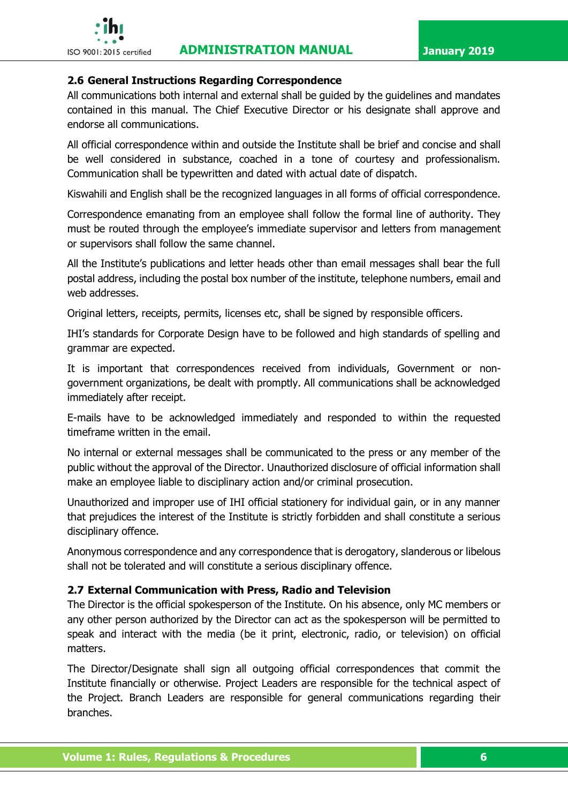

#### <span id="page-17-0"></span>**2.6 General Instructions Regarding Correspondence**

All communications both internal and external shall be guided by the guidelines and mandates contained in this manual. The Chief Executive Director or his designate shall approve and endorse all communications.

All official correspondence within and outside the Institute shall be brief and concise and shall be well considered in substance, coached in a tone of courtesy and professionalism. Communication shall be typewritten and dated with actual date of dispatch.

Kiswahili and English shall be the recognized languages in all forms of official correspondence.

Correspondence emanating from an employee shall follow the formal line of authority. They must be routed through the employee's immediate supervisor and letters from management or supervisors shall follow the same channel.

All the Institute's publications and letter heads other than email messages shall bear the full postal address, including the postal box number of the institute, telephone numbers, email and web addresses.

Original letters, receipts, permits, licenses etc, shall be signed by responsible officers.

IHI's standards for Corporate Design have to be followed and high standards of spelling and grammar are expected.

It is important that correspondences received from individuals, Government or nongovernment organizations, be dealt with promptly. All communications shall be acknowledged immediately after receipt.

E-mails have to be acknowledged immediately and responded to within the requested timeframe written in the email.

No internal or external messages shall be communicated to the press or any member of the public without the approval of the Director. Unauthorized disclosure of official information shall make an employee liable to disciplinary action and/or criminal prosecution.

Unauthorized and improper use of IHI official stationery for individual gain, or in any manner that prejudices the interest of the Institute is strictly forbidden and shall constitute a serious disciplinary offence.

Anonymous correspondence and any correspondence that is derogatory, slanderous or libelous shall not be tolerated and will constitute a serious disciplinary offence.

#### <span id="page-17-1"></span>**2.7 External Communication with Press, Radio and Television**

The Director is the official spokesperson of the Institute. On his absence, only MC members or any other person authorized by the Director can act as the spokesperson will be permitted to speak and interact with the media (be it print, electronic, radio, or television) on official matters.

The Director/Designate shall sign all outgoing official correspondences that commit the Institute financially or otherwise. Project Leaders are responsible for the technical aspect of the Project. Branch Leaders are responsible for general communications regarding their branches.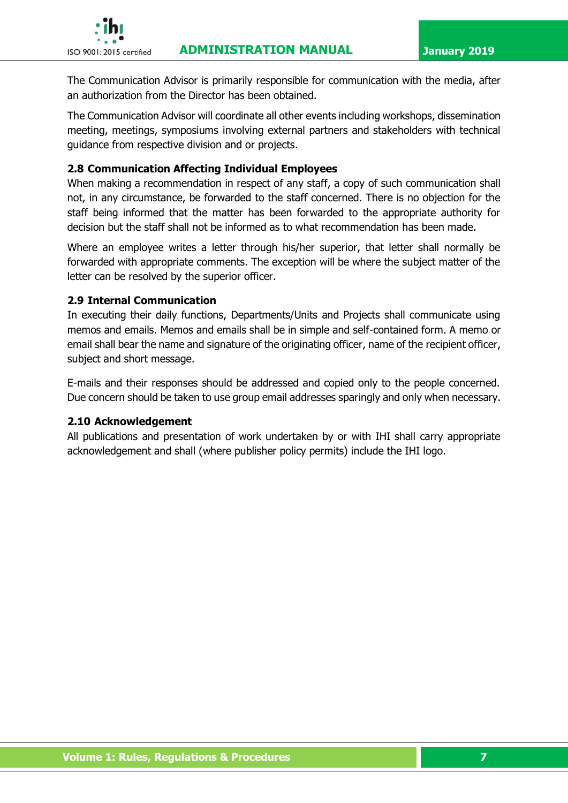

The Communication Advisor is primarily responsible for communication with the media, after an authorization from the Director has been obtained.

The Communication Advisor will coordinate all other events including workshops, dissemination meeting, meetings, symposiums involving external partners and stakeholders with technical guidance from respective division and or projects.

# <span id="page-18-0"></span>**2.8 Communication Affecting Individual Employees**

When making a recommendation in respect of any staff, a copy of such communication shall not, in any circumstance, be forwarded to the staff concerned. There is no objection for the staff being informed that the matter has been forwarded to the appropriate authority for decision but the staff shall not be informed as to what recommendation has been made.

Where an employee writes a letter through his/her superior, that letter shall normally be forwarded with appropriate comments. The exception will be where the subject matter of the letter can be resolved by the superior officer.

#### <span id="page-18-1"></span>**2.9 Internal Communication**

In executing their daily functions, Departments/Units and Projects shall communicate using memos and emails. Memos and emails shall be in simple and self-contained form. A memo or email shall bear the name and signature of the originating officer, name of the recipient officer, subject and short message.

E-mails and their responses should be addressed and copied only to the people concerned. Due concern should be taken to use group email addresses sparingly and only when necessary.

#### <span id="page-18-2"></span>**2.10 Acknowledgement**

All publications and presentation of work undertaken by or with IHI shall carry appropriate acknowledgement and shall (where publisher policy permits) include the IHI logo.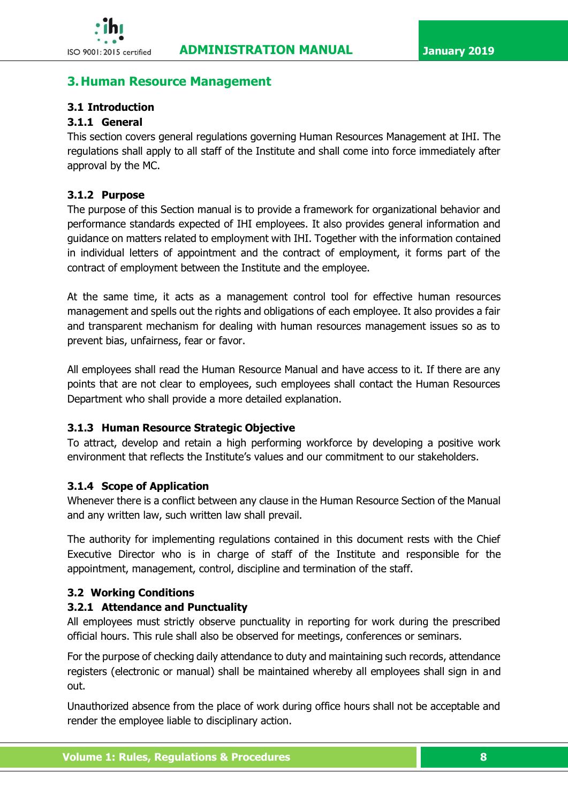# <span id="page-19-0"></span>**3.Human Resource Management**

## <span id="page-19-1"></span>**3.1 Introduction**

# **3.1.1 General**

This section covers general regulations governing Human Resources Management at IHI. The regulations shall apply to all staff of the Institute and shall come into force immediately after approval by the MC.

#### **3.1.2 Purpose**

The purpose of this Section manual is to provide a framework for organizational behavior and performance standards expected of IHI employees. It also provides general information and guidance on matters related to employment with IHI. Together with the information contained in individual letters of appointment and the contract of employment, it forms part of the contract of employment between the Institute and the employee.

At the same time, it acts as a management control tool for effective human resources management and spells out the rights and obligations of each employee. It also provides a fair and transparent mechanism for dealing with human resources management issues so as to prevent bias, unfairness, fear or favor.

All employees shall read the Human Resource Manual and have access to it. If there are any points that are not clear to employees, such employees shall contact the Human Resources Department who shall provide a more detailed explanation.

#### **3.1.3 Human Resource Strategic Objective**

To attract, develop and retain a high performing workforce by developing a positive work environment that reflects the Institute's values and our commitment to our stakeholders.

#### **3.1.4 Scope of Application**

Whenever there is a conflict between any clause in the Human Resource Section of the Manual and any written law, such written law shall prevail.

The authority for implementing regulations contained in this document rests with the Chief Executive Director who is in charge of staff of the Institute and responsible for the appointment, management, control, discipline and termination of the staff.

#### <span id="page-19-2"></span>**3.2 Working Conditions**

#### **3.2.1 Attendance and Punctuality**

All employees must strictly observe punctuality in reporting for work during the prescribed official hours. This rule shall also be observed for meetings, conferences or seminars.

For the purpose of checking daily attendance to duty and maintaining such records, attendance registers (electronic or manual) shall be maintained whereby all employees shall sign in and out.

Unauthorized absence from the place of work during office hours shall not be acceptable and render the employee liable to disciplinary action.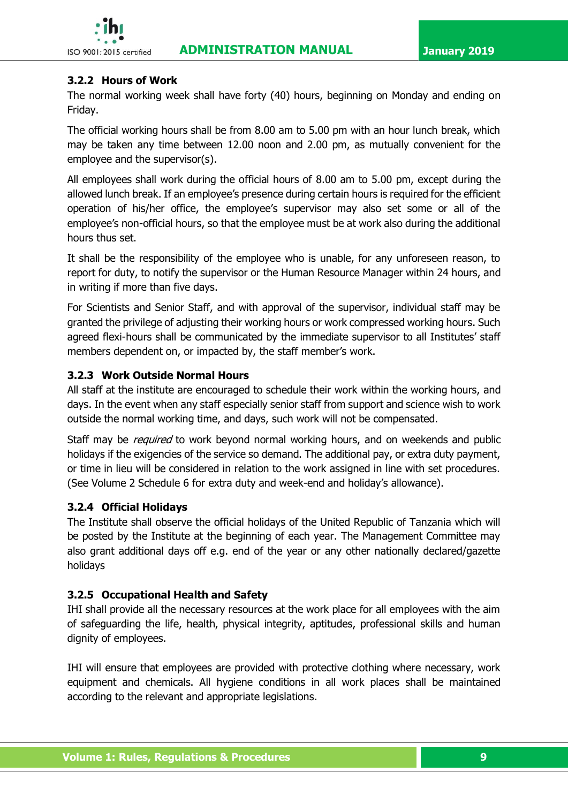

## **3.2.2 Hours of Work**

The normal working week shall have forty (40) hours, beginning on Monday and ending on Friday.

The official working hours shall be from 8.00 am to 5.00 pm with an hour lunch break, which may be taken any time between 12.00 noon and 2.00 pm, as mutually convenient for the employee and the supervisor(s).

All employees shall work during the official hours of 8.00 am to 5.00 pm, except during the allowed lunch break. If an employee's presence during certain hours is required for the efficient operation of his/her office, the employee's supervisor may also set some or all of the employee's non-official hours, so that the employee must be at work also during the additional hours thus set.

It shall be the responsibility of the employee who is unable, for any unforeseen reason, to report for duty, to notify the supervisor or the Human Resource Manager within 24 hours, and in writing if more than five days.

For Scientists and Senior Staff, and with approval of the supervisor, individual staff may be granted the privilege of adjusting their working hours or work compressed working hours. Such agreed flexi-hours shall be communicated by the immediate supervisor to all Institutes' staff members dependent on, or impacted by, the staff member's work.

### **3.2.3 Work Outside Normal Hours**

All staff at the institute are encouraged to schedule their work within the working hours, and days. In the event when any staff especially senior staff from support and science wish to work outside the normal working time, and days, such work will not be compensated.

Staff may be *required* to work beyond normal working hours, and on weekends and public holidays if the exigencies of the service so demand. The additional pay, or extra duty payment, or time in lieu will be considered in relation to the work assigned in line with set procedures. (See Volume 2 Schedule 6 for extra duty and week-end and holiday's allowance).

#### **3.2.4 Official Holidays**

The Institute shall observe the official holidays of the United Republic of Tanzania which will be posted by the Institute at the beginning of each year. The Management Committee may also grant additional days off e.g. end of the year or any other nationally declared/gazette holidays

# **3.2.5 Occupational Health and Safety**

IHI shall provide all the necessary resources at the work place for all employees with the aim of safeguarding the life, health, physical integrity, aptitudes, professional skills and human dignity of employees.

IHI will ensure that employees are provided with protective clothing where necessary, work equipment and chemicals. All hygiene conditions in all work places shall be maintained according to the relevant and appropriate legislations.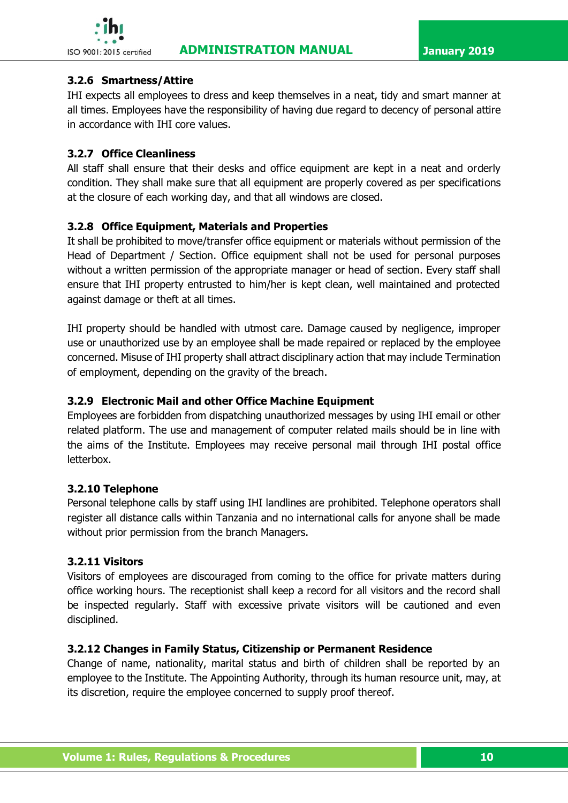

#### **3.2.6 Smartness/Attire**

IHI expects all employees to dress and keep themselves in a neat, tidy and smart manner at all times. Employees have the responsibility of having due regard to decency of personal attire in accordance with IHI core values.

## **3.2.7 Office Cleanliness**

All staff shall ensure that their desks and office equipment are kept in a neat and orderly condition. They shall make sure that all equipment are properly covered as per specifications at the closure of each working day, and that all windows are closed.

### **3.2.8 Office Equipment, Materials and Properties**

It shall be prohibited to move/transfer office equipment or materials without permission of the Head of Department / Section. Office equipment shall not be used for personal purposes without a written permission of the appropriate manager or head of section. Every staff shall ensure that IHI property entrusted to him/her is kept clean, well maintained and protected against damage or theft at all times.

IHI property should be handled with utmost care. Damage caused by negligence, improper use or unauthorized use by an employee shall be made repaired or replaced by the employee concerned. Misuse of IHI property shall attract disciplinary action that may include Termination of employment, depending on the gravity of the breach.

### **3.2.9 Electronic Mail and other Office Machine Equipment**

Employees are forbidden from dispatching unauthorized messages by using IHI email or other related platform. The use and management of computer related mails should be in line with the aims of the Institute. Employees may receive personal mail through IHI postal office letterbox.

#### **3.2.10 Telephone**

Personal telephone calls by staff using IHI landlines are prohibited. Telephone operators shall register all distance calls within Tanzania and no international calls for anyone shall be made without prior permission from the branch Managers.

#### **3.2.11 Visitors**

Visitors of employees are discouraged from coming to the office for private matters during office working hours. The receptionist shall keep a record for all visitors and the record shall be inspected regularly. Staff with excessive private visitors will be cautioned and even disciplined.

#### **3.2.12 Changes in Family Status, Citizenship or Permanent Residence**

Change of name, nationality, marital status and birth of children shall be reported by an employee to the Institute. The Appointing Authority, through its human resource unit, may, at its discretion, require the employee concerned to supply proof thereof.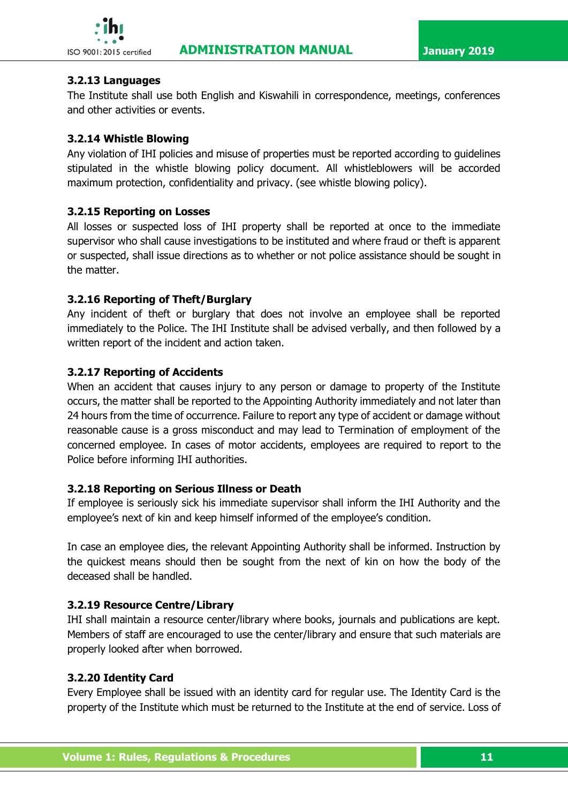## **3.2.13 Languages**

The Institute shall use both English and Kiswahili in correspondence, meetings, conferences and other activities or events.

## **3.2.14 Whistle Blowing**

Any violation of IHI policies and misuse of properties must be reported according to guidelines stipulated in the whistle blowing policy document. All whistleblowers will be accorded maximum protection, confidentiality and privacy. (see whistle blowing policy).

### **3.2.15 Reporting on Losses**

All losses or suspected loss of IHI property shall be reported at once to the immediate supervisor who shall cause investigations to be instituted and where fraud or theft is apparent or suspected, shall issue directions as to whether or not police assistance should be sought in the matter.

### **3.2.16 Reporting of Theft/Burglary**

Any incident of theft or burglary that does not involve an employee shall be reported immediately to the Police. The IHI Institute shall be advised verbally, and then followed by a written report of the incident and action taken.

### **3.2.17 Reporting of Accidents**

When an accident that causes injury to any person or damage to property of the Institute occurs, the matter shall be reported to the Appointing Authority immediately and not later than 24 hours from the time of occurrence. Failure to report any type of accident or damage without reasonable cause is a gross misconduct and may lead to Termination of employment of the concerned employee. In cases of motor accidents, employees are required to report to the Police before informing IHI authorities.

#### **3.2.18 Reporting on Serious Illness or Death**

If employee is seriously sick his immediate supervisor shall inform the IHI Authority and the employee's next of kin and keep himself informed of the employee's condition.

In case an employee dies, the relevant Appointing Authority shall be informed. Instruction by the quickest means should then be sought from the next of kin on how the body of the deceased shall be handled.

# **3.2.19 Resource Centre/Library**

IHI shall maintain a resource center/library where books, journals and publications are kept. Members of staff are encouraged to use the center/library and ensure that such materials are properly looked after when borrowed.

#### **3.2.20 Identity Card**

Every Employee shall be issued with an identity card for regular use. The Identity Card is the property of the Institute which must be returned to the Institute at the end of service. Loss of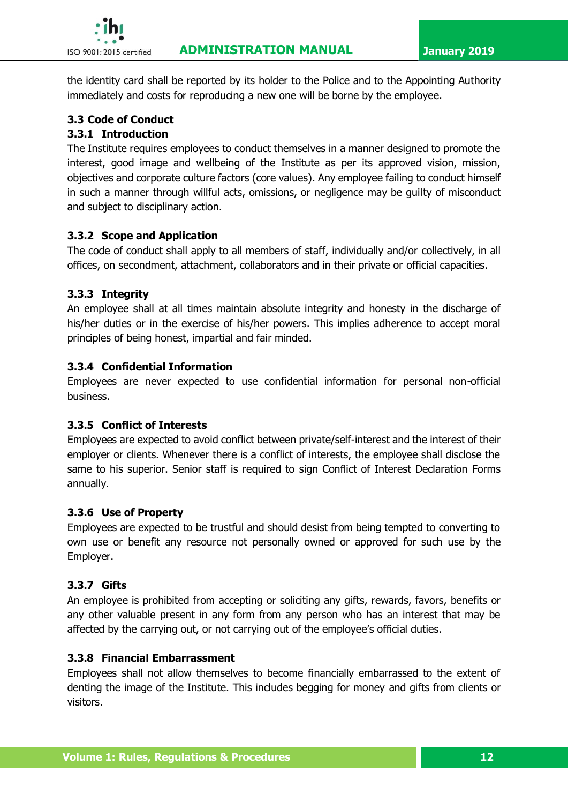

the identity card shall be reported by its holder to the Police and to the Appointing Authority immediately and costs for reproducing a new one will be borne by the employee.

# <span id="page-23-0"></span>**3.3 Code of Conduct**

# **3.3.1 Introduction**

The Institute requires employees to conduct themselves in a manner designed to promote the interest, good image and wellbeing of the Institute as per its approved vision, mission, objectives and corporate culture factors (core values). Any employee failing to conduct himself in such a manner through willful acts, omissions, or negligence may be guilty of misconduct and subject to disciplinary action.

# **3.3.2 Scope and Application**

The code of conduct shall apply to all members of staff, individually and/or collectively, in all offices, on secondment, attachment, collaborators and in their private or official capacities.

# **3.3.3 Integrity**

An employee shall at all times maintain absolute integrity and honesty in the discharge of his/her duties or in the exercise of his/her powers. This implies adherence to accept moral principles of being honest, impartial and fair minded.

# **3.3.4 Confidential Information**

Employees are never expected to use confidential information for personal non-official business.

# **3.3.5 Conflict of Interests**

Employees are expected to avoid conflict between private/self-interest and the interest of their employer or clients. Whenever there is a conflict of interests, the employee shall disclose the same to his superior. Senior staff is required to sign Conflict of Interest Declaration Forms annually.

# **3.3.6 Use of Property**

Employees are expected to be trustful and should desist from being tempted to converting to own use or benefit any resource not personally owned or approved for such use by the Employer.

# **3.3.7 Gifts**

An employee is prohibited from accepting or soliciting any gifts, rewards, favors, benefits or any other valuable present in any form from any person who has an interest that may be affected by the carrying out, or not carrying out of the employee's official duties.

# **3.3.8 Financial Embarrassment**

Employees shall not allow themselves to become financially embarrassed to the extent of denting the image of the Institute. This includes begging for money and gifts from clients or visitors.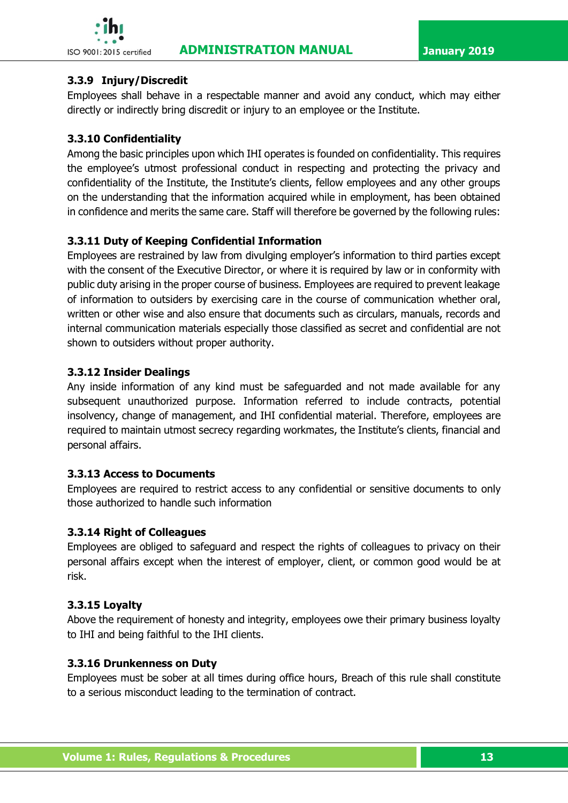



# **3.3.9 Injury/Discredit**

Employees shall behave in a respectable manner and avoid any conduct, which may either directly or indirectly bring discredit or injury to an employee or the Institute.

# **3.3.10 Confidentiality**

Among the basic principles upon which IHI operates is founded on confidentiality. This requires the employee's utmost professional conduct in respecting and protecting the privacy and confidentiality of the Institute, the Institute's clients, fellow employees and any other groups on the understanding that the information acquired while in employment, has been obtained in confidence and merits the same care. Staff will therefore be governed by the following rules:

# **3.3.11 Duty of Keeping Confidential Information**

Employees are restrained by law from divulging employer's information to third parties except with the consent of the Executive Director, or where it is required by law or in conformity with public duty arising in the proper course of business. Employees are required to prevent leakage of information to outsiders by exercising care in the course of communication whether oral, written or other wise and also ensure that documents such as circulars, manuals, records and internal communication materials especially those classified as secret and confidential are not shown to outsiders without proper authority.

# **3.3.12 Insider Dealings**

Any inside information of any kind must be safeguarded and not made available for any subsequent unauthorized purpose. Information referred to include contracts, potential insolvency, change of management, and IHI confidential material. Therefore, employees are required to maintain utmost secrecy regarding workmates, the Institute's clients, financial and personal affairs.

# **3.3.13 Access to Documents**

Employees are required to restrict access to any confidential or sensitive documents to only those authorized to handle such information

# **3.3.14 Right of Colleagues**

Employees are obliged to safeguard and respect the rights of colleagues to privacy on their personal affairs except when the interest of employer, client, or common good would be at risk.

# **3.3.15 Loyalty**

Above the requirement of honesty and integrity, employees owe their primary business loyalty to IHI and being faithful to the IHI clients.

# **3.3.16 Drunkenness on Duty**

Employees must be sober at all times during office hours, Breach of this rule shall constitute to a serious misconduct leading to the termination of contract.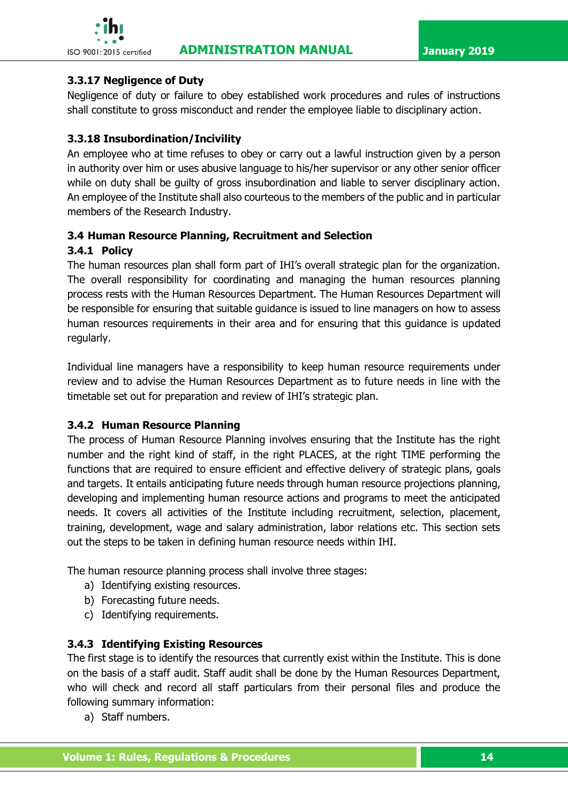

# **3.3.17 Negligence of Duty**

Negligence of duty or failure to obey established work procedures and rules of instructions shall constitute to gross misconduct and render the employee liable to disciplinary action.

# **3.3.18 Insubordination/Incivility**

An employee who at time refuses to obey or carry out a lawful instruction given by a person in authority over him or uses abusive language to his/her supervisor or any other senior officer while on duty shall be guilty of gross insubordination and liable to server disciplinary action. An employee of the Institute shall also courteous to the members of the public and in particular members of the Research Industry.

# <span id="page-25-0"></span>**3.4 Human Resource Planning, Recruitment and Selection**

# **3.4.1 Policy**

The human resources plan shall form part of IHI's overall strategic plan for the organization. The overall responsibility for coordinating and managing the human resources planning process rests with the Human Resources Department. The Human Resources Department will be responsible for ensuring that suitable guidance is issued to line managers on how to assess human resources requirements in their area and for ensuring that this guidance is updated regularly.

Individual line managers have a responsibility to keep human resource requirements under review and to advise the Human Resources Department as to future needs in line with the timetable set out for preparation and review of IHI's strategic plan.

# **3.4.2 Human Resource Planning**

The process of Human Resource Planning involves ensuring that the Institute has the right number and the right kind of staff, in the right PLACES, at the right TIME performing the functions that are required to ensure efficient and effective delivery of strategic plans, goals and targets. It entails anticipating future needs through human resource projections planning, developing and implementing human resource actions and programs to meet the anticipated needs. It covers all activities of the Institute including recruitment, selection, placement, training, development, wage and salary administration, labor relations etc. This section sets out the steps to be taken in defining human resource needs within IHI.

The human resource planning process shall involve three stages:

- a) Identifying existing resources.
- b) Forecasting future needs.
- c) Identifying requirements.

# **3.4.3 Identifying Existing Resources**

The first stage is to identify the resources that currently exist within the Institute. This is done on the basis of a staff audit. Staff audit shall be done by the Human Resources Department, who will check and record all staff particulars from their personal files and produce the following summary information:

a) Staff numbers.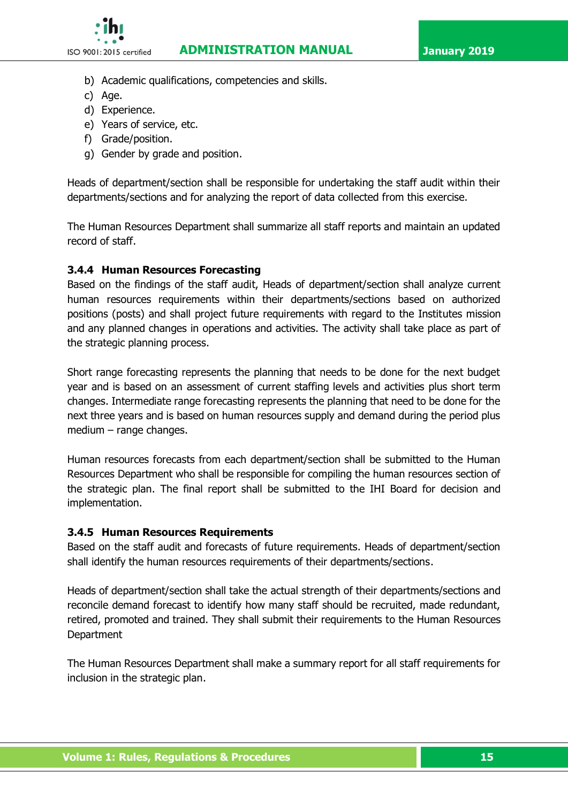

- b) Academic qualifications, competencies and skills.
- c) Age.
- d) Experience.
- e) Years of service, etc.
- f) Grade/position.
- g) Gender by grade and position.

Heads of department/section shall be responsible for undertaking the staff audit within their departments/sections and for analyzing the report of data collected from this exercise.

The Human Resources Department shall summarize all staff reports and maintain an updated record of staff.

#### **3.4.4 Human Resources Forecasting**

Based on the findings of the staff audit, Heads of department/section shall analyze current human resources requirements within their departments/sections based on authorized positions (posts) and shall project future requirements with regard to the Institutes mission and any planned changes in operations and activities. The activity shall take place as part of the strategic planning process.

Short range forecasting represents the planning that needs to be done for the next budget year and is based on an assessment of current staffing levels and activities plus short term changes. Intermediate range forecasting represents the planning that need to be done for the next three years and is based on human resources supply and demand during the period plus medium – range changes.

Human resources forecasts from each department/section shall be submitted to the Human Resources Department who shall be responsible for compiling the human resources section of the strategic plan. The final report shall be submitted to the IHI Board for decision and implementation.

#### **3.4.5 Human Resources Requirements**

Based on the staff audit and forecasts of future requirements. Heads of department/section shall identify the human resources requirements of their departments/sections.

Heads of department/section shall take the actual strength of their departments/sections and reconcile demand forecast to identify how many staff should be recruited, made redundant, retired, promoted and trained. They shall submit their requirements to the Human Resources **Department** 

The Human Resources Department shall make a summary report for all staff requirements for inclusion in the strategic plan.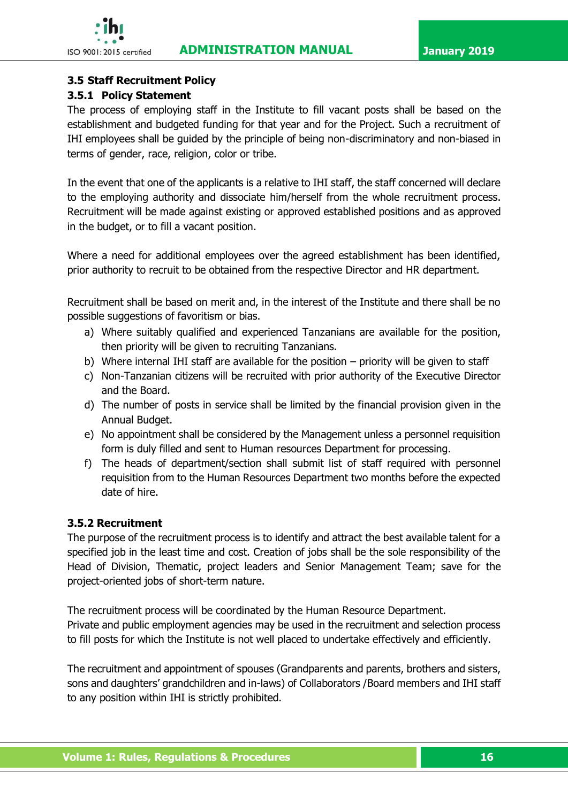

### <span id="page-27-0"></span>**3.5 Staff Recruitment Policy**

#### **3.5.1 Policy Statement**

The process of employing staff in the Institute to fill vacant posts shall be based on the establishment and budgeted funding for that year and for the Project. Such a recruitment of IHI employees shall be guided by the principle of being non-discriminatory and non-biased in terms of gender, race, religion, color or tribe.

In the event that one of the applicants is a relative to IHI staff, the staff concerned will declare to the employing authority and dissociate him/herself from the whole recruitment process. Recruitment will be made against existing or approved established positions and as approved in the budget, or to fill a vacant position.

Where a need for additional employees over the agreed establishment has been identified, prior authority to recruit to be obtained from the respective Director and HR department.

Recruitment shall be based on merit and, in the interest of the Institute and there shall be no possible suggestions of favoritism or bias.

- a) Where suitably qualified and experienced Tanzanians are available for the position, then priority will be given to recruiting Tanzanians.
- b) Where internal IHI staff are available for the position priority will be given to staff
- c) Non-Tanzanian citizens will be recruited with prior authority of the Executive Director and the Board.
- d) The number of posts in service shall be limited by the financial provision given in the Annual Budget.
- e) No appointment shall be considered by the Management unless a personnel requisition form is duly filled and sent to Human resources Department for processing.
- f) The heads of department/section shall submit list of staff required with personnel requisition from to the Human Resources Department two months before the expected date of hire.

## **3.5.2 Recruitment**

The purpose of the recruitment process is to identify and attract the best available talent for a specified job in the least time and cost. Creation of jobs shall be the sole responsibility of the Head of Division, Thematic, project leaders and Senior Management Team; save for the project-oriented jobs of short-term nature.

The recruitment process will be coordinated by the Human Resource Department. Private and public employment agencies may be used in the recruitment and selection process to fill posts for which the Institute is not well placed to undertake effectively and efficiently.

The recruitment and appointment of spouses (Grandparents and parents, brothers and sisters, sons and daughters' grandchildren and in-laws) of Collaborators /Board members and IHI staff to any position within IHI is strictly prohibited.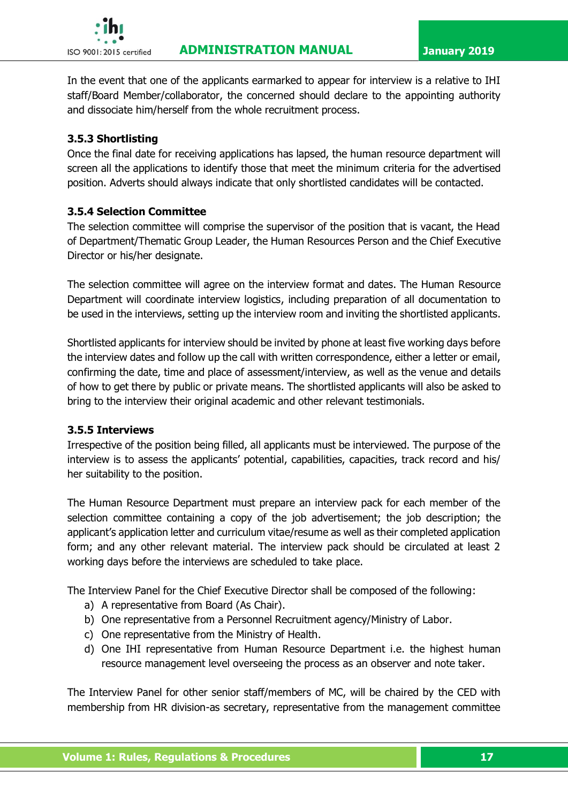

In the event that one of the applicants earmarked to appear for interview is a relative to IHI staff/Board Member/collaborator, the concerned should declare to the appointing authority and dissociate him/herself from the whole recruitment process.

# **3.5.3 Shortlisting**

Once the final date for receiving applications has lapsed, the human resource department will screen all the applications to identify those that meet the minimum criteria for the advertised position. Adverts should always indicate that only shortlisted candidates will be contacted.

# **3.5.4 Selection Committee**

The selection committee will comprise the supervisor of the position that is vacant, the Head of Department/Thematic Group Leader, the Human Resources Person and the Chief Executive Director or his/her designate.

The selection committee will agree on the interview format and dates. The Human Resource Department will coordinate interview logistics, including preparation of all documentation to be used in the interviews, setting up the interview room and inviting the shortlisted applicants.

Shortlisted applicants for interview should be invited by phone at least five working days before the interview dates and follow up the call with written correspondence, either a letter or email, confirming the date, time and place of assessment/interview, as well as the venue and details of how to get there by public or private means. The shortlisted applicants will also be asked to bring to the interview their original academic and other relevant testimonials.

#### **3.5.5 Interviews**

Irrespective of the position being filled, all applicants must be interviewed. The purpose of the interview is to assess the applicants' potential, capabilities, capacities, track record and his/ her suitability to the position.

The Human Resource Department must prepare an interview pack for each member of the selection committee containing a copy of the job advertisement; the job description; the applicant's application letter and curriculum vitae/resume as well as their completed application form; and any other relevant material. The interview pack should be circulated at least 2 working days before the interviews are scheduled to take place.

The Interview Panel for the Chief Executive Director shall be composed of the following:

- a) A representative from Board (As Chair).
- b) One representative from a Personnel Recruitment agency/Ministry of Labor.
- c) One representative from the Ministry of Health.
- d) One IHI representative from Human Resource Department i.e. the highest human resource management level overseeing the process as an observer and note taker.

The Interview Panel for other senior staff/members of MC, will be chaired by the CED with membership from HR division-as secretary, representative from the management committee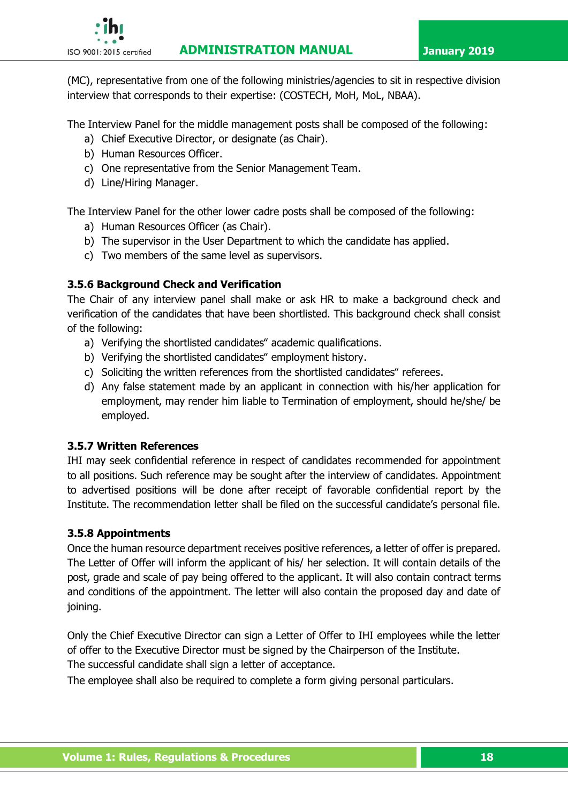![](_page_29_Picture_2.jpeg)

(MC), representative from one of the following ministries/agencies to sit in respective division interview that corresponds to their expertise: (COSTECH, MoH, MoL, NBAA).

The Interview Panel for the middle management posts shall be composed of the following:

- a) Chief Executive Director, or designate (as Chair).
- b) Human Resources Officer.
- c) One representative from the Senior Management Team.
- d) Line/Hiring Manager.

The Interview Panel for the other lower cadre posts shall be composed of the following:

- a) Human Resources Officer (as Chair).
- b) The supervisor in the User Department to which the candidate has applied.
- c) Two members of the same level as supervisors.

# **3.5.6 Background Check and Verification**

The Chair of any interview panel shall make or ask HR to make a background check and verification of the candidates that have been shortlisted. This background check shall consist of the following:

- a) Verifying the shortlisted candidates" academic qualifications.
- b) Verifying the shortlisted candidates" employment history.
- c) Soliciting the written references from the shortlisted candidates" referees.
- d) Any false statement made by an applicant in connection with his/her application for employment, may render him liable to Termination of employment, should he/she/ be employed.

# **3.5.7 Written References**

IHI may seek confidential reference in respect of candidates recommended for appointment to all positions. Such reference may be sought after the interview of candidates. Appointment to advertised positions will be done after receipt of favorable confidential report by the Institute. The recommendation letter shall be filed on the successful candidate's personal file.

# **3.5.8 Appointments**

Once the human resource department receives positive references, a letter of offer is prepared. The Letter of Offer will inform the applicant of his/ her selection. It will contain details of the post, grade and scale of pay being offered to the applicant. It will also contain contract terms and conditions of the appointment. The letter will also contain the proposed day and date of joining.

Only the Chief Executive Director can sign a Letter of Offer to IHI employees while the letter of offer to the Executive Director must be signed by the Chairperson of the Institute. The successful candidate shall sign a letter of acceptance.

The employee shall also be required to complete a form giving personal particulars.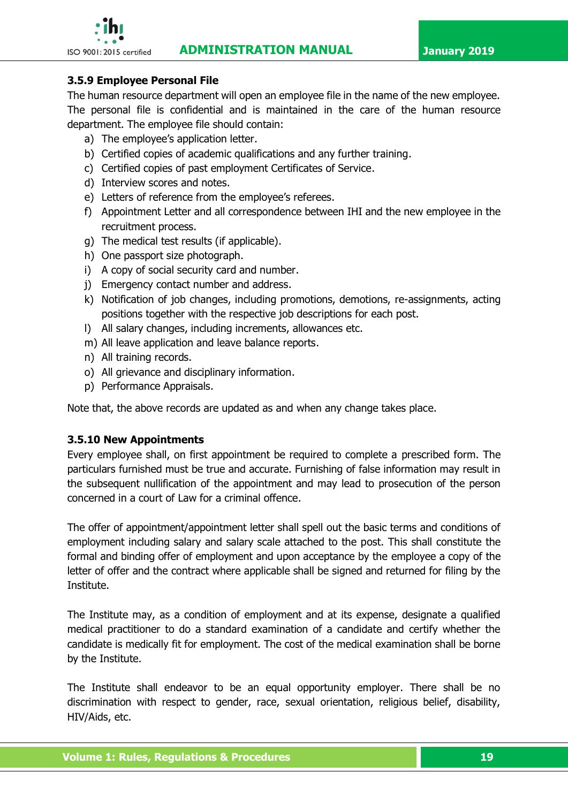![](_page_30_Picture_2.jpeg)

## **3.5.9 Employee Personal File**

The human resource department will open an employee file in the name of the new employee. The personal file is confidential and is maintained in the care of the human resource department. The employee file should contain:

- a) The employee's application letter.
- b) Certified copies of academic qualifications and any further training.
- c) Certified copies of past employment Certificates of Service.
- d) Interview scores and notes.
- e) Letters of reference from the employee's referees.
- f) Appointment Letter and all correspondence between IHI and the new employee in the recruitment process.
- g) The medical test results (if applicable).
- h) One passport size photograph.
- i) A copy of social security card and number.
- j) Emergency contact number and address.
- k) Notification of job changes, including promotions, demotions, re-assignments, acting positions together with the respective job descriptions for each post.
- l) All salary changes, including increments, allowances etc.
- m) All leave application and leave balance reports.
- n) All training records.
- o) All grievance and disciplinary information.
- p) Performance Appraisals.

Note that, the above records are updated as and when any change takes place.

#### **3.5.10 New Appointments**

Every employee shall, on first appointment be required to complete a prescribed form. The particulars furnished must be true and accurate. Furnishing of false information may result in the subsequent nullification of the appointment and may lead to prosecution of the person concerned in a court of Law for a criminal offence.

The offer of appointment/appointment letter shall spell out the basic terms and conditions of employment including salary and salary scale attached to the post. This shall constitute the formal and binding offer of employment and upon acceptance by the employee a copy of the letter of offer and the contract where applicable shall be signed and returned for filing by the Institute.

The Institute may, as a condition of employment and at its expense, designate a qualified medical practitioner to do a standard examination of a candidate and certify whether the candidate is medically fit for employment. The cost of the medical examination shall be borne by the Institute.

The Institute shall endeavor to be an equal opportunity employer. There shall be no discrimination with respect to gender, race, sexual orientation, religious belief, disability, HIV/Aids, etc.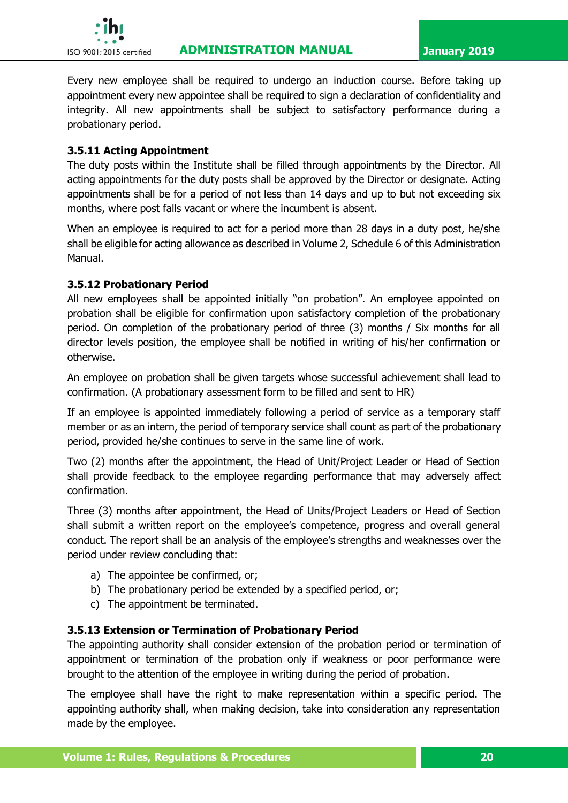![](_page_31_Picture_0.jpeg)

Every new employee shall be required to undergo an induction course. Before taking up appointment every new appointee shall be required to sign a declaration of confidentiality and integrity. All new appointments shall be subject to satisfactory performance during a probationary period.

#### **3.5.11 Acting Appointment**

The duty posts within the Institute shall be filled through appointments by the Director. All acting appointments for the duty posts shall be approved by the Director or designate. Acting appointments shall be for a period of not less than 14 days and up to but not exceeding six months, where post falls vacant or where the incumbent is absent.

When an employee is required to act for a period more than 28 days in a duty post, he/she shall be eligible for acting allowance as described in Volume 2, Schedule 6 of this Administration Manual.

#### **3.5.12 Probationary Period**

All new employees shall be appointed initially "on probation". An employee appointed on probation shall be eligible for confirmation upon satisfactory completion of the probationary period. On completion of the probationary period of three (3) months / Six months for all director levels position, the employee shall be notified in writing of his/her confirmation or otherwise.

An employee on probation shall be given targets whose successful achievement shall lead to confirmation. (A probationary assessment form to be filled and sent to HR)

If an employee is appointed immediately following a period of service as a temporary staff member or as an intern, the period of temporary service shall count as part of the probationary period, provided he/she continues to serve in the same line of work.

Two (2) months after the appointment, the Head of Unit/Project Leader or Head of Section shall provide feedback to the employee regarding performance that may adversely affect confirmation.

Three (3) months after appointment, the Head of Units/Project Leaders or Head of Section shall submit a written report on the employee's competence, progress and overall general conduct. The report shall be an analysis of the employee's strengths and weaknesses over the period under review concluding that:

- a) The appointee be confirmed, or;
- b) The probationary period be extended by a specified period, or;
- c) The appointment be terminated.

#### **3.5.13 Extension or Termination of Probationary Period**

The appointing authority shall consider extension of the probation period or termination of appointment or termination of the probation only if weakness or poor performance were brought to the attention of the employee in writing during the period of probation.

The employee shall have the right to make representation within a specific period. The appointing authority shall, when making decision, take into consideration any representation made by the employee.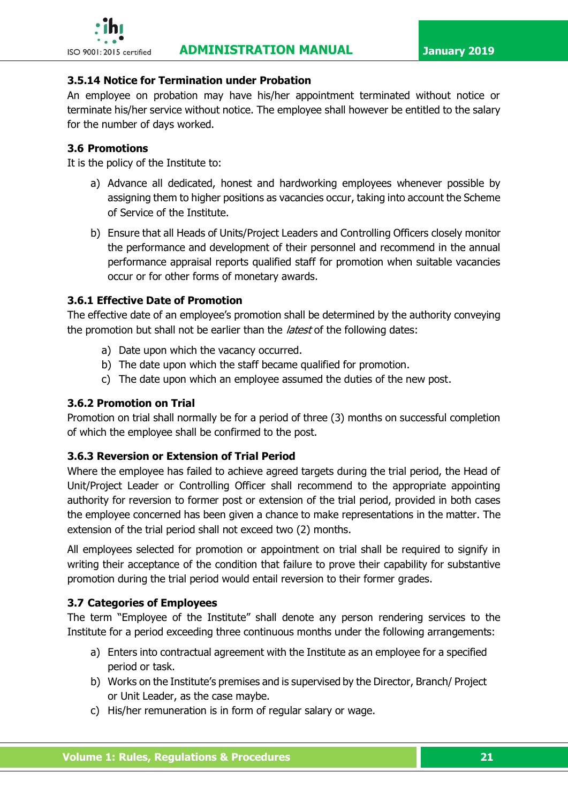#### **3.5.14 Notice for Termination under Probation**

An employee on probation may have his/her appointment terminated without notice or terminate his/her service without notice. The employee shall however be entitled to the salary for the number of days worked.

### <span id="page-32-0"></span>**3.6 Promotions**

It is the policy of the Institute to:

- a) Advance all dedicated, honest and hardworking employees whenever possible by assigning them to higher positions as vacancies occur, taking into account the Scheme of Service of the Institute.
- b) Ensure that all Heads of Units/Project Leaders and Controlling Officers closely monitor the performance and development of their personnel and recommend in the annual performance appraisal reports qualified staff for promotion when suitable vacancies occur or for other forms of monetary awards.

#### **3.6.1 Effective Date of Promotion**

The effective date of an employee's promotion shall be determined by the authority conveying the promotion but shall not be earlier than the *latest* of the following dates:

- a) Date upon which the vacancy occurred.
- b) The date upon which the staff became qualified for promotion.
- c) The date upon which an employee assumed the duties of the new post.

#### **3.6.2 Promotion on Trial**

Promotion on trial shall normally be for a period of three (3) months on successful completion of which the employee shall be confirmed to the post.

#### **3.6.3 Reversion or Extension of Trial Period**

Where the employee has failed to achieve agreed targets during the trial period, the Head of Unit/Project Leader or Controlling Officer shall recommend to the appropriate appointing authority for reversion to former post or extension of the trial period, provided in both cases the employee concerned has been given a chance to make representations in the matter. The extension of the trial period shall not exceed two (2) months.

All employees selected for promotion or appointment on trial shall be required to signify in writing their acceptance of the condition that failure to prove their capability for substantive promotion during the trial period would entail reversion to their former grades.

# <span id="page-32-1"></span>**3.7 Categories of Employees**

The term "Employee of the Institute" shall denote any person rendering services to the Institute for a period exceeding three continuous months under the following arrangements:

- a) Enters into contractual agreement with the Institute as an employee for a specified period or task.
- b) Works on the Institute's premises and is supervised by the Director, Branch/ Project or Unit Leader, as the case maybe.
- c) His/her remuneration is in form of regular salary or wage.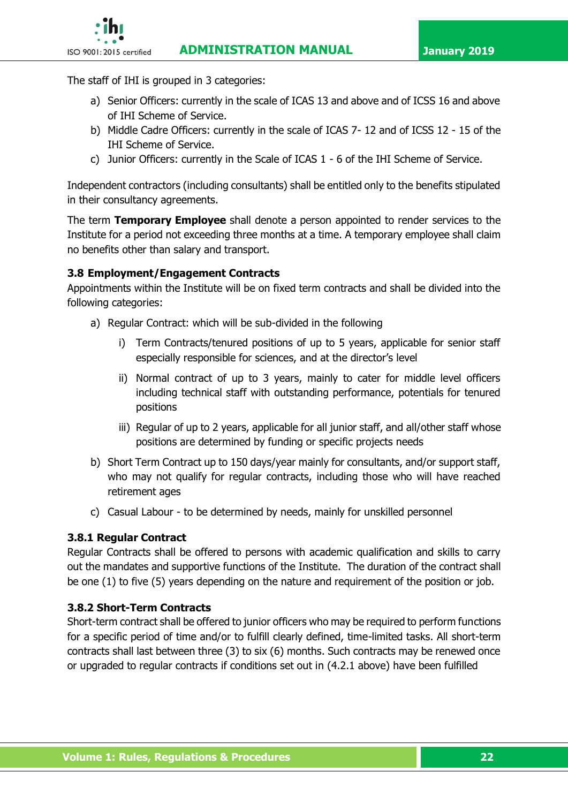![](_page_33_Picture_2.jpeg)

The staff of IHI is grouped in 3 categories:

- a) Senior Officers: currently in the scale of ICAS 13 and above and of ICSS 16 and above of IHI Scheme of Service.
- b) Middle Cadre Officers: currently in the scale of ICAS 7- 12 and of ICSS 12 15 of the IHI Scheme of Service.
- c) Junior Officers: currently in the Scale of ICAS 1 6 of the IHI Scheme of Service.

Independent contractors (including consultants) shall be entitled only to the benefits stipulated in their consultancy agreements.

The term **Temporary Employee** shall denote a person appointed to render services to the Institute for a period not exceeding three months at a time. A temporary employee shall claim no benefits other than salary and transport.

# <span id="page-33-0"></span>**3.8 Employment/Engagement Contracts**

Appointments within the Institute will be on fixed term contracts and shall be divided into the following categories:

- a) Regular Contract: which will be sub-divided in the following
	- i) Term Contracts/tenured positions of up to 5 years, applicable for senior staff especially responsible for sciences, and at the director's level
	- ii) Normal contract of up to 3 years, mainly to cater for middle level officers including technical staff with outstanding performance, potentials for tenured positions
	- iii) Regular of up to 2 years, applicable for all junior staff, and all/other staff whose positions are determined by funding or specific projects needs
- b) Short Term Contract up to 150 days/year mainly for consultants, and/or support staff, who may not qualify for regular contracts, including those who will have reached retirement ages
- c) Casual Labour to be determined by needs, mainly for unskilled personnel

# **3.8.1 Regular Contract**

Regular Contracts shall be offered to persons with academic qualification and skills to carry out the mandates and supportive functions of the Institute. The duration of the contract shall be one (1) to five (5) years depending on the nature and requirement of the position or job.

# **3.8.2 Short-Term Contracts**

Short-term contract shall be offered to junior officers who may be required to perform functions for a specific period of time and/or to fulfill clearly defined, time-limited tasks. All short-term contracts shall last between three (3) to six (6) months. Such contracts may be renewed once or upgraded to regular contracts if conditions set out in (4.2.1 above) have been fulfilled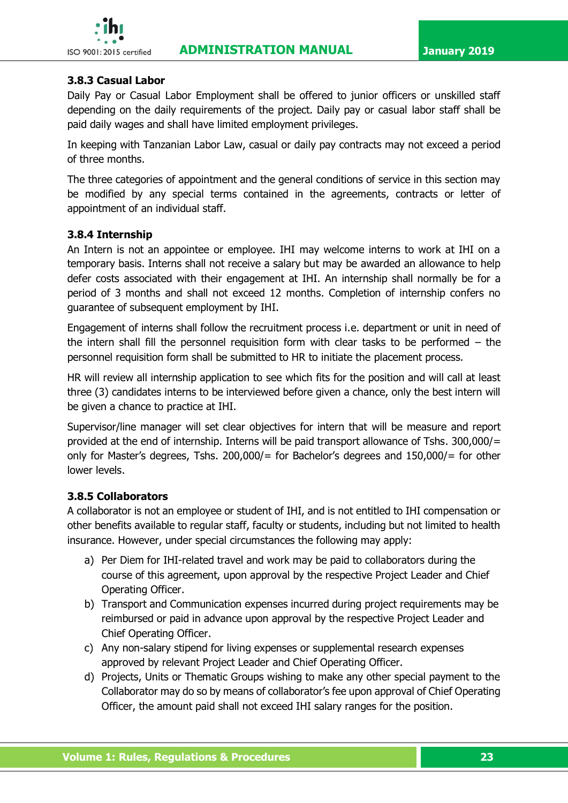![](_page_34_Picture_2.jpeg)

# **3.8.3 Casual Labor**

Daily Pay or Casual Labor Employment shall be offered to junior officers or unskilled staff depending on the daily requirements of the project. Daily pay or casual labor staff shall be paid daily wages and shall have limited employment privileges.

In keeping with Tanzanian Labor Law, casual or daily pay contracts may not exceed a period of three months.

The three categories of appointment and the general conditions of service in this section may be modified by any special terms contained in the agreements, contracts or letter of appointment of an individual staff.

# **3.8.4 Internship**

An Intern is not an appointee or employee. IHI may welcome interns to work at IHI on a temporary basis. Interns shall not receive a salary but may be awarded an allowance to help defer costs associated with their engagement at IHI. An internship shall normally be for a period of 3 months and shall not exceed 12 months. Completion of internship confers no guarantee of subsequent employment by IHI.

Engagement of interns shall follow the recruitment process i.e. department or unit in need of the intern shall fill the personnel requisition form with clear tasks to be performed – the personnel requisition form shall be submitted to HR to initiate the placement process.

HR will review all internship application to see which fits for the position and will call at least three (3) candidates interns to be interviewed before given a chance, only the best intern will be given a chance to practice at IHI.

Supervisor/line manager will set clear objectives for intern that will be measure and report provided at the end of internship. Interns will be paid transport allowance of Tshs. 300,000/= only for Master's degrees, Tshs. 200,000/= for Bachelor's degrees and 150,000/= for other lower levels.

# **3.8.5 Collaborators**

A collaborator is not an employee or student of IHI, and is not entitled to IHI compensation or other benefits available to regular staff, faculty or students, including but not limited to health insurance. However, under special circumstances the following may apply:

- a) Per Diem for IHI-related travel and work may be paid to collaborators during the course of this agreement, upon approval by the respective Project Leader and Chief Operating Officer.
- b) Transport and Communication expenses incurred during project requirements may be reimbursed or paid in advance upon approval by the respective Project Leader and Chief Operating Officer.
- c) Any non-salary stipend for living expenses or supplemental research expenses approved by relevant Project Leader and Chief Operating Officer.
- d) Projects, Units or Thematic Groups wishing to make any other special payment to the Collaborator may do so by means of collaborator's fee upon approval of Chief Operating Officer, the amount paid shall not exceed IHI salary ranges for the position.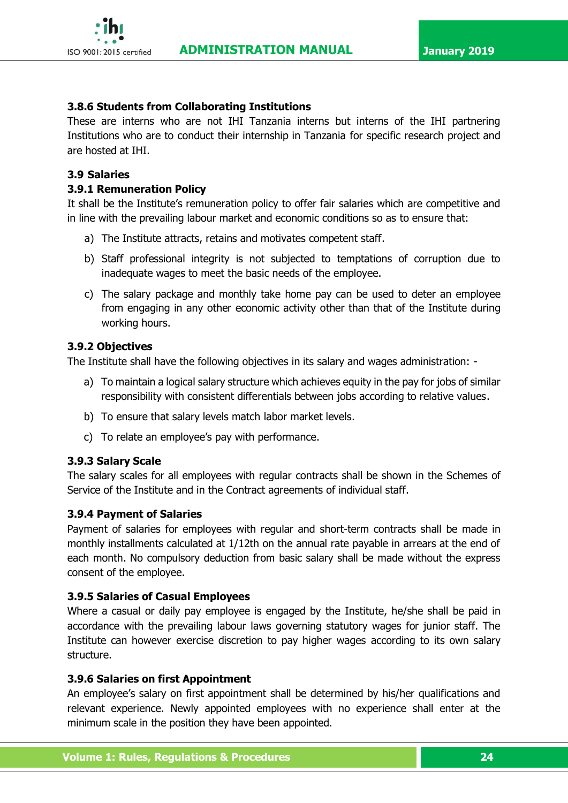![](_page_35_Picture_2.jpeg)

#### **3.8.6 Students from Collaborating Institutions**

These are interns who are not IHI Tanzania interns but interns of the IHI partnering Institutions who are to conduct their internship in Tanzania for specific research project and are hosted at IHI.

#### <span id="page-35-0"></span>**3.9 Salaries**

### **3.9.1 Remuneration Policy**

It shall be the Institute's remuneration policy to offer fair salaries which are competitive and in line with the prevailing labour market and economic conditions so as to ensure that:

- a) The Institute attracts, retains and motivates competent staff.
- b) Staff professional integrity is not subjected to temptations of corruption due to inadequate wages to meet the basic needs of the employee.
- c) The salary package and monthly take home pay can be used to deter an employee from engaging in any other economic activity other than that of the Institute during working hours.

### **3.9.2 Objectives**

The Institute shall have the following objectives in its salary and wages administration: -

- a) To maintain a logical salary structure which achieves equity in the pay for jobs of similar responsibility with consistent differentials between jobs according to relative values.
- b) To ensure that salary levels match labor market levels.
- c) To relate an employee's pay with performance.

# **3.9.3 Salary Scale**

The salary scales for all employees with regular contracts shall be shown in the Schemes of Service of the Institute and in the Contract agreements of individual staff.

#### **3.9.4 Payment of Salaries**

Payment of salaries for employees with regular and short-term contracts shall be made in monthly installments calculated at 1/12th on the annual rate payable in arrears at the end of each month. No compulsory deduction from basic salary shall be made without the express consent of the employee.

# **3.9.5 Salaries of Casual Employees**

Where a casual or daily pay employee is engaged by the Institute, he/she shall be paid in accordance with the prevailing labour laws governing statutory wages for junior staff. The Institute can however exercise discretion to pay higher wages according to its own salary structure.

#### **3.9.6 Salaries on first Appointment**

An employee's salary on first appointment shall be determined by his/her qualifications and relevant experience. Newly appointed employees with no experience shall enter at the minimum scale in the position they have been appointed.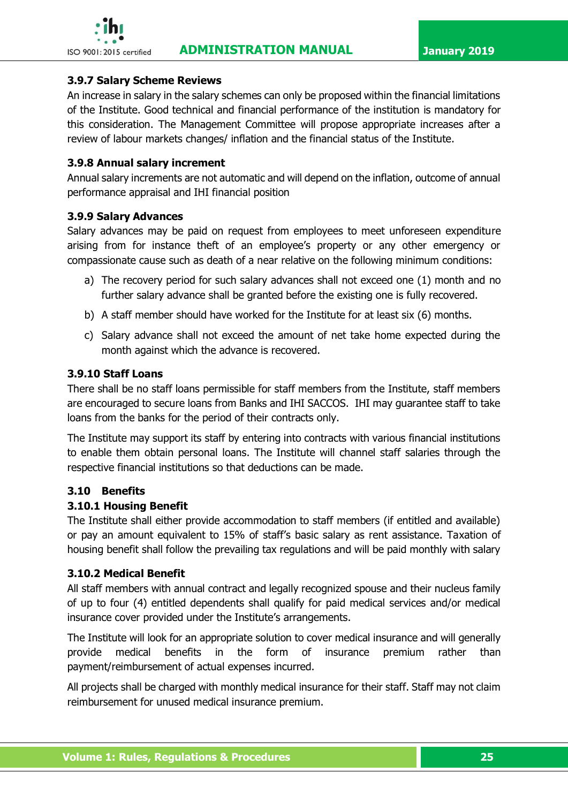

#### **3.9.7 Salary Scheme Reviews**

An increase in salary in the salary schemes can only be proposed within the financial limitations of the Institute. Good technical and financial performance of the institution is mandatory for this consideration. The Management Committee will propose appropriate increases after a review of labour markets changes/ inflation and the financial status of the Institute.

### **3.9.8 Annual salary increment**

Annual salary increments are not automatic and will depend on the inflation, outcome of annual performance appraisal and IHI financial position

### **3.9.9 Salary Advances**

Salary advances may be paid on request from employees to meet unforeseen expenditure arising from for instance theft of an employee's property or any other emergency or compassionate cause such as death of a near relative on the following minimum conditions:

- a) The recovery period for such salary advances shall not exceed one (1) month and no further salary advance shall be granted before the existing one is fully recovered.
- b) A staff member should have worked for the Institute for at least six (6) months.
- c) Salary advance shall not exceed the amount of net take home expected during the month against which the advance is recovered.

### **3.9.10 Staff Loans**

There shall be no staff loans permissible for staff members from the Institute, staff members are encouraged to secure loans from Banks and IHI SACCOS. IHI may guarantee staff to take loans from the banks for the period of their contracts only.

The Institute may support its staff by entering into contracts with various financial institutions to enable them obtain personal loans. The Institute will channel staff salaries through the respective financial institutions so that deductions can be made.

# **3.10 Benefits**

# **3.10.1 Housing Benefit**

The Institute shall either provide accommodation to staff members (if entitled and available) or pay an amount equivalent to 15% of staff's basic salary as rent assistance. Taxation of housing benefit shall follow the prevailing tax regulations and will be paid monthly with salary

#### **3.10.2 Medical Benefit**

All staff members with annual contract and legally recognized spouse and their nucleus family of up to four (4) entitled dependents shall qualify for paid medical services and/or medical insurance cover provided under the Institute's arrangements.

The Institute will look for an appropriate solution to cover medical insurance and will generally provide medical benefits in the form of insurance premium rather than payment/reimbursement of actual expenses incurred.

All projects shall be charged with monthly medical insurance for their staff. Staff may not claim reimbursement for unused medical insurance premium.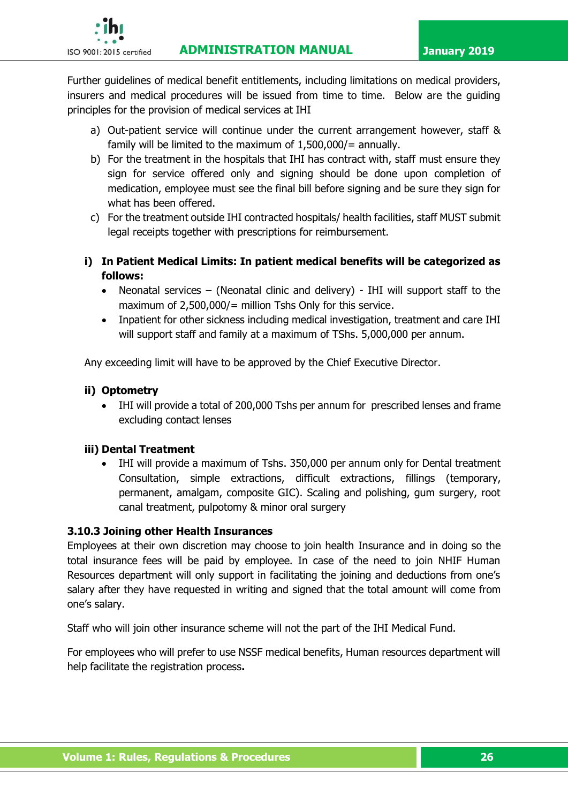

Further guidelines of medical benefit entitlements, including limitations on medical providers, insurers and medical procedures will be issued from time to time. Below are the guiding principles for the provision of medical services at IHI

- a) Out-patient service will continue under the current arrangement however, staff & family will be limited to the maximum of  $1,500,000/$  = annually.
- b) For the treatment in the hospitals that IHI has contract with, staff must ensure they sign for service offered only and signing should be done upon completion of medication, employee must see the final bill before signing and be sure they sign for what has been offered.
- c) For the treatment outside IHI contracted hospitals/ health facilities, staff MUST submit legal receipts together with prescriptions for reimbursement.
- **i) In Patient Medical Limits: In patient medical benefits will be categorized as follows:**
	- Neonatal services (Neonatal clinic and delivery) IHI will support staff to the maximum of 2,500,000/= million Tshs Only for this service.
	- Inpatient for other sickness including medical investigation, treatment and care IHI will support staff and family at a maximum of TShs. 5,000,000 per annum.

Any exceeding limit will have to be approved by the Chief Executive Director.

### **ii) Optometry**

• IHI will provide a total of 200,000 Tshs per annum for prescribed lenses and frame excluding contact lenses

#### **iii) Dental Treatment**

• IHI will provide a maximum of Tshs. 350,000 per annum only for Dental treatment Consultation, simple extractions, difficult extractions, fillings (temporary, permanent, amalgam, composite GIC). Scaling and polishing, gum surgery, root canal treatment, pulpotomy & minor oral surgery

#### **3.10.3 Joining other Health Insurances**

Employees at their own discretion may choose to join health Insurance and in doing so the total insurance fees will be paid by employee. In case of the need to join NHIF Human Resources department will only support in facilitating the joining and deductions from one's salary after they have requested in writing and signed that the total amount will come from one's salary.

Staff who will join other insurance scheme will not the part of the IHI Medical Fund.

For employees who will prefer to use NSSF medical benefits, Human resources department will help facilitate the registration process**.**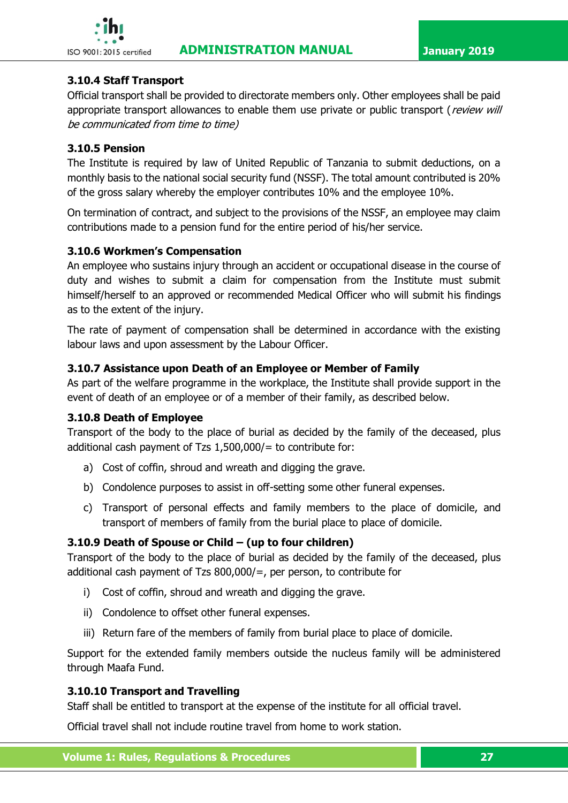

# **3.10.4 Staff Transport**

Official transport shall be provided to directorate members only. Other employees shall be paid appropriate transport allowances to enable them use private or public transport (review will be communicated from time to time)

### **3.10.5 Pension**

The Institute is required by law of United Republic of Tanzania to submit deductions, on a monthly basis to the national social security fund (NSSF). The total amount contributed is 20% of the gross salary whereby the employer contributes 10% and the employee 10%.

On termination of contract, and subject to the provisions of the NSSF, an employee may claim contributions made to a pension fund for the entire period of his/her service.

### **3.10.6 Workmen's Compensation**

An employee who sustains injury through an accident or occupational disease in the course of duty and wishes to submit a claim for compensation from the Institute must submit himself/herself to an approved or recommended Medical Officer who will submit his findings as to the extent of the injury.

The rate of payment of compensation shall be determined in accordance with the existing labour laws and upon assessment by the Labour Officer.

### **3.10.7 Assistance upon Death of an Employee or Member of Family**

As part of the welfare programme in the workplace, the Institute shall provide support in the event of death of an employee or of a member of their family, as described below.

#### **3.10.8 Death of Employee**

Transport of the body to the place of burial as decided by the family of the deceased, plus additional cash payment of Tzs 1,500,000/= to contribute for:

- a) Cost of coffin, shroud and wreath and digging the grave.
- b) Condolence purposes to assist in off-setting some other funeral expenses.
- c) Transport of personal effects and family members to the place of domicile, and transport of members of family from the burial place to place of domicile.

# **3.10.9 Death of Spouse or Child – (up to four children)**

Transport of the body to the place of burial as decided by the family of the deceased, plus additional cash payment of Tzs 800,000/=, per person, to contribute for

- i) Cost of coffin, shroud and wreath and digging the grave.
- ii) Condolence to offset other funeral expenses.
- iii) Return fare of the members of family from burial place to place of domicile.

Support for the extended family members outside the nucleus family will be administered through Maafa Fund.

#### **3.10.10 Transport and Travelling**

Staff shall be entitled to transport at the expense of the institute for all official travel.

Official travel shall not include routine travel from home to work station.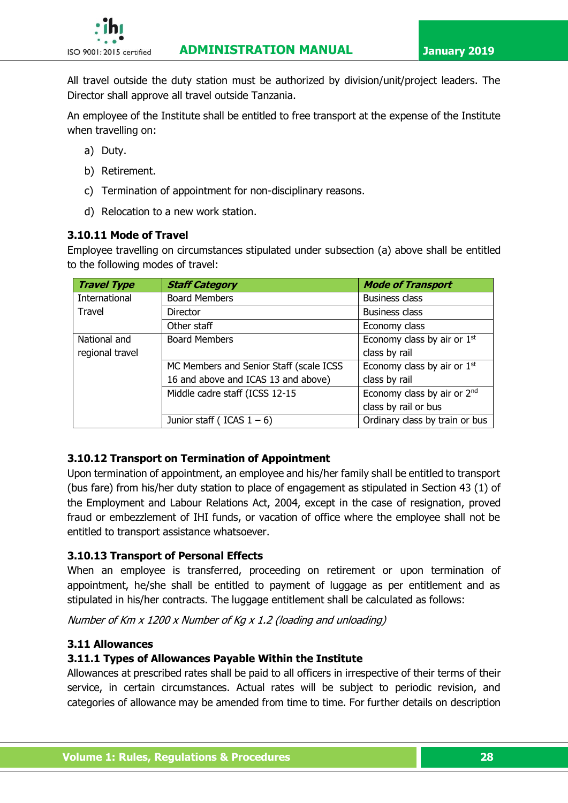

All travel outside the duty station must be authorized by division/unit/project leaders. The Director shall approve all travel outside Tanzania.

An employee of the Institute shall be entitled to free transport at the expense of the Institute when travelling on:

- a) Duty.
- b) Retirement.
- c) Termination of appointment for non-disciplinary reasons.
- d) Relocation to a new work station.

### **3.10.11 Mode of Travel**

Employee travelling on circumstances stipulated under subsection (a) above shall be entitled to the following modes of travel:

| <b>Travel Type</b> | <b>Staff Category</b>                   | <b>Mode of Transport</b>                |
|--------------------|-----------------------------------------|-----------------------------------------|
| International      | <b>Board Members</b>                    | <b>Business class</b>                   |
| Travel             | Director                                | <b>Business class</b>                   |
|                    | Other staff                             | Economy class                           |
| National and       | <b>Board Members</b>                    | Economy class by air or 1st             |
| regional travel    |                                         | class by rail                           |
|                    | MC Members and Senior Staff (scale ICSS | Economy class by air or 1st             |
|                    | 16 and above and ICAS 13 and above)     | class by rail                           |
|                    | Middle cadre staff (ICSS 12-15          | Economy class by air or 2 <sup>nd</sup> |
|                    |                                         | class by rail or bus                    |
|                    | Junior staff (ICAS $1 - 6$ )            | Ordinary class by train or bus          |

# **3.10.12 Transport on Termination of Appointment**

Upon termination of appointment, an employee and his/her family shall be entitled to transport (bus fare) from his/her duty station to place of engagement as stipulated in Section 43 (1) of the Employment and Labour Relations Act, 2004, except in the case of resignation, proved fraud or embezzlement of IHI funds, or vacation of office where the employee shall not be entitled to transport assistance whatsoever.

# **3.10.13 Transport of Personal Effects**

When an employee is transferred, proceeding on retirement or upon termination of appointment, he/she shall be entitled to payment of luggage as per entitlement and as stipulated in his/her contracts. The luggage entitlement shall be calculated as follows:

Number of Km x 1200 x Number of Kg x 1.2 (loading and unloading)

#### **3.11 Allowances**

# **3.11.1 Types of Allowances Payable Within the Institute**

Allowances at prescribed rates shall be paid to all officers in irrespective of their terms of their service, in certain circumstances. Actual rates will be subject to periodic revision, and categories of allowance may be amended from time to time. For further details on description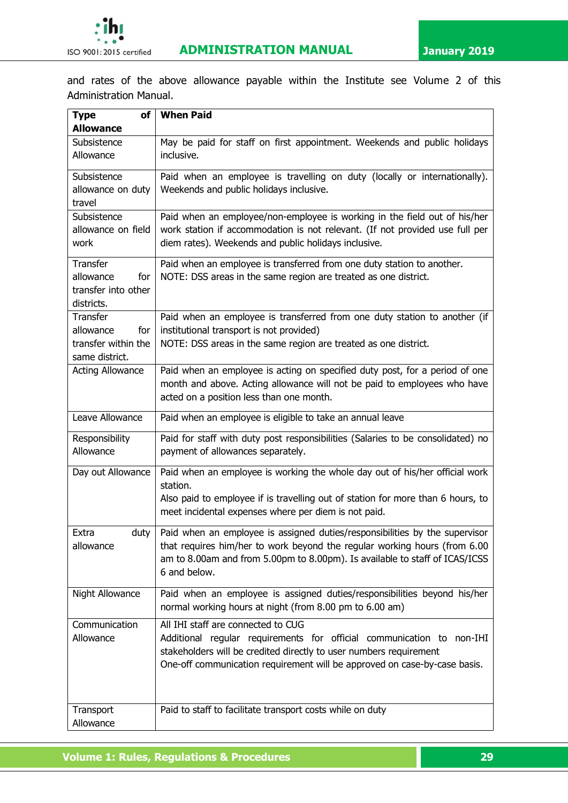and rates of the above allowance payable within the Institute see Volume 2 of this Administration Manual.

| <b>Type</b><br>of       | <b>When Paid</b>                                                                                                                                        |  |  |
|-------------------------|---------------------------------------------------------------------------------------------------------------------------------------------------------|--|--|
| <b>Allowance</b>        |                                                                                                                                                         |  |  |
| Subsistence             | May be paid for staff on first appointment. Weekends and public holidays                                                                                |  |  |
| Allowance               | inclusive.                                                                                                                                              |  |  |
| Subsistence             | Paid when an employee is travelling on duty (locally or internationally).                                                                               |  |  |
| allowance on duty       | Weekends and public holidays inclusive.                                                                                                                 |  |  |
| travel                  |                                                                                                                                                         |  |  |
| Subsistence             | Paid when an employee/non-employee is working in the field out of his/her                                                                               |  |  |
| allowance on field      | work station if accommodation is not relevant. (If not provided use full per                                                                            |  |  |
| work                    | diem rates). Weekends and public holidays inclusive.                                                                                                    |  |  |
| <b>Transfer</b>         | Paid when an employee is transferred from one duty station to another.                                                                                  |  |  |
| allowance<br>for        | NOTE: DSS areas in the same region are treated as one district.                                                                                         |  |  |
| transfer into other     |                                                                                                                                                         |  |  |
| districts.              |                                                                                                                                                         |  |  |
| Transfer                | Paid when an employee is transferred from one duty station to another (if                                                                               |  |  |
| allowance<br>for        | institutional transport is not provided)                                                                                                                |  |  |
| transfer within the     | NOTE: DSS areas in the same region are treated as one district.                                                                                         |  |  |
| same district.          |                                                                                                                                                         |  |  |
| <b>Acting Allowance</b> | Paid when an employee is acting on specified duty post, for a period of one<br>month and above. Acting allowance will not be paid to employees who have |  |  |
|                         | acted on a position less than one month.                                                                                                                |  |  |
|                         |                                                                                                                                                         |  |  |
| Leave Allowance         | Paid when an employee is eligible to take an annual leave                                                                                               |  |  |
| Responsibility          | Paid for staff with duty post responsibilities (Salaries to be consolidated) no                                                                         |  |  |
| Allowance               | payment of allowances separately.                                                                                                                       |  |  |
| Day out Allowance       | Paid when an employee is working the whole day out of his/her official work<br>station.                                                                 |  |  |
|                         | Also paid to employee if is travelling out of station for more than 6 hours, to                                                                         |  |  |
|                         | meet incidental expenses where per diem is not paid.                                                                                                    |  |  |
|                         |                                                                                                                                                         |  |  |
| Extra                   | duty $\vert$ Paid when an employee is assigned duties/responsibilities by the supervisor                                                                |  |  |
| allowance               | that requires him/her to work beyond the regular working hours (from 6.00                                                                               |  |  |
|                         | am to 8.00am and from 5.00pm to 8.00pm). Is available to staff of ICAS/ICSS                                                                             |  |  |
|                         | 6 and below.                                                                                                                                            |  |  |
| Night Allowance         | Paid when an employee is assigned duties/responsibilities beyond his/her                                                                                |  |  |
|                         | normal working hours at night (from 8.00 pm to 6.00 am)                                                                                                 |  |  |
| Communication           | All IHI staff are connected to CUG                                                                                                                      |  |  |
| Allowance               | Additional regular requirements for official communication to non-IHI                                                                                   |  |  |
|                         | stakeholders will be credited directly to user numbers requirement                                                                                      |  |  |
|                         | One-off communication requirement will be approved on case-by-case basis.                                                                               |  |  |
|                         |                                                                                                                                                         |  |  |
|                         |                                                                                                                                                         |  |  |
| Transport               | Paid to staff to facilitate transport costs while on duty                                                                                               |  |  |
| Allowance               |                                                                                                                                                         |  |  |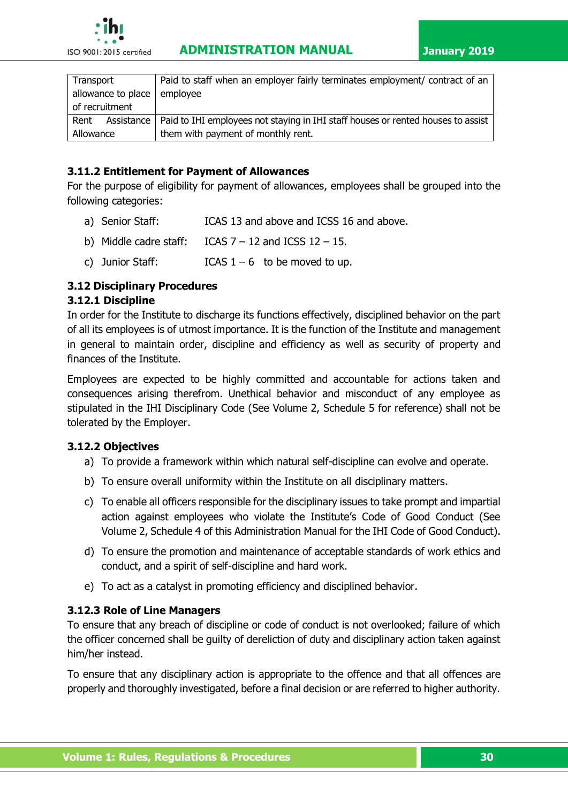| Transport                     | Paid to staff when an employer fairly terminates employment/ contract of an                   |
|-------------------------------|-----------------------------------------------------------------------------------------------|
| allowance to place   employee |                                                                                               |
| of recruitment                |                                                                                               |
| Rent                          | Assistance   Paid to IHI employees not staying in IHI staff houses or rented houses to assist |
| Allowance                     | them with payment of monthly rent.                                                            |

# **3.11.2 Entitlement for Payment of Allowances**

For the purpose of eligibility for payment of allowances, employees shall be grouped into the following categories:

- a) Senior Staff: ICAS 13 and above and ICSS 16 and above.
- b) Middle cadre staff: ICAS  $7 12$  and ICSS  $12 15$ .
- c) Junior Staff:  $ICAS 1 6$  to be moved to up.

### **3.12 Disciplinary Procedures**

#### **3.12.1 Discipline**

In order for the Institute to discharge its functions effectively, disciplined behavior on the part of all its employees is of utmost importance. It is the function of the Institute and management in general to maintain order, discipline and efficiency as well as security of property and finances of the Institute.

Employees are expected to be highly committed and accountable for actions taken and consequences arising therefrom. Unethical behavior and misconduct of any employee as stipulated in the IHI Disciplinary Code (See Volume 2, Schedule 5 for reference) shall not be tolerated by the Employer.

#### **3.12.2 Objectives**

- a) To provide a framework within which natural self-discipline can evolve and operate.
- b) To ensure overall uniformity within the Institute on all disciplinary matters.
- c) To enable all officers responsible for the disciplinary issues to take prompt and impartial action against employees who violate the Institute's Code of Good Conduct (See Volume 2, Schedule 4 of this Administration Manual for the IHI Code of Good Conduct).
- d) To ensure the promotion and maintenance of acceptable standards of work ethics and conduct, and a spirit of self-discipline and hard work.
- e) To act as a catalyst in promoting efficiency and disciplined behavior.

# **3.12.3 Role of Line Managers**

To ensure that any breach of discipline or code of conduct is not overlooked; failure of which the officer concerned shall be guilty of dereliction of duty and disciplinary action taken against him/her instead.

To ensure that any disciplinary action is appropriate to the offence and that all offences are properly and thoroughly investigated, before a final decision or are referred to higher authority.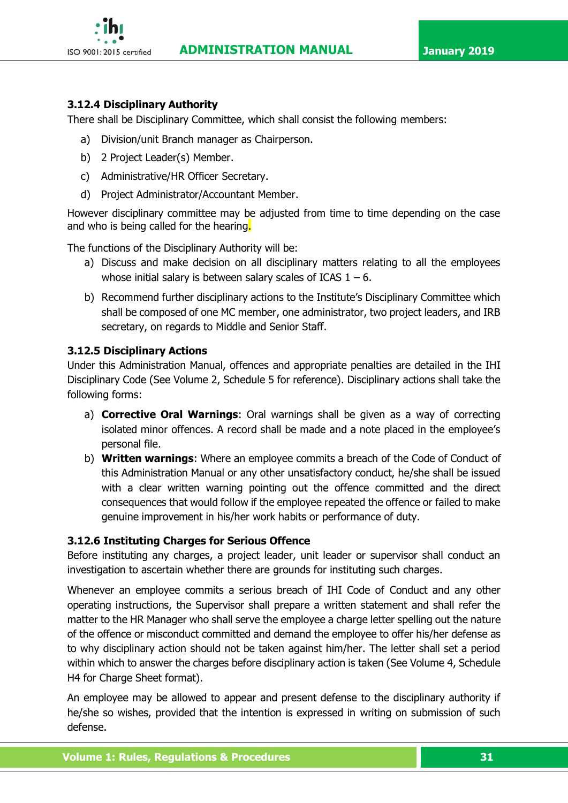

# **3.12.4 Disciplinary Authority**

There shall be Disciplinary Committee, which shall consist the following members:

- a) Division/unit Branch manager as Chairperson.
- b) 2 Project Leader(s) Member.
- c) Administrative/HR Officer Secretary.
- d) Project Administrator/Accountant Member.

However disciplinary committee may be adjusted from time to time depending on the case and who is being called for the hearing.

The functions of the Disciplinary Authority will be:

- a) Discuss and make decision on all disciplinary matters relating to all the employees whose initial salary is between salary scales of ICAS  $1 - 6$ .
- b) Recommend further disciplinary actions to the Institute's Disciplinary Committee which shall be composed of one MC member, one administrator, two project leaders, and IRB secretary, on regards to Middle and Senior Staff.

### **3.12.5 Disciplinary Actions**

Under this Administration Manual, offences and appropriate penalties are detailed in the IHI Disciplinary Code (See Volume 2, Schedule 5 for reference). Disciplinary actions shall take the following forms:

- a) **Corrective Oral Warnings**: Oral warnings shall be given as a way of correcting isolated minor offences. A record shall be made and a note placed in the employee's personal file.
- b) **Written warnings**: Where an employee commits a breach of the Code of Conduct of this Administration Manual or any other unsatisfactory conduct, he/she shall be issued with a clear written warning pointing out the offence committed and the direct consequences that would follow if the employee repeated the offence or failed to make genuine improvement in his/her work habits or performance of duty.

# **3.12.6 Instituting Charges for Serious Offence**

Before instituting any charges, a project leader, unit leader or supervisor shall conduct an investigation to ascertain whether there are grounds for instituting such charges.

Whenever an employee commits a serious breach of IHI Code of Conduct and any other operating instructions, the Supervisor shall prepare a written statement and shall refer the matter to the HR Manager who shall serve the employee a charge letter spelling out the nature of the offence or misconduct committed and demand the employee to offer his/her defense as to why disciplinary action should not be taken against him/her. The letter shall set a period within which to answer the charges before disciplinary action is taken (See Volume 4, Schedule H4 for Charge Sheet format).

An employee may be allowed to appear and present defense to the disciplinary authority if he/she so wishes, provided that the intention is expressed in writing on submission of such defense.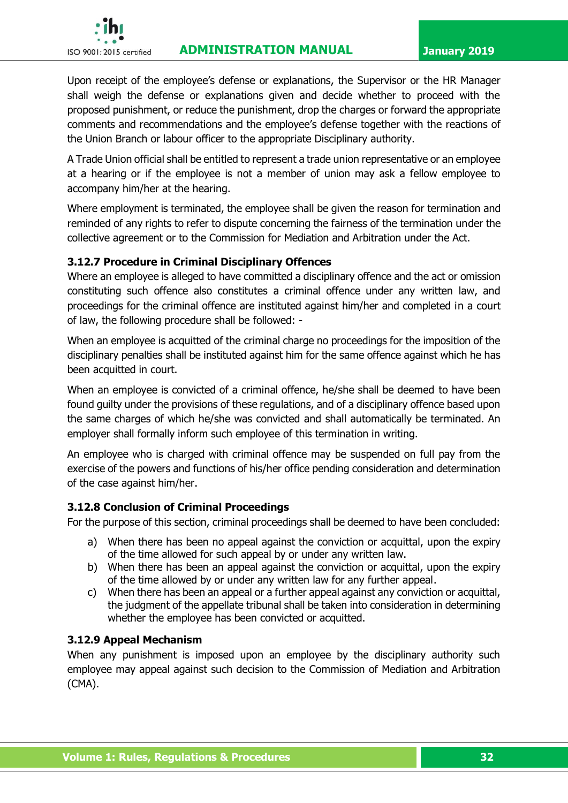# **ISO 9001:2015 certified ADMINISTRATION MANUAL January 2019**



Upon receipt of the employee's defense or explanations, the Supervisor or the HR Manager shall weigh the defense or explanations given and decide whether to proceed with the proposed punishment, or reduce the punishment, drop the charges or forward the appropriate comments and recommendations and the employee's defense together with the reactions of the Union Branch or labour officer to the appropriate Disciplinary authority.

A Trade Union official shall be entitled to represent a trade union representative or an employee at a hearing or if the employee is not a member of union may ask a fellow employee to accompany him/her at the hearing.

Where employment is terminated, the employee shall be given the reason for termination and reminded of any rights to refer to dispute concerning the fairness of the termination under the collective agreement or to the Commission for Mediation and Arbitration under the Act.

# **3.12.7 Procedure in Criminal Disciplinary Offences**

Where an employee is alleged to have committed a disciplinary offence and the act or omission constituting such offence also constitutes a criminal offence under any written law, and proceedings for the criminal offence are instituted against him/her and completed in a court of law, the following procedure shall be followed: -

When an employee is acquitted of the criminal charge no proceedings for the imposition of the disciplinary penalties shall be instituted against him for the same offence against which he has been acquitted in court.

When an employee is convicted of a criminal offence, he/she shall be deemed to have been found guilty under the provisions of these regulations, and of a disciplinary offence based upon the same charges of which he/she was convicted and shall automatically be terminated. An employer shall formally inform such employee of this termination in writing.

An employee who is charged with criminal offence may be suspended on full pay from the exercise of the powers and functions of his/her office pending consideration and determination of the case against him/her.

#### **3.12.8 Conclusion of Criminal Proceedings**

For the purpose of this section, criminal proceedings shall be deemed to have been concluded:

- a) When there has been no appeal against the conviction or acquittal, upon the expiry of the time allowed for such appeal by or under any written law.
- b) When there has been an appeal against the conviction or acquittal, upon the expiry of the time allowed by or under any written law for any further appeal.
- c) When there has been an appeal or a further appeal against any conviction or acquittal, the judgment of the appellate tribunal shall be taken into consideration in determining whether the employee has been convicted or acquitted.

#### **3.12.9 Appeal Mechanism**

When any punishment is imposed upon an employee by the disciplinary authority such employee may appeal against such decision to the Commission of Mediation and Arbitration (CMA).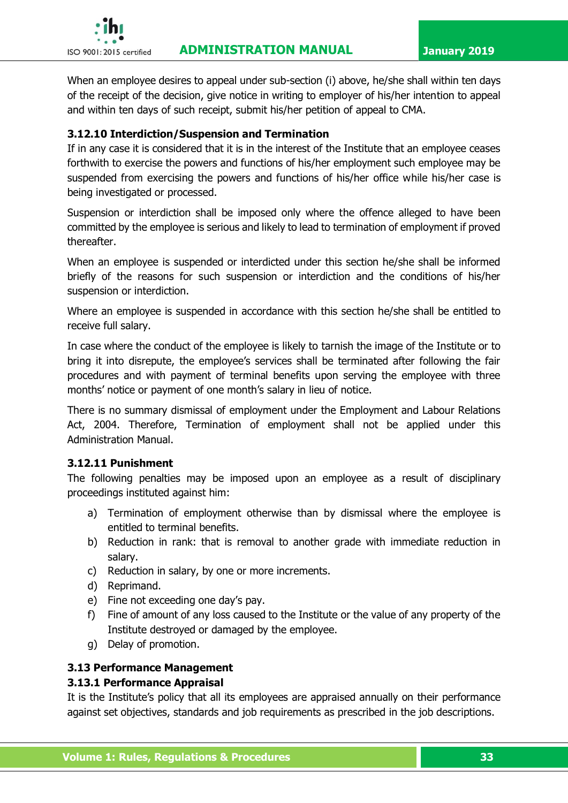

When an employee desires to appeal under sub-section (i) above, he/she shall within ten days of the receipt of the decision, give notice in writing to employer of his/her intention to appeal and within ten days of such receipt, submit his/her petition of appeal to CMA.

### **3.12.10 Interdiction/Suspension and Termination**

If in any case it is considered that it is in the interest of the Institute that an employee ceases forthwith to exercise the powers and functions of his/her employment such employee may be suspended from exercising the powers and functions of his/her office while his/her case is being investigated or processed.

Suspension or interdiction shall be imposed only where the offence alleged to have been committed by the employee is serious and likely to lead to termination of employment if proved thereafter.

When an employee is suspended or interdicted under this section he/she shall be informed briefly of the reasons for such suspension or interdiction and the conditions of his/her suspension or interdiction.

Where an employee is suspended in accordance with this section he/she shall be entitled to receive full salary.

In case where the conduct of the employee is likely to tarnish the image of the Institute or to bring it into disrepute, the employee's services shall be terminated after following the fair procedures and with payment of terminal benefits upon serving the employee with three months' notice or payment of one month's salary in lieu of notice.

There is no summary dismissal of employment under the Employment and Labour Relations Act, 2004. Therefore, Termination of employment shall not be applied under this Administration Manual.

#### **3.12.11 Punishment**

The following penalties may be imposed upon an employee as a result of disciplinary proceedings instituted against him:

- a) Termination of employment otherwise than by dismissal where the employee is entitled to terminal benefits.
- b) Reduction in rank: that is removal to another grade with immediate reduction in salary.
- c) Reduction in salary, by one or more increments.
- d) Reprimand.
- e) Fine not exceeding one day's pay.
- f) Fine of amount of any loss caused to the Institute or the value of any property of the Institute destroyed or damaged by the employee.
- g) Delay of promotion.

# **3.13 Performance Management**

#### **3.13.1 Performance Appraisal**

It is the Institute's policy that all its employees are appraised annually on their performance against set objectives, standards and job requirements as prescribed in the job descriptions.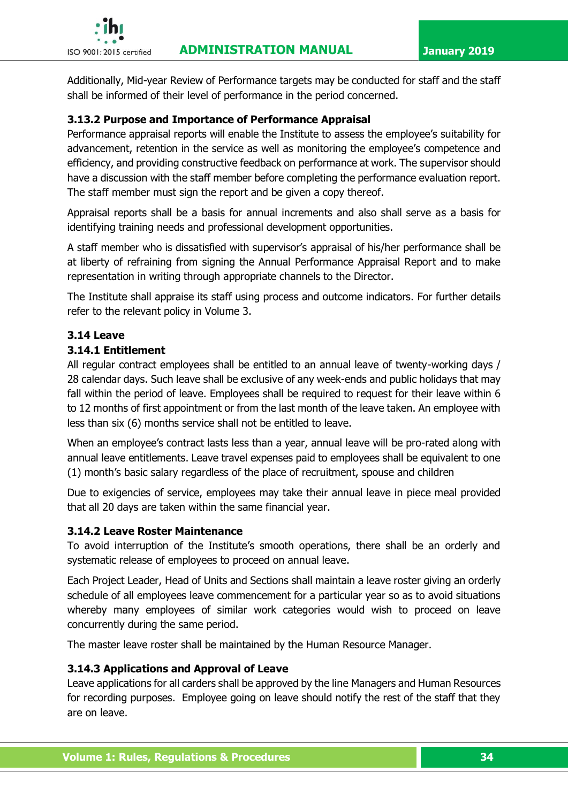

Additionally, Mid-year Review of Performance targets may be conducted for staff and the staff shall be informed of their level of performance in the period concerned.

# **3.13.2 Purpose and Importance of Performance Appraisal**

Performance appraisal reports will enable the Institute to assess the employee's suitability for advancement, retention in the service as well as monitoring the employee's competence and efficiency, and providing constructive feedback on performance at work. The supervisor should have a discussion with the staff member before completing the performance evaluation report. The staff member must sign the report and be given a copy thereof.

Appraisal reports shall be a basis for annual increments and also shall serve as a basis for identifying training needs and professional development opportunities.

A staff member who is dissatisfied with supervisor's appraisal of his/her performance shall be at liberty of refraining from signing the Annual Performance Appraisal Report and to make representation in writing through appropriate channels to the Director.

The Institute shall appraise its staff using process and outcome indicators. For further details refer to the relevant policy in Volume 3.

# **3.14 Leave**

# **3.14.1 Entitlement**

All regular contract employees shall be entitled to an annual leave of twenty-working days / 28 calendar days. Such leave shall be exclusive of any week-ends and public holidays that may fall within the period of leave. Employees shall be required to request for their leave within 6 to 12 months of first appointment or from the last month of the leave taken. An employee with less than six (6) months service shall not be entitled to leave.

When an employee's contract lasts less than a year, annual leave will be pro-rated along with annual leave entitlements. Leave travel expenses paid to employees shall be equivalent to one (1) month's basic salary regardless of the place of recruitment, spouse and children

Due to exigencies of service, employees may take their annual leave in piece meal provided that all 20 days are taken within the same financial year.

# **3.14.2 Leave Roster Maintenance**

To avoid interruption of the Institute's smooth operations, there shall be an orderly and systematic release of employees to proceed on annual leave.

Each Project Leader, Head of Units and Sections shall maintain a leave roster giving an orderly schedule of all employees leave commencement for a particular year so as to avoid situations whereby many employees of similar work categories would wish to proceed on leave concurrently during the same period.

The master leave roster shall be maintained by the Human Resource Manager.

# **3.14.3 Applications and Approval of Leave**

Leave applications for all carders shall be approved by the line Managers and Human Resources for recording purposes. Employee going on leave should notify the rest of the staff that they are on leave.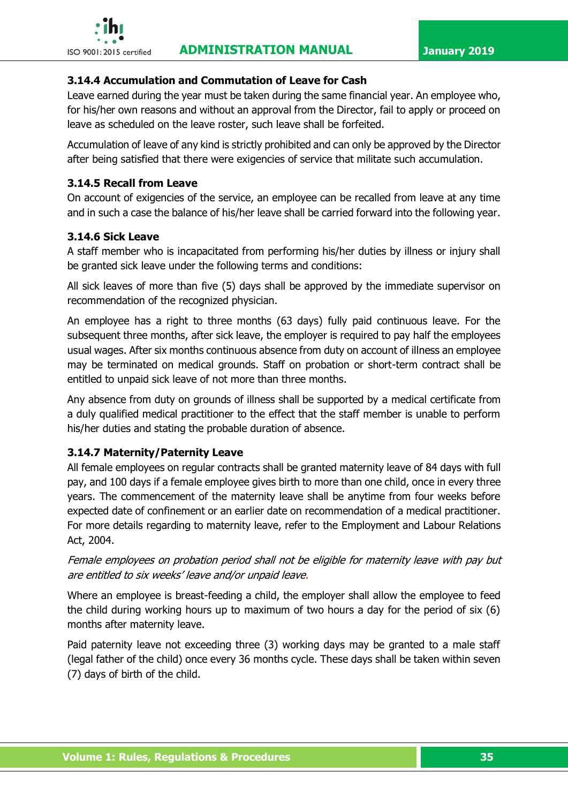

### **3.14.4 Accumulation and Commutation of Leave for Cash**

Leave earned during the year must be taken during the same financial year. An employee who, for his/her own reasons and without an approval from the Director, fail to apply or proceed on leave as scheduled on the leave roster, such leave shall be forfeited.

Accumulation of leave of any kind is strictly prohibited and can only be approved by the Director after being satisfied that there were exigencies of service that militate such accumulation.

### **3.14.5 Recall from Leave**

On account of exigencies of the service, an employee can be recalled from leave at any time and in such a case the balance of his/her leave shall be carried forward into the following year.

### **3.14.6 Sick Leave**

A staff member who is incapacitated from performing his/her duties by illness or injury shall be granted sick leave under the following terms and conditions:

All sick leaves of more than five (5) days shall be approved by the immediate supervisor on recommendation of the recognized physician.

An employee has a right to three months (63 days) fully paid continuous leave. For the subsequent three months, after sick leave, the employer is required to pay half the employees usual wages. After six months continuous absence from duty on account of illness an employee may be terminated on medical grounds. Staff on probation or short-term contract shall be entitled to unpaid sick leave of not more than three months.

Any absence from duty on grounds of illness shall be supported by a medical certificate from a duly qualified medical practitioner to the effect that the staff member is unable to perform his/her duties and stating the probable duration of absence.

# **3.14.7 Maternity/Paternity Leave**

All female employees on regular contracts shall be granted maternity leave of 84 days with full pay, and 100 days if a female employee gives birth to more than one child, once in every three years. The commencement of the maternity leave shall be anytime from four weeks before expected date of confinement or an earlier date on recommendation of a medical practitioner. For more details regarding to maternity leave, refer to the Employment and Labour Relations Act, 2004.

Female employees on probation period shall not be eligible for maternity leave with pay but are entitled to six weeks' leave and/or unpaid leave.

Where an employee is breast-feeding a child, the employer shall allow the employee to feed the child during working hours up to maximum of two hours a day for the period of six (6) months after maternity leave.

Paid paternity leave not exceeding three (3) working days may be granted to a male staff (legal father of the child) once every 36 months cycle. These days shall be taken within seven (7) days of birth of the child.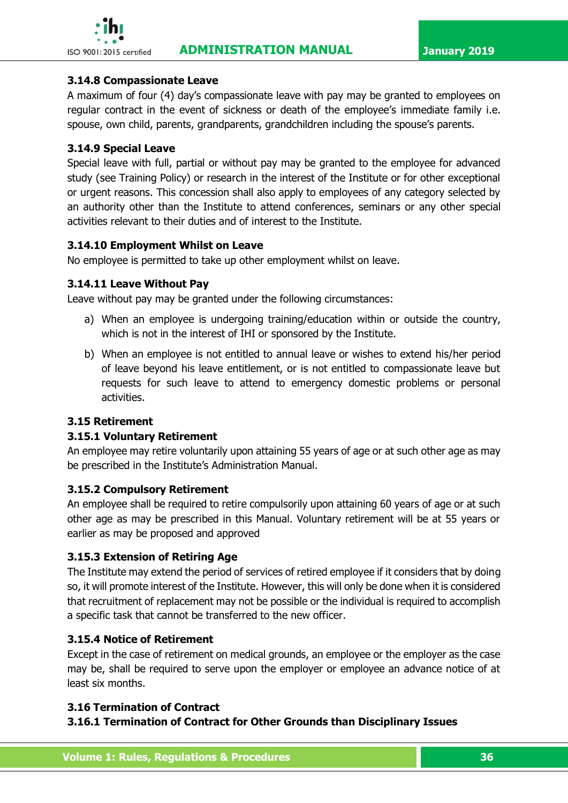### **3.14.8 Compassionate Leave**

A maximum of four (4) day's compassionate leave with pay may be granted to employees on regular contract in the event of sickness or death of the employee's immediate family i.e. spouse, own child, parents, grandparents, grandchildren including the spouse's parents.

### **3.14.9 Special Leave**

Special leave with full, partial or without pay may be granted to the employee for advanced study (see Training Policy) or research in the interest of the Institute or for other exceptional or urgent reasons. This concession shall also apply to employees of any category selected by an authority other than the Institute to attend conferences, seminars or any other special activities relevant to their duties and of interest to the Institute.

### **3.14.10 Employment Whilst on Leave**

No employee is permitted to take up other employment whilst on leave.

### **3.14.11 Leave Without Pay**

Leave without pay may be granted under the following circumstances:

- a) When an employee is undergoing training/education within or outside the country, which is not in the interest of IHI or sponsored by the Institute.
- b) When an employee is not entitled to annual leave or wishes to extend his/her period of leave beyond his leave entitlement, or is not entitled to compassionate leave but requests for such leave to attend to emergency domestic problems or personal activities.

# **3.15 Retirement**

#### **3.15.1 Voluntary Retirement**

An employee may retire voluntarily upon attaining 55 years of age or at such other age as may be prescribed in the Institute's Administration Manual.

#### **3.15.2 Compulsory Retirement**

An employee shall be required to retire compulsorily upon attaining 60 years of age or at such other age as may be prescribed in this Manual. Voluntary retirement will be at 55 years or earlier as may be proposed and approved

# **3.15.3 Extension of Retiring Age**

The Institute may extend the period of services of retired employee if it considers that by doing so, it will promote interest of the Institute. However, this will only be done when it is considered that recruitment of replacement may not be possible or the individual is required to accomplish a specific task that cannot be transferred to the new officer.

# **3.15.4 Notice of Retirement**

Except in the case of retirement on medical grounds, an employee or the employer as the case may be, shall be required to serve upon the employer or employee an advance notice of at least six months.

# **3.16 Termination of Contract**

# **3.16.1 Termination of Contract for Other Grounds than Disciplinary Issues**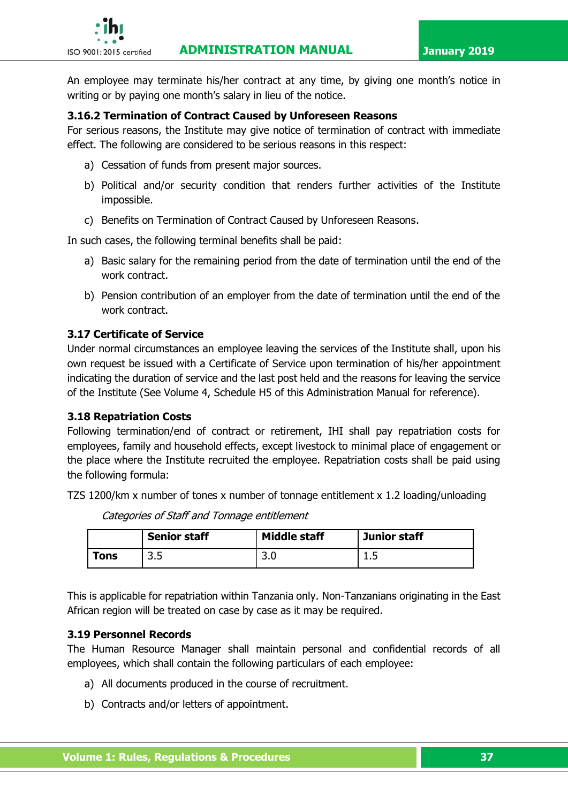An employee may terminate his/her contract at any time, by giving one month's notice in writing or by paying one month's salary in lieu of the notice.

#### **3.16.2 Termination of Contract Caused by Unforeseen Reasons**

For serious reasons, the Institute may give notice of termination of contract with immediate effect. The following are considered to be serious reasons in this respect:

- a) Cessation of funds from present major sources.
- b) Political and/or security condition that renders further activities of the Institute impossible.
- c) Benefits on Termination of Contract Caused by Unforeseen Reasons.

In such cases, the following terminal benefits shall be paid:

- a) Basic salary for the remaining period from the date of termination until the end of the work contract.
- b) Pension contribution of an employer from the date of termination until the end of the work contract.

### **3.17 Certificate of Service**

Under normal circumstances an employee leaving the services of the Institute shall, upon his own request be issued with a Certificate of Service upon termination of his/her appointment indicating the duration of service and the last post held and the reasons for leaving the service of the Institute (See Volume 4, Schedule H5 of this Administration Manual for reference).

#### **3.18 Repatriation Costs**

Following termination/end of contract or retirement, IHI shall pay repatriation costs for employees, family and household effects, except livestock to minimal place of engagement or the place where the Institute recruited the employee. Repatriation costs shall be paid using the following formula:

TZS 1200/km x number of tones x number of tonnage entitlement x 1.2 loading/unloading

|            | <b>Senior staff</b> | <b>Middle staff</b> | Junior staff |
|------------|---------------------|---------------------|--------------|
| <b>ons</b> | <u>ີ</u><br>ں ۔ ب   | ີ<br>J.U            | . . J        |

Categories of Staff and Tonnage entitlement

This is applicable for repatriation within Tanzania only. Non-Tanzanians originating in the East African region will be treated on case by case as it may be required.

#### **3.19 Personnel Records**

The Human Resource Manager shall maintain personal and confidential records of all employees, which shall contain the following particulars of each employee:

- a) All documents produced in the course of recruitment.
- b) Contracts and/or letters of appointment.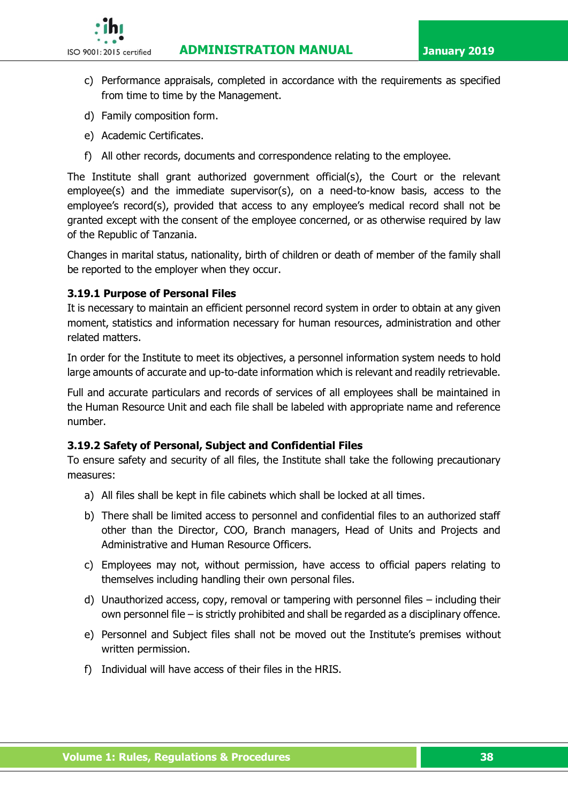**ISO 9001:2015 certified ADMINISTRATION MANUAL January 2019** 



- c) Performance appraisals, completed in accordance with the requirements as specified from time to time by the Management.
- d) Family composition form.
- e) Academic Certificates.
- f) All other records, documents and correspondence relating to the employee.

The Institute shall grant authorized government official(s), the Court or the relevant employee(s) and the immediate supervisor(s), on a need-to-know basis, access to the employee's record(s), provided that access to any employee's medical record shall not be granted except with the consent of the employee concerned, or as otherwise required by law of the Republic of Tanzania.

Changes in marital status, nationality, birth of children or death of member of the family shall be reported to the employer when they occur.

### **3.19.1 Purpose of Personal Files**

It is necessary to maintain an efficient personnel record system in order to obtain at any given moment, statistics and information necessary for human resources, administration and other related matters.

In order for the Institute to meet its objectives, a personnel information system needs to hold large amounts of accurate and up-to-date information which is relevant and readily retrievable.

Full and accurate particulars and records of services of all employees shall be maintained in the Human Resource Unit and each file shall be labeled with appropriate name and reference number.

#### **3.19.2 Safety of Personal, Subject and Confidential Files**

To ensure safety and security of all files, the Institute shall take the following precautionary measures:

- a) All files shall be kept in file cabinets which shall be locked at all times.
- b) There shall be limited access to personnel and confidential files to an authorized staff other than the Director, COO, Branch managers, Head of Units and Projects and Administrative and Human Resource Officers.
- c) Employees may not, without permission, have access to official papers relating to themselves including handling their own personal files.
- d) Unauthorized access, copy, removal or tampering with personnel files including their own personnel file – is strictly prohibited and shall be regarded as a disciplinary offence.
- e) Personnel and Subject files shall not be moved out the Institute's premises without written permission.
- f) Individual will have access of their files in the HRIS.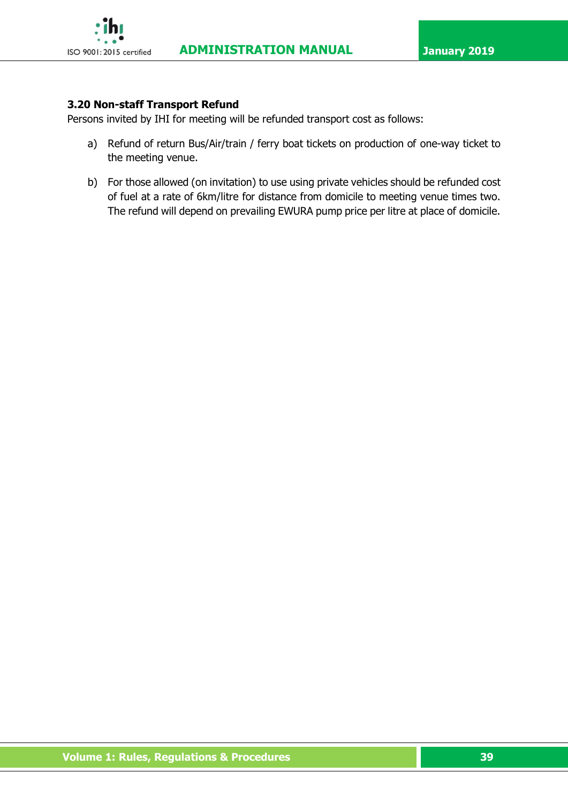

# **3.20 Non-staff Transport Refund**

Persons invited by IHI for meeting will be refunded transport cost as follows:

- a) Refund of return Bus/Air/train / ferry boat tickets on production of one-way ticket to the meeting venue.
- b) For those allowed (on invitation) to use using private vehicles should be refunded cost of fuel at a rate of 6km/litre for distance from domicile to meeting venue times two. The refund will depend on prevailing EWURA pump price per litre at place of domicile.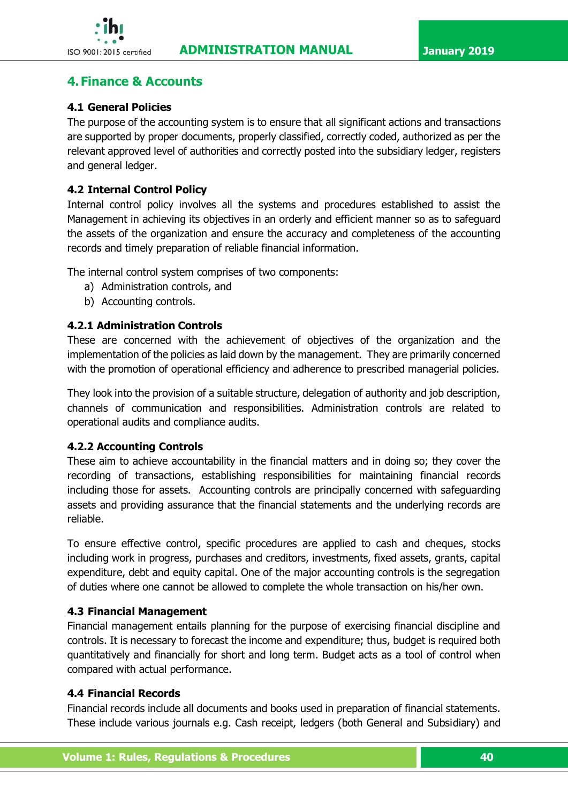

# **4. Finance & Accounts**

# **4.1 General Policies**

The purpose of the accounting system is to ensure that all significant actions and transactions are supported by proper documents, properly classified, correctly coded, authorized as per the relevant approved level of authorities and correctly posted into the subsidiary ledger, registers and general ledger.

### **4.2 Internal Control Policy**

Internal control policy involves all the systems and procedures established to assist the Management in achieving its objectives in an orderly and efficient manner so as to safeguard the assets of the organization and ensure the accuracy and completeness of the accounting records and timely preparation of reliable financial information.

The internal control system comprises of two components:

- a) Administration controls, and
- b) Accounting controls.

### **4.2.1 Administration Controls**

These are concerned with the achievement of objectives of the organization and the implementation of the policies as laid down by the management. They are primarily concerned with the promotion of operational efficiency and adherence to prescribed managerial policies.

They look into the provision of a suitable structure, delegation of authority and job description, channels of communication and responsibilities. Administration controls are related to operational audits and compliance audits.

#### **4.2.2 Accounting Controls**

These aim to achieve accountability in the financial matters and in doing so; they cover the recording of transactions, establishing responsibilities for maintaining financial records including those for assets. Accounting controls are principally concerned with safeguarding assets and providing assurance that the financial statements and the underlying records are reliable.

To ensure effective control, specific procedures are applied to cash and cheques, stocks including work in progress, purchases and creditors, investments, fixed assets, grants, capital expenditure, debt and equity capital. One of the major accounting controls is the segregation of duties where one cannot be allowed to complete the whole transaction on his/her own.

#### **4.3 Financial Management**

Financial management entails planning for the purpose of exercising financial discipline and controls. It is necessary to forecast the income and expenditure; thus, budget is required both quantitatively and financially for short and long term. Budget acts as a tool of control when compared with actual performance.

#### **4.4 Financial Records**

Financial records include all documents and books used in preparation of financial statements. These include various journals e.g. Cash receipt, ledgers (both General and Subsidiary) and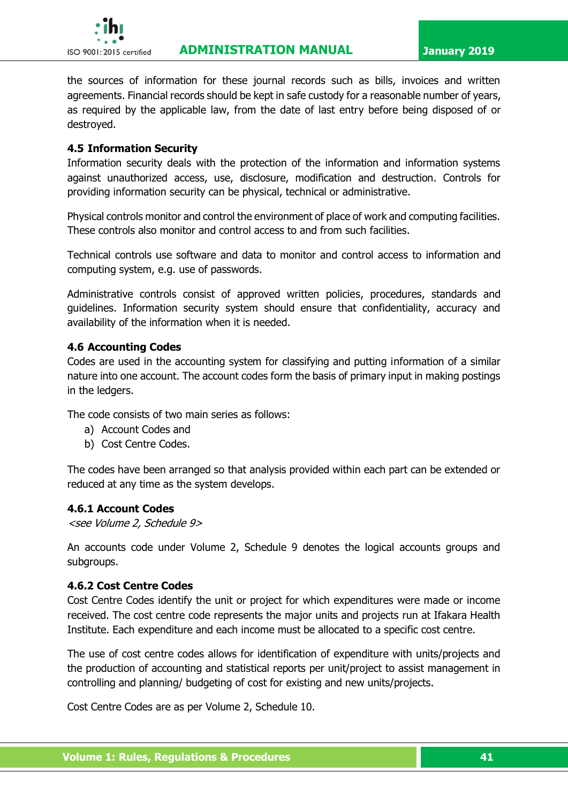

the sources of information for these journal records such as bills, invoices and written agreements. Financial records should be kept in safe custody for a reasonable number of years, as required by the applicable law, from the date of last entry before being disposed of or destroyed.

#### **4.5 Information Security**

Information security deals with the protection of the information and information systems against unauthorized access, use, disclosure, modification and destruction. Controls for providing information security can be physical, technical or administrative.

Physical controls monitor and control the environment of place of work and computing facilities. These controls also monitor and control access to and from such facilities.

Technical controls use software and data to monitor and control access to information and computing system, e.g. use of passwords.

Administrative controls consist of approved written policies, procedures, standards and guidelines. Information security system should ensure that confidentiality, accuracy and availability of the information when it is needed.

#### **4.6 Accounting Codes**

Codes are used in the accounting system for classifying and putting information of a similar nature into one account. The account codes form the basis of primary input in making postings in the ledgers.

The code consists of two main series as follows:

- a) Account Codes and
- b) Cost Centre Codes.

The codes have been arranged so that analysis provided within each part can be extended or reduced at any time as the system develops.

#### **4.6.1 Account Codes**

<see Volume 2, Schedule 9>

An accounts code under Volume 2, Schedule 9 denotes the logical accounts groups and subgroups.

#### **4.6.2 Cost Centre Codes**

Cost Centre Codes identify the unit or project for which expenditures were made or income received. The cost centre code represents the major units and projects run at Ifakara Health Institute. Each expenditure and each income must be allocated to a specific cost centre.

The use of cost centre codes allows for identification of expenditure with units/projects and the production of accounting and statistical reports per unit/project to assist management in controlling and planning/ budgeting of cost for existing and new units/projects.

Cost Centre Codes are as per Volume 2, Schedule 10.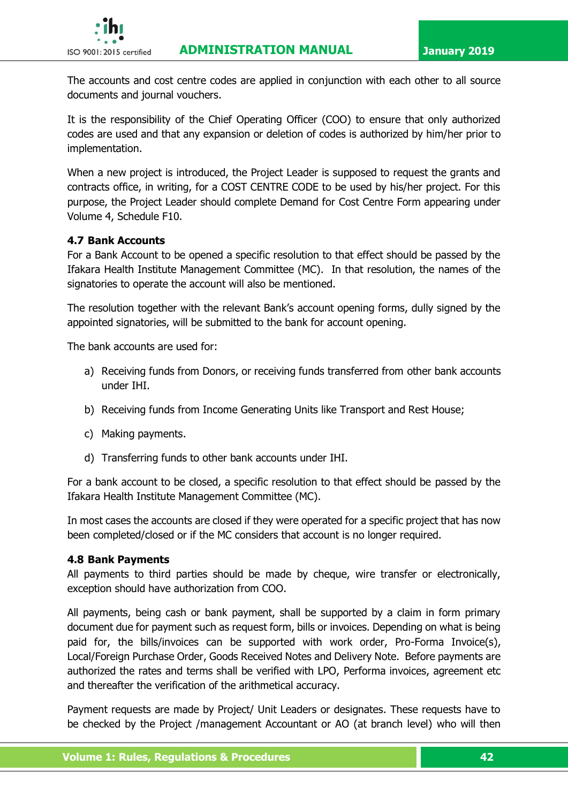

The accounts and cost centre codes are applied in conjunction with each other to all source documents and journal vouchers.

It is the responsibility of the Chief Operating Officer (COO) to ensure that only authorized codes are used and that any expansion or deletion of codes is authorized by him/her prior to implementation.

When a new project is introduced, the Project Leader is supposed to request the grants and contracts office, in writing, for a COST CENTRE CODE to be used by his/her project. For this purpose, the Project Leader should complete Demand for Cost Centre Form appearing under Volume 4, Schedule F10.

# **4.7 Bank Accounts**

For a Bank Account to be opened a specific resolution to that effect should be passed by the Ifakara Health Institute Management Committee (MC). In that resolution, the names of the signatories to operate the account will also be mentioned.

The resolution together with the relevant Bank's account opening forms, dully signed by the appointed signatories, will be submitted to the bank for account opening.

The bank accounts are used for:

- a) Receiving funds from Donors, or receiving funds transferred from other bank accounts under IHI.
- b) Receiving funds from Income Generating Units like Transport and Rest House;
- c) Making payments.
- d) Transferring funds to other bank accounts under IHI.

For a bank account to be closed, a specific resolution to that effect should be passed by the Ifakara Health Institute Management Committee (MC).

In most cases the accounts are closed if they were operated for a specific project that has now been completed/closed or if the MC considers that account is no longer required.

#### **4.8 Bank Payments**

All payments to third parties should be made by cheque, wire transfer or electronically, exception should have authorization from COO.

All payments, being cash or bank payment, shall be supported by a claim in form primary document due for payment such as request form, bills or invoices. Depending on what is being paid for, the bills/invoices can be supported with work order, Pro-Forma Invoice(s), Local/Foreign Purchase Order, Goods Received Notes and Delivery Note. Before payments are authorized the rates and terms shall be verified with LPO, Performa invoices, agreement etc and thereafter the verification of the arithmetical accuracy.

Payment requests are made by Project/ Unit Leaders or designates. These requests have to be checked by the Project /management Accountant or AO (at branch level) who will then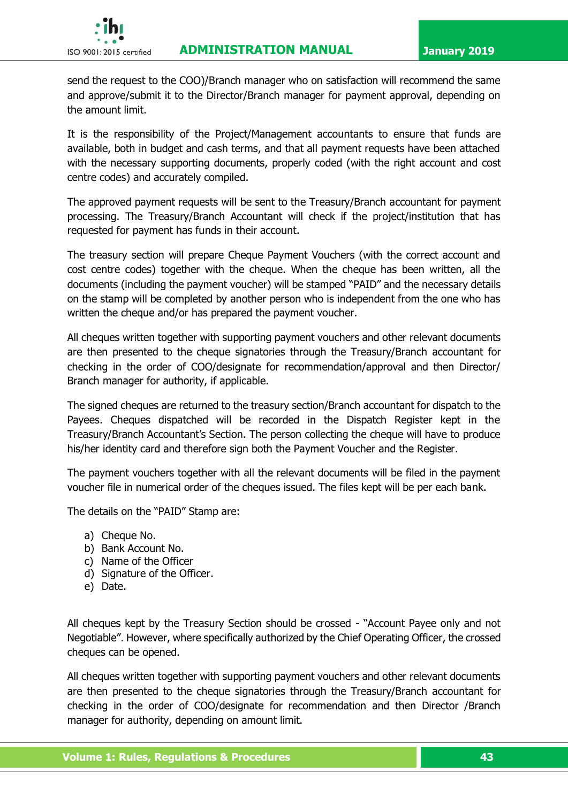

send the request to the COO)/Branch manager who on satisfaction will recommend the same and approve/submit it to the Director/Branch manager for payment approval, depending on the amount limit.

It is the responsibility of the Project/Management accountants to ensure that funds are available, both in budget and cash terms, and that all payment requests have been attached with the necessary supporting documents, properly coded (with the right account and cost centre codes) and accurately compiled.

The approved payment requests will be sent to the Treasury/Branch accountant for payment processing. The Treasury/Branch Accountant will check if the project/institution that has requested for payment has funds in their account.

The treasury section will prepare Cheque Payment Vouchers (with the correct account and cost centre codes) together with the cheque. When the cheque has been written, all the documents (including the payment voucher) will be stamped "PAID" and the necessary details on the stamp will be completed by another person who is independent from the one who has written the cheque and/or has prepared the payment voucher.

All cheques written together with supporting payment vouchers and other relevant documents are then presented to the cheque signatories through the Treasury/Branch accountant for checking in the order of COO/designate for recommendation/approval and then Director/ Branch manager for authority, if applicable.

The signed cheques are returned to the treasury section/Branch accountant for dispatch to the Payees. Cheques dispatched will be recorded in the Dispatch Register kept in the Treasury/Branch Accountant's Section. The person collecting the cheque will have to produce his/her identity card and therefore sign both the Payment Voucher and the Register.

The payment vouchers together with all the relevant documents will be filed in the payment voucher file in numerical order of the cheques issued. The files kept will be per each bank.

The details on the "PAID" Stamp are:

- a) Cheque No.
- b) Bank Account No.
- c) Name of the Officer
- d) Signature of the Officer.
- e) Date.

All cheques kept by the Treasury Section should be crossed - "Account Payee only and not Negotiable". However, where specifically authorized by the Chief Operating Officer, the crossed cheques can be opened.

All cheques written together with supporting payment vouchers and other relevant documents are then presented to the cheque signatories through the Treasury/Branch accountant for checking in the order of COO/designate for recommendation and then Director /Branch manager for authority, depending on amount limit.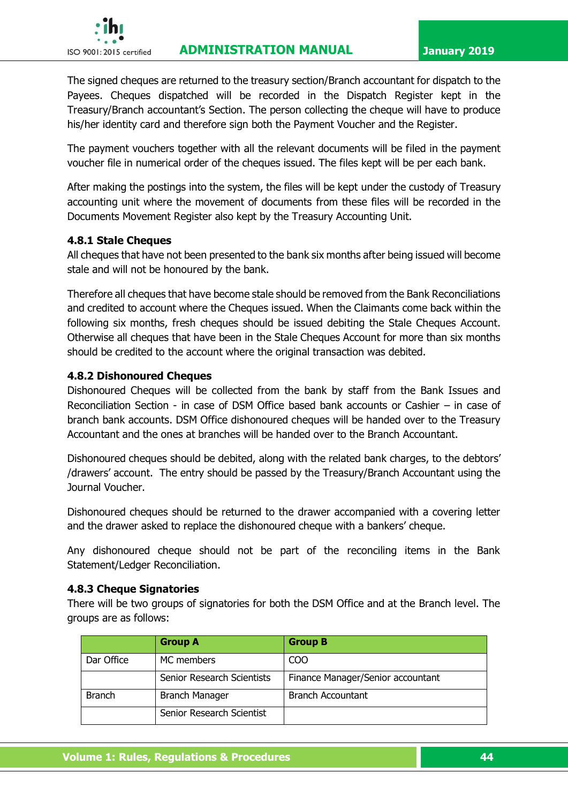

The signed cheques are returned to the treasury section/Branch accountant for dispatch to the Payees. Cheques dispatched will be recorded in the Dispatch Register kept in the Treasury/Branch accountant's Section. The person collecting the cheque will have to produce his/her identity card and therefore sign both the Payment Voucher and the Register.

The payment vouchers together with all the relevant documents will be filed in the payment voucher file in numerical order of the cheques issued. The files kept will be per each bank.

After making the postings into the system, the files will be kept under the custody of Treasury accounting unit where the movement of documents from these files will be recorded in the Documents Movement Register also kept by the Treasury Accounting Unit.

### **4.8.1 Stale Cheques**

All cheques that have not been presented to the bank six months after being issued will become stale and will not be honoured by the bank.

Therefore all cheques that have become stale should be removed from the Bank Reconciliations and credited to account where the Cheques issued. When the Claimants come back within the following six months, fresh cheques should be issued debiting the Stale Cheques Account. Otherwise all cheques that have been in the Stale Cheques Account for more than six months should be credited to the account where the original transaction was debited.

### **4.8.2 Dishonoured Cheques**

Dishonoured Cheques will be collected from the bank by staff from the Bank Issues and Reconciliation Section - in case of DSM Office based bank accounts or Cashier – in case of branch bank accounts. DSM Office dishonoured cheques will be handed over to the Treasury Accountant and the ones at branches will be handed over to the Branch Accountant.

Dishonoured cheques should be debited, along with the related bank charges, to the debtors' /drawers' account. The entry should be passed by the Treasury/Branch Accountant using the Journal Voucher.

Dishonoured cheques should be returned to the drawer accompanied with a covering letter and the drawer asked to replace the dishonoured cheque with a bankers' cheque.

Any dishonoured cheque should not be part of the reconciling items in the Bank Statement/Ledger Reconciliation.

#### **4.8.3 Cheque Signatories**

There will be two groups of signatories for both the DSM Office and at the Branch level. The groups are as follows:

|               | <b>Group A</b>             | <b>Group B</b>                    |
|---------------|----------------------------|-----------------------------------|
| Dar Office    | MC members                 | CO <sub>O</sub>                   |
|               | Senior Research Scientists | Finance Manager/Senior accountant |
| <b>Branch</b> | <b>Branch Manager</b>      | <b>Branch Accountant</b>          |
|               | Senior Research Scientist  |                                   |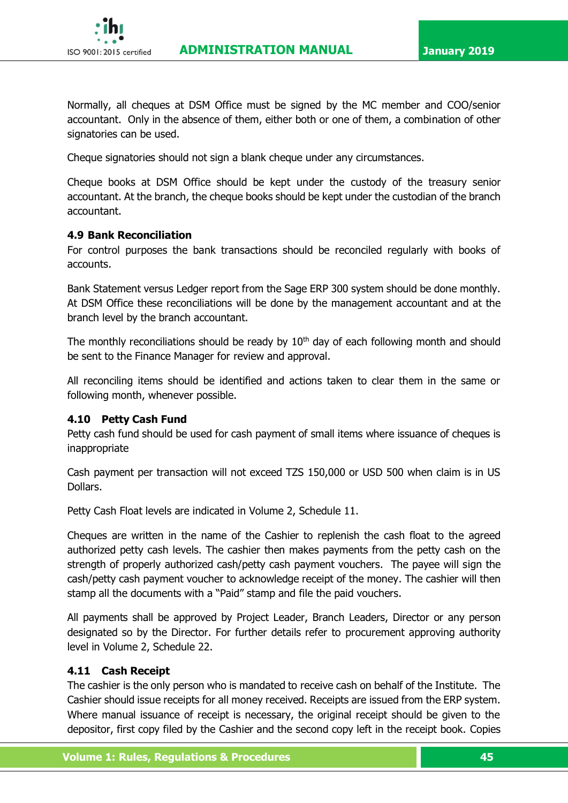

Normally, all cheques at DSM Office must be signed by the MC member and COO/senior accountant. Only in the absence of them, either both or one of them, a combination of other signatories can be used.

Cheque signatories should not sign a blank cheque under any circumstances.

Cheque books at DSM Office should be kept under the custody of the treasury senior accountant. At the branch, the cheque books should be kept under the custodian of the branch accountant.

#### **4.9 Bank Reconciliation**

For control purposes the bank transactions should be reconciled regularly with books of accounts.

Bank Statement versus Ledger report from the Sage ERP 300 system should be done monthly. At DSM Office these reconciliations will be done by the management accountant and at the branch level by the branch accountant.

The monthly reconciliations should be ready by  $10<sup>th</sup>$  day of each following month and should be sent to the Finance Manager for review and approval.

All reconciling items should be identified and actions taken to clear them in the same or following month, whenever possible.

#### **4.10 Petty Cash Fund**

Petty cash fund should be used for cash payment of small items where issuance of cheques is inappropriate

Cash payment per transaction will not exceed TZS 150,000 or USD 500 when claim is in US Dollars.

Petty Cash Float levels are indicated in Volume 2, Schedule 11.

Cheques are written in the name of the Cashier to replenish the cash float to the agreed authorized petty cash levels. The cashier then makes payments from the petty cash on the strength of properly authorized cash/petty cash payment vouchers. The payee will sign the cash/petty cash payment voucher to acknowledge receipt of the money. The cashier will then stamp all the documents with a "Paid" stamp and file the paid vouchers.

All payments shall be approved by Project Leader, Branch Leaders, Director or any person designated so by the Director. For further details refer to procurement approving authority level in Volume 2, Schedule 22.

#### **4.11 Cash Receipt**

The cashier is the only person who is mandated to receive cash on behalf of the Institute. The Cashier should issue receipts for all money received. Receipts are issued from the ERP system. Where manual issuance of receipt is necessary, the original receipt should be given to the depositor, first copy filed by the Cashier and the second copy left in the receipt book. Copies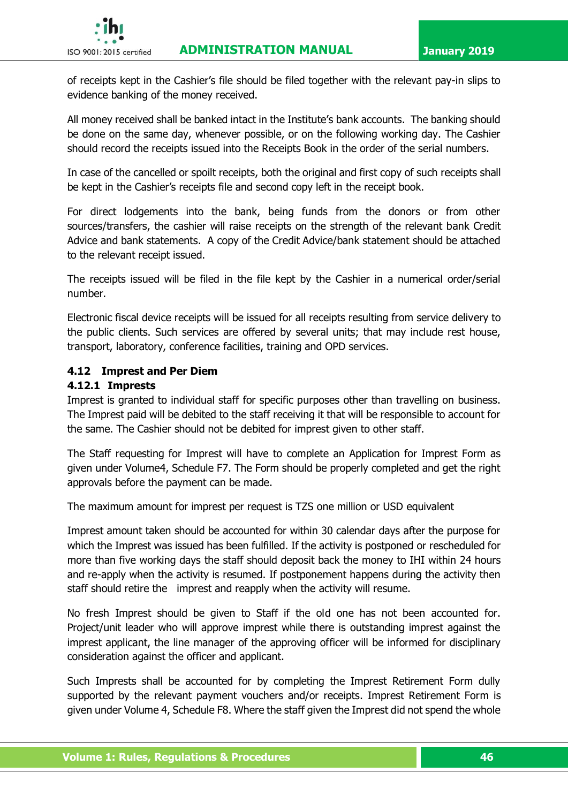

of receipts kept in the Cashier's file should be filed together with the relevant pay-in slips to evidence banking of the money received.

All money received shall be banked intact in the Institute's bank accounts. The banking should be done on the same day, whenever possible, or on the following working day. The Cashier should record the receipts issued into the Receipts Book in the order of the serial numbers.

In case of the cancelled or spoilt receipts, both the original and first copy of such receipts shall be kept in the Cashier's receipts file and second copy left in the receipt book.

For direct lodgements into the bank, being funds from the donors or from other sources/transfers, the cashier will raise receipts on the strength of the relevant bank Credit Advice and bank statements. A copy of the Credit Advice/bank statement should be attached to the relevant receipt issued.

The receipts issued will be filed in the file kept by the Cashier in a numerical order/serial number.

Electronic fiscal device receipts will be issued for all receipts resulting from service delivery to the public clients. Such services are offered by several units; that may include rest house, transport, laboratory, conference facilities, training and OPD services.

### **4.12 Imprest and Per Diem**

### **4.12.1 Imprests**

Imprest is granted to individual staff for specific purposes other than travelling on business. The Imprest paid will be debited to the staff receiving it that will be responsible to account for the same. The Cashier should not be debited for imprest given to other staff.

The Staff requesting for Imprest will have to complete an Application for Imprest Form as given under Volume4, Schedule F7. The Form should be properly completed and get the right approvals before the payment can be made.

The maximum amount for imprest per request is TZS one million or USD equivalent

Imprest amount taken should be accounted for within 30 calendar days after the purpose for which the Imprest was issued has been fulfilled. If the activity is postponed or rescheduled for more than five working days the staff should deposit back the money to IHI within 24 hours and re-apply when the activity is resumed. If postponement happens during the activity then staff should retire the imprest and reapply when the activity will resume.

No fresh Imprest should be given to Staff if the old one has not been accounted for. Project/unit leader who will approve imprest while there is outstanding imprest against the imprest applicant, the line manager of the approving officer will be informed for disciplinary consideration against the officer and applicant.

Such Imprests shall be accounted for by completing the Imprest Retirement Form dully supported by the relevant payment vouchers and/or receipts. Imprest Retirement Form is given under Volume 4, Schedule F8. Where the staff given the Imprest did not spend the whole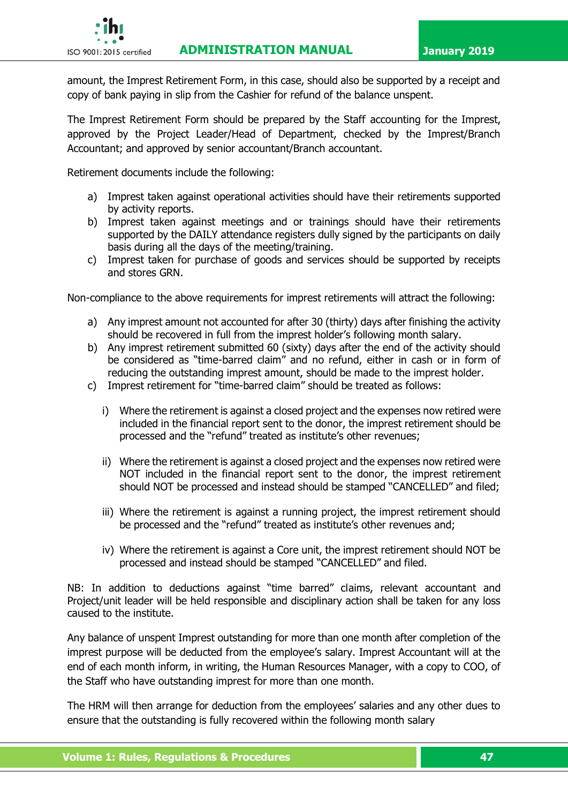# **ISO 9001:2015 certified ADMINISTRATION MANUAL January 2019**



amount, the Imprest Retirement Form, in this case, should also be supported by a receipt and copy of bank paying in slip from the Cashier for refund of the balance unspent.

The Imprest Retirement Form should be prepared by the Staff accounting for the Imprest, approved by the Project Leader/Head of Department, checked by the Imprest/Branch Accountant; and approved by senior accountant/Branch accountant.

Retirement documents include the following:

- a) Imprest taken against operational activities should have their retirements supported by activity reports.
- b) Imprest taken against meetings and or trainings should have their retirements supported by the DAILY attendance registers dully signed by the participants on daily basis during all the days of the meeting/training.
- c) Imprest taken for purchase of goods and services should be supported by receipts and stores GRN.

Non-compliance to the above requirements for imprest retirements will attract the following:

- a) Any imprest amount not accounted for after 30 (thirty) days after finishing the activity should be recovered in full from the imprest holder's following month salary.
- b) Any imprest retirement submitted 60 (sixty) days after the end of the activity should be considered as "time-barred claim" and no refund, either in cash or in form of reducing the outstanding imprest amount, should be made to the imprest holder.
- c) Imprest retirement for "time-barred claim" should be treated as follows:
	- i) Where the retirement is against a closed project and the expenses now retired were included in the financial report sent to the donor, the imprest retirement should be processed and the "refund" treated as institute's other revenues;
	- ii) Where the retirement is against a closed project and the expenses now retired were NOT included in the financial report sent to the donor, the imprest retirement should NOT be processed and instead should be stamped "CANCELLED" and filed;
	- iii) Where the retirement is against a running project, the imprest retirement should be processed and the "refund" treated as institute's other revenues and;
	- iv) Where the retirement is against a Core unit, the imprest retirement should NOT be processed and instead should be stamped "CANCELLED" and filed.

NB: In addition to deductions against "time barred" claims, relevant accountant and Project/unit leader will be held responsible and disciplinary action shall be taken for any loss caused to the institute.

Any balance of unspent Imprest outstanding for more than one month after completion of the imprest purpose will be deducted from the employee's salary. Imprest Accountant will at the end of each month inform, in writing, the Human Resources Manager, with a copy to COO, of the Staff who have outstanding imprest for more than one month.

The HRM will then arrange for deduction from the employees' salaries and any other dues to ensure that the outstanding is fully recovered within the following month salary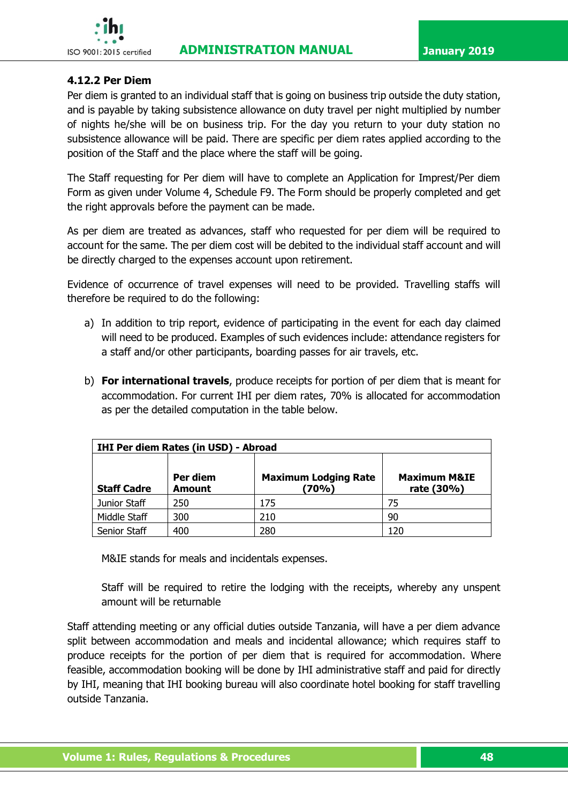

### **4.12.2 Per Diem**

Per diem is granted to an individual staff that is going on business trip outside the duty station, and is payable by taking subsistence allowance on duty travel per night multiplied by number of nights he/she will be on business trip. For the day you return to your duty station no subsistence allowance will be paid. There are specific per diem rates applied according to the position of the Staff and the place where the staff will be going.

The Staff requesting for Per diem will have to complete an Application for Imprest/Per diem Form as given under Volume 4, Schedule F9. The Form should be properly completed and get the right approvals before the payment can be made.

As per diem are treated as advances, staff who requested for per diem will be required to account for the same. The per diem cost will be debited to the individual staff account and will be directly charged to the expenses account upon retirement.

Evidence of occurrence of travel expenses will need to be provided. Travelling staffs will therefore be required to do the following:

- a) In addition to trip report, evidence of participating in the event for each day claimed will need to be produced. Examples of such evidences include: attendance registers for a staff and/or other participants, boarding passes for air travels, etc.
- b) **For international travels**, produce receipts for portion of per diem that is meant for accommodation. For current IHI per diem rates, 70% is allocated for accommodation as per the detailed computation in the table below.

| <b>IHI Per diem Rates (in USD) - Abroad</b> |                           |                                      |                                       |
|---------------------------------------------|---------------------------|--------------------------------------|---------------------------------------|
| <b>Staff Cadre</b>                          | Per diem<br><b>Amount</b> | <b>Maximum Lodging Rate</b><br>(70%) | <b>Maximum M&amp;IE</b><br>rate (30%) |
| Junior Staff                                | 250                       | 175                                  | 75                                    |
| Middle Staff                                | 300                       | 210                                  | 90                                    |
| Senior Staff                                | 400                       | 280                                  | 120                                   |

M&IE stands for meals and incidentals expenses.

Staff will be required to retire the lodging with the receipts, whereby any unspent amount will be returnable

Staff attending meeting or any official duties outside Tanzania, will have a per diem advance split between accommodation and meals and incidental allowance; which requires staff to produce receipts for the portion of per diem that is required for accommodation. Where feasible, accommodation booking will be done by IHI administrative staff and paid for directly by IHI, meaning that IHI booking bureau will also coordinate hotel booking for staff travelling outside Tanzania.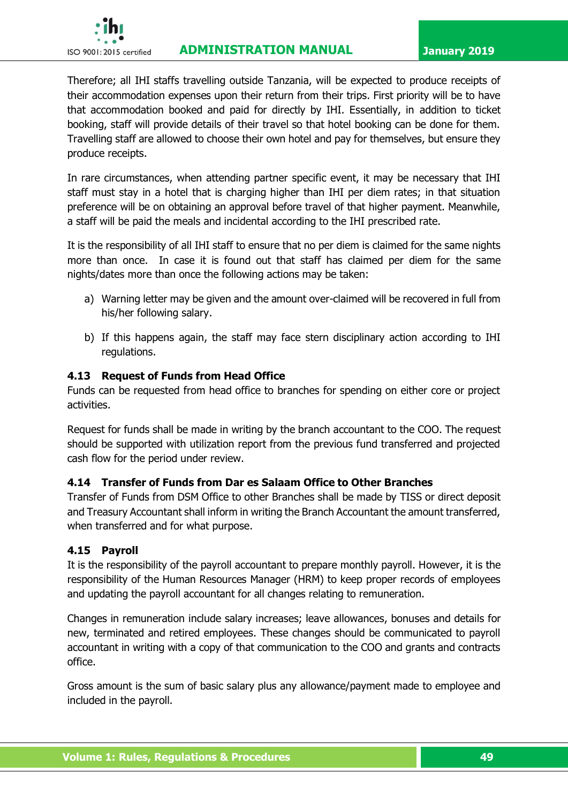

# **ISO 9001:2015 certified ADMINISTRATION MANUAL January 2019**

Therefore; all IHI staffs travelling outside Tanzania, will be expected to produce receipts of their accommodation expenses upon their return from their trips. First priority will be to have that accommodation booked and paid for directly by IHI. Essentially, in addition to ticket booking, staff will provide details of their travel so that hotel booking can be done for them. Travelling staff are allowed to choose their own hotel and pay for themselves, but ensure they produce receipts.

In rare circumstances, when attending partner specific event, it may be necessary that IHI staff must stay in a hotel that is charging higher than IHI per diem rates; in that situation preference will be on obtaining an approval before travel of that higher payment. Meanwhile, a staff will be paid the meals and incidental according to the IHI prescribed rate.

It is the responsibility of all IHI staff to ensure that no per diem is claimed for the same nights more than once. In case it is found out that staff has claimed per diem for the same nights/dates more than once the following actions may be taken:

- a) Warning letter may be given and the amount over-claimed will be recovered in full from his/her following salary.
- b) If this happens again, the staff may face stern disciplinary action according to IHI regulations.

# **4.13 Request of Funds from Head Office**

Funds can be requested from head office to branches for spending on either core or project activities.

Request for funds shall be made in writing by the branch accountant to the COO. The request should be supported with utilization report from the previous fund transferred and projected cash flow for the period under review.

# **4.14 Transfer of Funds from Dar es Salaam Office to Other Branches**

Transfer of Funds from DSM Office to other Branches shall be made by TISS or direct deposit and Treasury Accountant shall inform in writing the Branch Accountant the amount transferred, when transferred and for what purpose.

# **4.15 Payroll**

It is the responsibility of the payroll accountant to prepare monthly payroll. However, it is the responsibility of the Human Resources Manager (HRM) to keep proper records of employees and updating the payroll accountant for all changes relating to remuneration.

Changes in remuneration include salary increases; leave allowances, bonuses and details for new, terminated and retired employees. These changes should be communicated to payroll accountant in writing with a copy of that communication to the COO and grants and contracts office.

Gross amount is the sum of basic salary plus any allowance/payment made to employee and included in the payroll.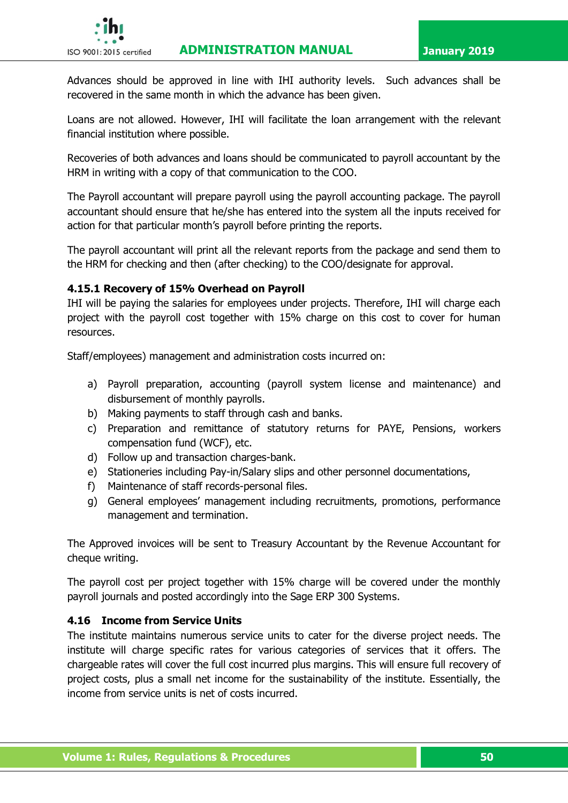# **ISO 9001:2015 certified ADMINISTRATION MANUAL January 2019**



Advances should be approved in line with IHI authority levels. Such advances shall be recovered in the same month in which the advance has been given.

Loans are not allowed. However, IHI will facilitate the loan arrangement with the relevant financial institution where possible.

Recoveries of both advances and loans should be communicated to payroll accountant by the HRM in writing with a copy of that communication to the COO.

The Payroll accountant will prepare payroll using the payroll accounting package. The payroll accountant should ensure that he/she has entered into the system all the inputs received for action for that particular month's payroll before printing the reports.

The payroll accountant will print all the relevant reports from the package and send them to the HRM for checking and then (after checking) to the COO/designate for approval.

### **4.15.1 Recovery of 15% Overhead on Payroll**

IHI will be paying the salaries for employees under projects. Therefore, IHI will charge each project with the payroll cost together with 15% charge on this cost to cover for human resources.

Staff/employees) management and administration costs incurred on:

- a) Payroll preparation, accounting (payroll system license and maintenance) and disbursement of monthly payrolls.
- b) Making payments to staff through cash and banks.
- c) Preparation and remittance of statutory returns for PAYE, Pensions, workers compensation fund (WCF), etc.
- d) Follow up and transaction charges-bank.
- e) Stationeries including Pay-in/Salary slips and other personnel documentations,
- f) Maintenance of staff records-personal files.
- g) General employees' management including recruitments, promotions, performance management and termination.

The Approved invoices will be sent to Treasury Accountant by the Revenue Accountant for cheque writing.

The payroll cost per project together with 15% charge will be covered under the monthly payroll journals and posted accordingly into the Sage ERP 300 Systems.

# **4.16 Income from Service Units**

The institute maintains numerous service units to cater for the diverse project needs. The institute will charge specific rates for various categories of services that it offers. The chargeable rates will cover the full cost incurred plus margins. This will ensure full recovery of project costs, plus a small net income for the sustainability of the institute. Essentially, the income from service units is net of costs incurred.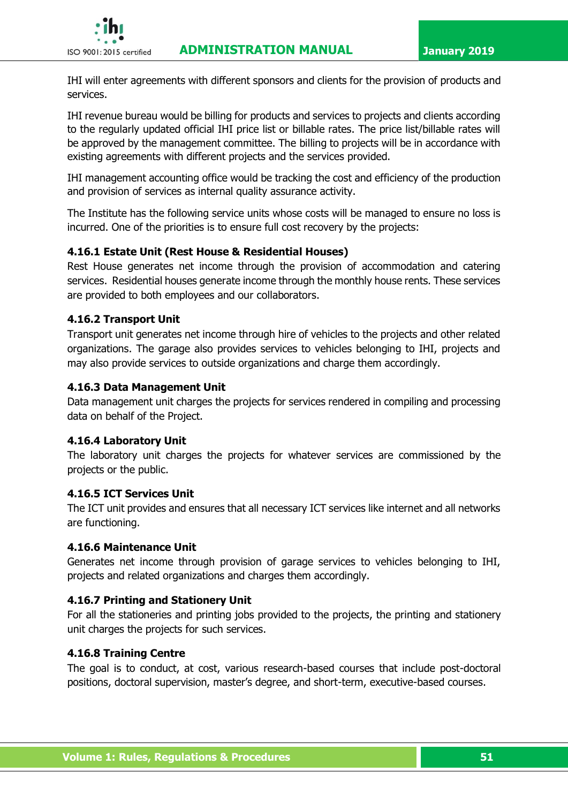

IHI will enter agreements with different sponsors and clients for the provision of products and services.

IHI revenue bureau would be billing for products and services to projects and clients according to the regularly updated official IHI price list or billable rates. The price list/billable rates will be approved by the management committee. The billing to projects will be in accordance with existing agreements with different projects and the services provided.

IHI management accounting office would be tracking the cost and efficiency of the production and provision of services as internal quality assurance activity.

The Institute has the following service units whose costs will be managed to ensure no loss is incurred. One of the priorities is to ensure full cost recovery by the projects:

# **4.16.1 Estate Unit (Rest House & Residential Houses)**

Rest House generates net income through the provision of accommodation and catering services. Residential houses generate income through the monthly house rents. These services are provided to both employees and our collaborators.

### **4.16.2 Transport Unit**

Transport unit generates net income through hire of vehicles to the projects and other related organizations. The garage also provides services to vehicles belonging to IHI, projects and may also provide services to outside organizations and charge them accordingly.

### **4.16.3 Data Management Unit**

Data management unit charges the projects for services rendered in compiling and processing data on behalf of the Project.

#### **4.16.4 Laboratory Unit**

The laboratory unit charges the projects for whatever services are commissioned by the projects or the public.

#### **4.16.5 ICT Services Unit**

The ICT unit provides and ensures that all necessary ICT services like internet and all networks are functioning.

#### **4.16.6 Maintenance Unit**

Generates net income through provision of garage services to vehicles belonging to IHI, projects and related organizations and charges them accordingly.

# **4.16.7 Printing and Stationery Unit**

For all the stationeries and printing jobs provided to the projects, the printing and stationery unit charges the projects for such services.

#### **4.16.8 Training Centre**

The goal is to conduct, at cost, various research-based courses that include post-doctoral positions, doctoral supervision, master's degree, and short-term, executive-based courses.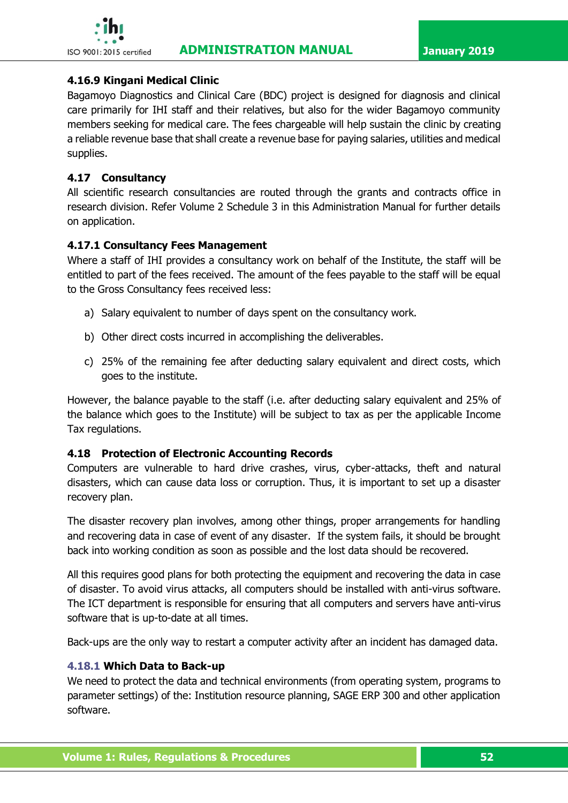

### **4.16.9 Kingani Medical Clinic**

Bagamoyo Diagnostics and Clinical Care (BDC) project is designed for diagnosis and clinical care primarily for IHI staff and their relatives, but also for the wider Bagamoyo community members seeking for medical care. The fees chargeable will help sustain the clinic by creating a reliable revenue base that shall create a revenue base for paying salaries, utilities and medical supplies.

# **4.17 Consultancy**

All scientific research consultancies are routed through the grants and contracts office in research division. Refer Volume 2 Schedule 3 in this Administration Manual for further details on application.

# **4.17.1 Consultancy Fees Management**

Where a staff of IHI provides a consultancy work on behalf of the Institute, the staff will be entitled to part of the fees received. The amount of the fees payable to the staff will be equal to the Gross Consultancy fees received less:

- a) Salary equivalent to number of days spent on the consultancy work.
- b) Other direct costs incurred in accomplishing the deliverables.
- c) 25% of the remaining fee after deducting salary equivalent and direct costs, which goes to the institute.

However, the balance payable to the staff (i.e. after deducting salary equivalent and 25% of the balance which goes to the Institute) will be subject to tax as per the applicable Income Tax regulations.

# **4.18 Protection of Electronic Accounting Records**

Computers are vulnerable to hard drive crashes, virus, cyber-attacks, theft and natural disasters, which can cause data loss or corruption. Thus, it is important to set up a disaster recovery plan.

The disaster recovery plan involves, among other things, proper arrangements for handling and recovering data in case of event of any disaster. If the system fails, it should be brought back into working condition as soon as possible and the lost data should be recovered.

All this requires good plans for both protecting the equipment and recovering the data in case of disaster. To avoid virus attacks, all computers should be installed with anti-virus software. The ICT department is responsible for ensuring that all computers and servers have anti-virus software that is up-to-date at all times.

Back-ups are the only way to restart a computer activity after an incident has damaged data.

# **4.18.1 Which Data to Back-up**

We need to protect the data and technical environments (from operating system, programs to parameter settings) of the: Institution resource planning, SAGE ERP 300 and other application software.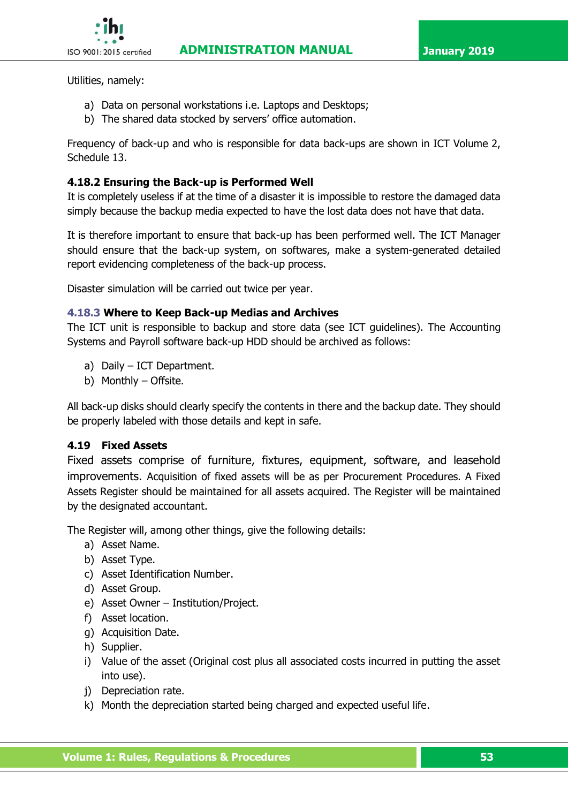

Utilities, namely:

- a) Data on personal workstations i.e. Laptops and Desktops;
- b) The shared data stocked by servers' office automation.

Frequency of back-up and who is responsible for data back-ups are shown in ICT Volume 2, Schedule 13.

# **4.18.2 Ensuring the Back-up is Performed Well**

It is completely useless if at the time of a disaster it is impossible to restore the damaged data simply because the backup media expected to have the lost data does not have that data.

It is therefore important to ensure that back-up has been performed well. The ICT Manager should ensure that the back-up system, on softwares, make a system-generated detailed report evidencing completeness of the back-up process.

Disaster simulation will be carried out twice per year.

# **4.18.3 Where to Keep Back-up Medias and Archives**

The ICT unit is responsible to backup and store data (see ICT guidelines). The Accounting Systems and Payroll software back-up HDD should be archived as follows:

- a) Daily ICT Department.
- b) Monthly Offsite.

All back-up disks should clearly specify the contents in there and the backup date. They should be properly labeled with those details and kept in safe.

# **4.19 Fixed Assets**

Fixed assets comprise of furniture, fixtures, equipment, software, and leasehold improvements. Acquisition of fixed assets will be as per Procurement Procedures. A Fixed Assets Register should be maintained for all assets acquired. The Register will be maintained by the designated accountant.

The Register will, among other things, give the following details:

- a) Asset Name.
- b) Asset Type.
- c) Asset Identification Number.
- d) Asset Group.
- e) Asset Owner Institution/Project.
- f) Asset location.
- g) Acquisition Date.
- h) Supplier.
- i) Value of the asset (Original cost plus all associated costs incurred in putting the asset into use).
- j) Depreciation rate.
- k) Month the depreciation started being charged and expected useful life.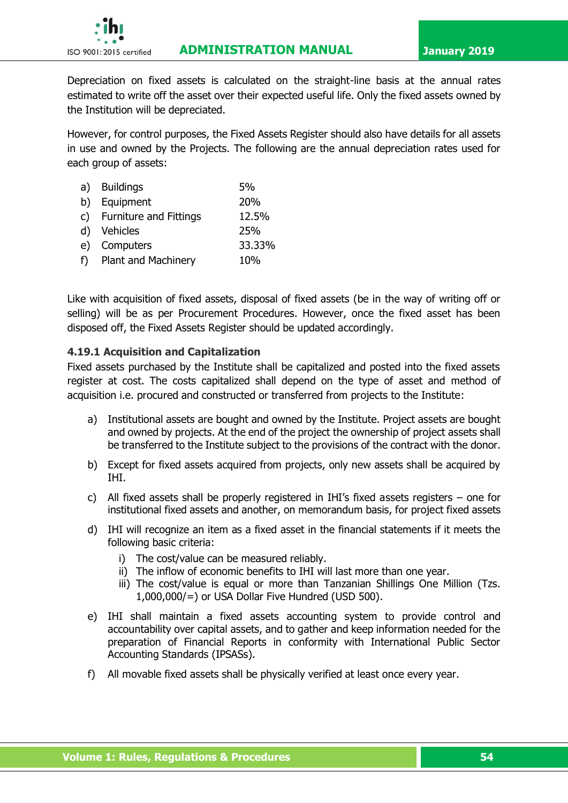

Depreciation on fixed assets is calculated on the straight-line basis at the annual rates estimated to write off the asset over their expected useful life. Only the fixed assets owned by the Institution will be depreciated.

However, for control purposes, the Fixed Assets Register should also have details for all assets in use and owned by the Projects. The following are the annual depreciation rates used for each group of assets:

|    | a) Buildings              | 5%     |
|----|---------------------------|--------|
|    | b) Equipment              | 20%    |
|    | c) Furniture and Fittings | 12.5%  |
|    | d) Vehicles               | 25%    |
| e) | Computers                 | 33.33% |
|    | f) Plant and Machinery    | 10%    |
|    |                           |        |

Like with acquisition of fixed assets, disposal of fixed assets (be in the way of writing off or selling) will be as per Procurement Procedures. However, once the fixed asset has been disposed off, the Fixed Assets Register should be updated accordingly.

#### **4.19.1 Acquisition and Capitalization**

Fixed assets purchased by the Institute shall be capitalized and posted into the fixed assets register at cost. The costs capitalized shall depend on the type of asset and method of acquisition i.e. procured and constructed or transferred from projects to the Institute:

- a) Institutional assets are bought and owned by the Institute. Project assets are bought and owned by projects. At the end of the project the ownership of project assets shall be transferred to the Institute subject to the provisions of the contract with the donor.
- b) Except for fixed assets acquired from projects, only new assets shall be acquired by IHI.
- c) All fixed assets shall be properly registered in IHI's fixed assets registers one for institutional fixed assets and another, on memorandum basis, for project fixed assets
- d) IHI will recognize an item as a fixed asset in the financial statements if it meets the following basic criteria:
	- i) The cost/value can be measured reliably.
	- ii) The inflow of economic benefits to IHI will last more than one year.
	- iii) The cost/value is equal or more than Tanzanian Shillings One Million (Tzs. 1,000,000/=) or USA Dollar Five Hundred (USD 500).
- e) IHI shall maintain a fixed assets accounting system to provide control and accountability over capital assets, and to gather and keep information needed for the preparation of Financial Reports in conformity with International Public Sector Accounting Standards (IPSASs).
- f) All movable fixed assets shall be physically verified at least once every year.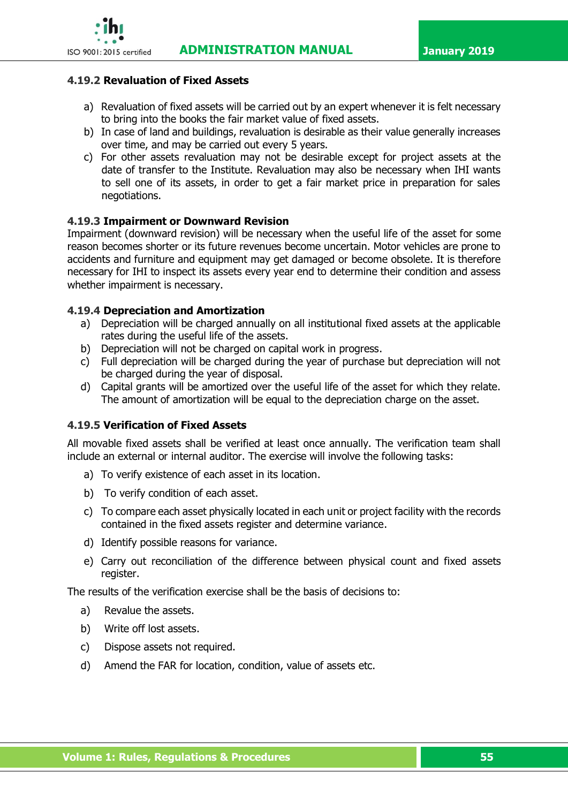

#### **4.19.2 Revaluation of Fixed Assets**

- a) Revaluation of fixed assets will be carried out by an expert whenever it is felt necessary to bring into the books the [fair market value](http://en.wikipedia.org/wiki/Fair_market_value) of fixed assets.
- b) In case of land and buildings, revaluation is desirable as their value generally increases over time, and may be carried out every 5 years.
- c) For other assets revaluation may not be desirable except for project assets at the date of transfer to the Institute. Revaluation may also be necessary when IHI wants to sell one of its assets, in order to get a fair market price in preparation for sales negotiations.

### **4.19.3 Impairment or Downward Revision**

Impairment (downward revision) will be necessary when the useful life of the asset for some reason becomes shorter or its future revenues become uncertain. Motor vehicles are prone to accidents and furniture and equipment may get damaged or become obsolete. It is therefore necessary for IHI to inspect its assets every year end to determine their condition and assess whether impairment is necessary.

### **4.19.4 Depreciation and Amortization**

- a) Depreciation will be charged annually on all institutional fixed assets at the applicable rates during the useful life of the assets.
- b) Depreciation will not be charged on capital work in progress.
- c) Full depreciation will be charged during the year of purchase but depreciation will not be charged during the year of disposal.
- d) Capital grants will be amortized over the useful life of the asset for which they relate. The amount of amortization will be equal to the depreciation charge on the asset.

# **4.19.5 Verification of Fixed Assets**

All movable fixed assets shall be verified at least once annually. The verification team shall include an external or internal auditor. The exercise will involve the following tasks:

- a) To verify existence of each asset in its location.
- b) To verify condition of each asset.
- c) To compare each asset physically located in each unit or project facility with the records contained in the fixed assets register and determine variance.
- d) Identify possible reasons for variance.
- e) Carry out reconciliation of the difference between physical count and fixed assets register.

The results of the verification exercise shall be the basis of decisions to:

- a) Revalue the assets.
- b) Write off lost assets.
- c) Dispose assets not required.
- d) Amend the FAR for location, condition, value of assets etc.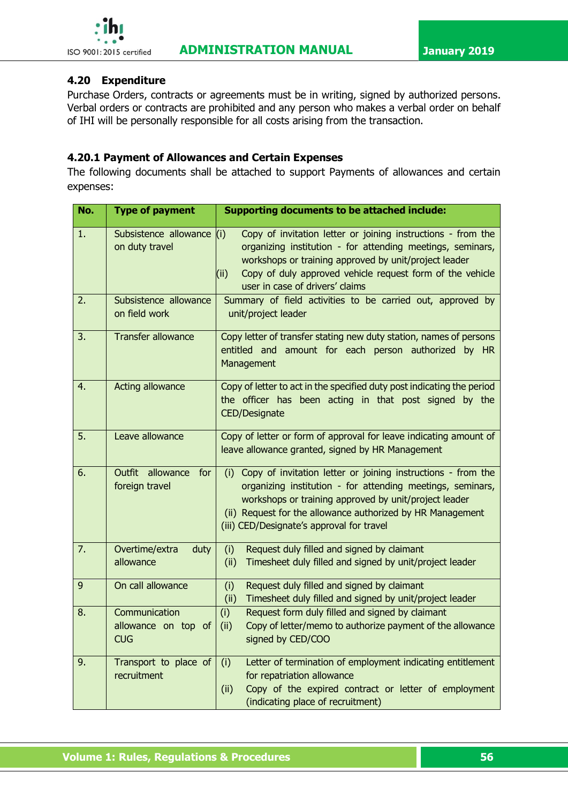

### **4.20 Expenditure**

Purchase Orders, contracts or agreements must be in writing, signed by authorized persons. Verbal orders or contracts are prohibited and any person who makes a verbal order on behalf of IHI will be personally responsible for all costs arising from the transaction.

### **4.20.1 Payment of Allowances and Certain Expenses**

The following documents shall be attached to support Payments of allowances and certain expenses:

| No. | <b>Type of payment</b>                              | <b>Supporting documents to be attached include:</b>                                                                                                                                                                                                                                                   |
|-----|-----------------------------------------------------|-------------------------------------------------------------------------------------------------------------------------------------------------------------------------------------------------------------------------------------------------------------------------------------------------------|
| 1.  | Subsistence allowance<br>on duty travel             | (i)<br>Copy of invitation letter or joining instructions - from the<br>organizing institution - for attending meetings, seminars,<br>workshops or training approved by unit/project leader<br>Copy of duly approved vehicle request form of the vehicle<br>(i)<br>user in case of drivers' claims     |
| 2.  | Subsistence allowance<br>on field work              | Summary of field activities to be carried out, approved by<br>unit/project leader                                                                                                                                                                                                                     |
| 3.  | <b>Transfer allowance</b>                           | Copy letter of transfer stating new duty station, names of persons<br>entitled and amount for each person authorized by HR<br>Management                                                                                                                                                              |
| 4.  | <b>Acting allowance</b>                             | Copy of letter to act in the specified duty post indicating the period<br>the officer has been acting in that post signed by the<br><b>CED/Designate</b>                                                                                                                                              |
| 5.  | Leave allowance                                     | Copy of letter or form of approval for leave indicating amount of<br>leave allowance granted, signed by HR Management                                                                                                                                                                                 |
| 6.  | <b>Outfit</b><br>allowance<br>for<br>foreign travel | Copy of invitation letter or joining instructions - from the<br>(i)<br>organizing institution - for attending meetings, seminars,<br>workshops or training approved by unit/project leader<br>(ii) Request for the allowance authorized by HR Management<br>(iii) CED/Designate's approval for travel |
| 7.  | Overtime/extra<br>duty<br>allowance                 | (i)<br>Request duly filled and signed by claimant<br>Timesheet duly filled and signed by unit/project leader<br>(ii)                                                                                                                                                                                  |
| 9   | On call allowance                                   | (i)<br>Request duly filled and signed by claimant<br>(ii)<br>Timesheet duly filled and signed by unit/project leader                                                                                                                                                                                  |
| 8.  | Communication<br>allowance on top of<br><b>CUG</b>  | Request form duly filled and signed by claimant<br>(i)<br>Copy of letter/memo to authorize payment of the allowance<br>(ii)<br>signed by CED/COO                                                                                                                                                      |
| 9.  | Transport to place of<br>recruitment                | (i)<br>Letter of termination of employment indicating entitlement<br>for repatriation allowance<br>Copy of the expired contract or letter of employment<br>(ii)<br>(indicating place of recruitment)                                                                                                  |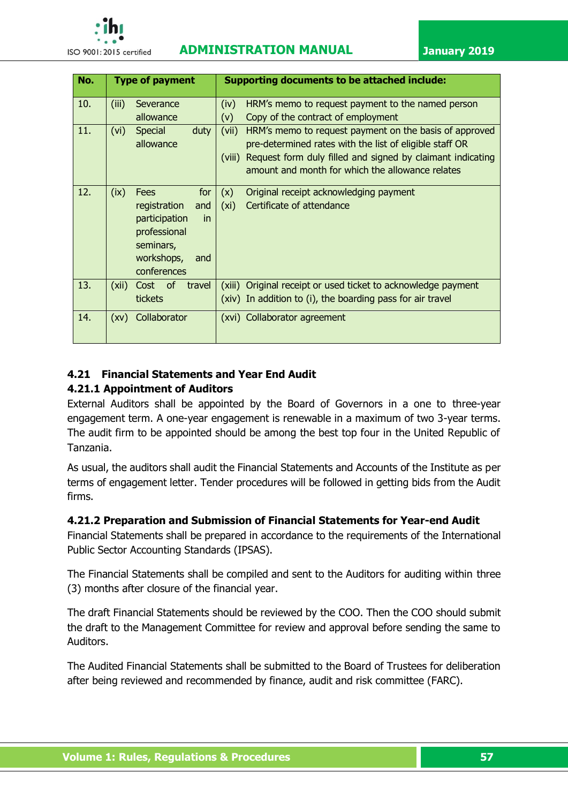

# **ISO 9001:2015 certified ADMINISTRATION MANUAL January 2019**

| No. |       | <b>Type of payment</b> |        | <b>Supporting documents to be attached include:</b>           |
|-----|-------|------------------------|--------|---------------------------------------------------------------|
| 10. | (iii) | Severance              | (iv)   | HRM's memo to request payment to the named person             |
|     |       | allowance              | (v)    | Copy of the contract of employment                            |
| 11. | (vi)  | <b>Special</b><br>duty | (vii)  | HRM's memo to request payment on the basis of approved        |
|     |       | allowance              |        | pre-determined rates with the list of eligible staff OR       |
|     |       |                        | (viii) | Request form duly filled and signed by claimant indicating    |
|     |       |                        |        | amount and month for which the allowance relates              |
|     |       |                        |        |                                                               |
| 12. | (ix)  | for<br><b>Fees</b>     | (x)    | Original receipt acknowledging payment                        |
|     |       | registration<br>and    | (xi)   | Certificate of attendance                                     |
|     |       | participation<br>in.   |        |                                                               |
|     |       | professional           |        |                                                               |
|     |       | seminars,              |        |                                                               |
|     |       | workshops,<br>and      |        |                                                               |
|     |       | conferences            |        |                                                               |
| 13. | (xii) | Cost of<br>travel      |        | (xiii) Original receipt or used ticket to acknowledge payment |
|     |       | tickets                |        | (xiv) In addition to (i), the boarding pass for air travel    |
| 14. | (xv)  | Collaborator           |        | (xvi) Collaborator agreement                                  |
|     |       |                        |        |                                                               |

# **4.21 Financial Statements and Year End Audit**

# **4.21.1 Appointment of Auditors**

External Auditors shall be appointed by the Board of Governors in a one to three-year engagement term. A one-year engagement is renewable in a maximum of two 3-year terms. The audit firm to be appointed should be among the best top four in the United Republic of Tanzania.

As usual, the auditors shall audit the Financial Statements and Accounts of the Institute as per terms of engagement letter. Tender procedures will be followed in getting bids from the Audit firms.

# **4.21.2 Preparation and Submission of Financial Statements for Year-end Audit**

Financial Statements shall be prepared in accordance to the requirements of the International Public Sector Accounting Standards (IPSAS).

The Financial Statements shall be compiled and sent to the Auditors for auditing within three (3) months after closure of the financial year.

The draft Financial Statements should be reviewed by the COO. Then the COO should submit the draft to the Management Committee for review and approval before sending the same to Auditors.

The Audited Financial Statements shall be submitted to the Board of Trustees for deliberation after being reviewed and recommended by finance, audit and risk committee (FARC).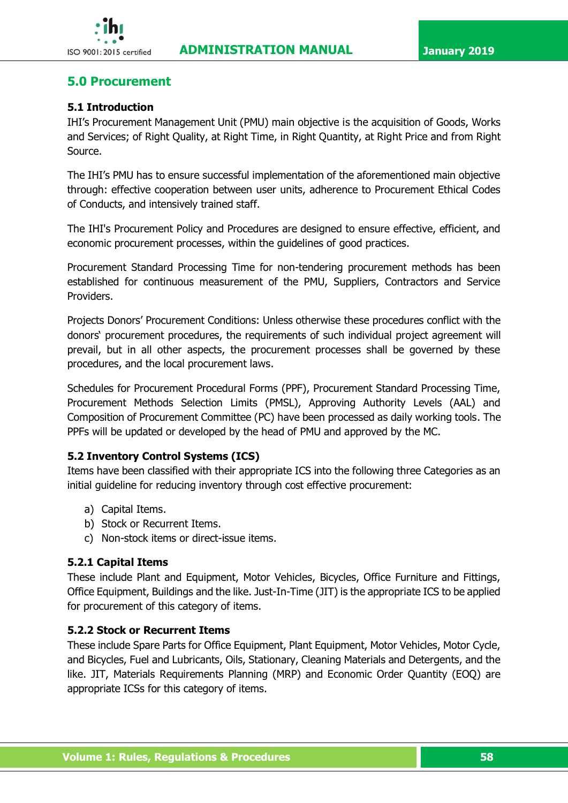

# **5.0 Procurement**

#### **5.1 Introduction**

IHI's Procurement Management Unit (PMU) main objective is the acquisition of Goods, Works and Services; of Right Quality, at Right Time, in Right Quantity, at Right Price and from Right Source.

The IHI's PMU has to ensure successful implementation of the aforementioned main objective through: effective cooperation between user units, adherence to Procurement Ethical Codes of Conducts, and intensively trained staff.

The IHI's Procurement Policy and Procedures are designed to ensure effective, efficient, and economic procurement processes, within the guidelines of good practices.

Procurement Standard Processing Time for non-tendering procurement methods has been established for continuous measurement of the PMU, Suppliers, Contractors and Service Providers.

Projects Donors' Procurement Conditions: Unless otherwise these procedures conflict with the donors' procurement procedures, the requirements of such individual project agreement will prevail, but in all other aspects, the procurement processes shall be governed by these procedures, and the local procurement laws.

Schedules for Procurement Procedural Forms (PPF), Procurement Standard Processing Time, Procurement Methods Selection Limits (PMSL), Approving Authority Levels (AAL) and Composition of Procurement Committee (PC) have been processed as daily working tools. The PPFs will be updated or developed by the head of PMU and approved by the MC.

#### **5.2 Inventory Control Systems (ICS)**

Items have been classified with their appropriate ICS into the following three Categories as an initial guideline for reducing inventory through cost effective procurement:

- a) Capital Items.
- b) Stock or Recurrent Items.
- c) Non-stock items or direct-issue items.

#### **5.2.1 Capital Items**

These include Plant and Equipment, Motor Vehicles, Bicycles, Office Furniture and Fittings, Office Equipment, Buildings and the like. Just-In-Time (JIT) is the appropriate ICS to be applied for procurement of this category of items.

#### **5.2.2 Stock or Recurrent Items**

These include Spare Parts for Office Equipment, Plant Equipment, Motor Vehicles, Motor Cycle, and Bicycles, Fuel and Lubricants, Oils, Stationary, Cleaning Materials and Detergents, and the like. JIT, Materials Requirements Planning (MRP) and Economic Order Quantity (EOQ) are appropriate ICSs for this category of items.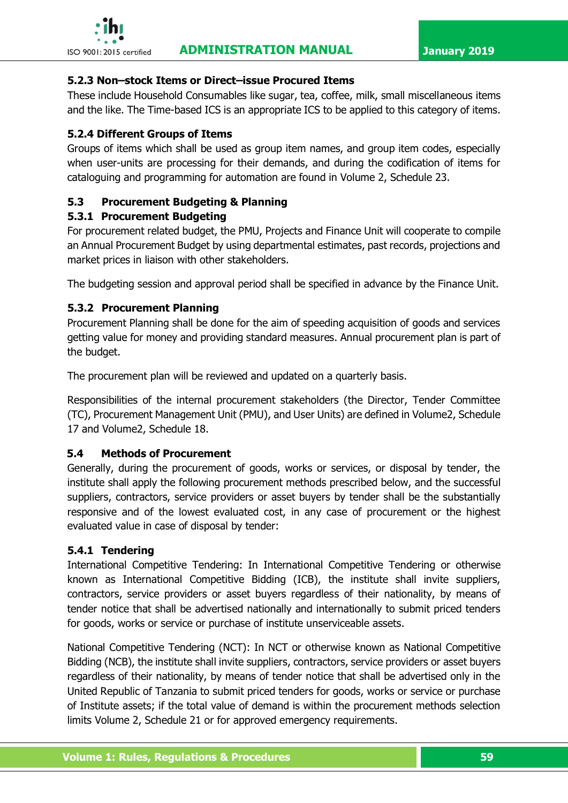### **5.2.3 Non–stock Items or Direct–issue Procured Items**

These include Household Consumables like sugar, tea, coffee, milk, small miscellaneous items and the like. The Time-based ICS is an appropriate ICS to be applied to this category of items.

### **5.2.4 Different Groups of Items**

Groups of items which shall be used as group item names, and group item codes, especially when user-units are processing for their demands, and during the codification of items for cataloguing and programming for automation are found in Volume 2, Schedule 23.

# **5.3 Procurement Budgeting & Planning**

### **5.3.1 Procurement Budgeting**

For procurement related budget, the PMU, Projects and Finance Unit will cooperate to compile an Annual Procurement Budget by using departmental estimates, past records, projections and market prices in liaison with other stakeholders.

The budgeting session and approval period shall be specified in advance by the Finance Unit.

### **5.3.2 Procurement Planning**

Procurement Planning shall be done for the aim of speeding acquisition of goods and services getting value for money and providing standard measures. Annual procurement plan is part of the budget.

The procurement plan will be reviewed and updated on a quarterly basis.

Responsibilities of the internal procurement stakeholders (the Director, Tender Committee (TC), Procurement Management Unit (PMU), and User Units) are defined in Volume2, Schedule 17 and Volume2, Schedule 18.

#### **5.4 Methods of Procurement**

Generally, during the procurement of goods, works or services, or disposal by tender, the institute shall apply the following procurement methods prescribed below, and the successful suppliers, contractors, service providers or asset buyers by tender shall be the substantially responsive and of the lowest evaluated cost, in any case of procurement or the highest evaluated value in case of disposal by tender:

# **5.4.1 Tendering**

International Competitive Tendering: In International Competitive Tendering or otherwise known as International Competitive Bidding (ICB), the institute shall invite suppliers, contractors, service providers or asset buyers regardless of their nationality, by means of tender notice that shall be advertised nationally and internationally to submit priced tenders for goods, works or service or purchase of institute unserviceable assets.

National Competitive Tendering (NCT): In NCT or otherwise known as National Competitive Bidding (NCB), the institute shall invite suppliers, contractors, service providers or asset buyers regardless of their nationality, by means of tender notice that shall be advertised only in the United Republic of Tanzania to submit priced tenders for goods, works or service or purchase of Institute assets; if the total value of demand is within the procurement methods selection limits Volume 2, Schedule 21 or for approved emergency requirements.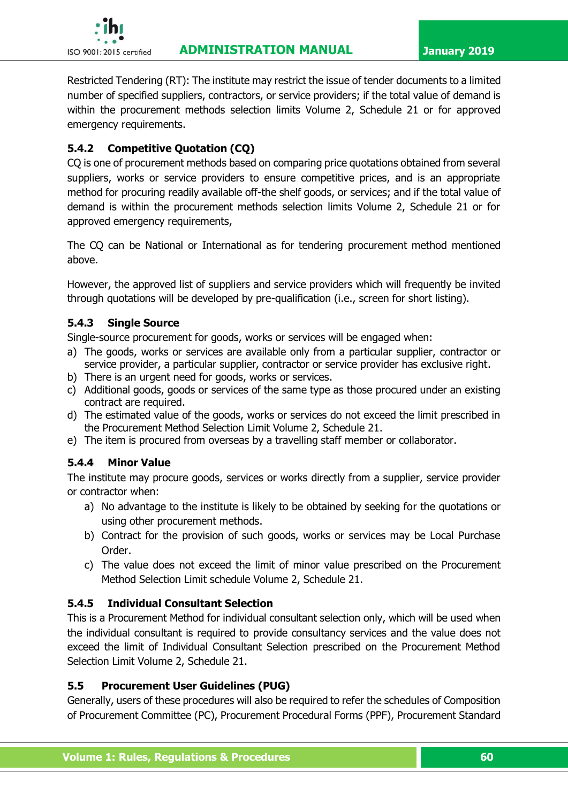Restricted Tendering (RT): The institute may restrict the issue of tender documents to a limited number of specified suppliers, contractors, or service providers; if the total value of demand is within the procurement methods selection limits Volume 2, Schedule 21 or for approved emergency requirements.

# **5.4.2 Competitive Quotation (CQ)**

CQ is one of procurement methods based on comparing price quotations obtained from several suppliers, works or service providers to ensure competitive prices, and is an appropriate method for procuring readily available off-the shelf goods, or services; and if the total value of demand is within the procurement methods selection limits Volume 2, Schedule 21 or for approved emergency requirements,

The CQ can be National or International as for tendering procurement method mentioned above.

However, the approved list of suppliers and service providers which will frequently be invited through quotations will be developed by pre-qualification (i.e., screen for short listing).

### **5.4.3 Single Source**

Single-source procurement for goods, works or services will be engaged when:

- a) The goods, works or services are available only from a particular supplier, contractor or service provider, a particular supplier, contractor or service provider has exclusive right.
- b) There is an urgent need for goods, works or services.
- c) Additional goods, goods or services of the same type as those procured under an existing contract are required.
- d) The estimated value of the goods, works or services do not exceed the limit prescribed in the Procurement Method Selection Limit Volume 2, Schedule 21.
- e) The item is procured from overseas by a travelling staff member or collaborator.

# **5.4.4 Minor Value**

The institute may procure goods, services or works directly from a supplier, service provider or contractor when:

- a) No advantage to the institute is likely to be obtained by seeking for the quotations or using other procurement methods.
- b) Contract for the provision of such goods, works or services may be Local Purchase Order.
- c) The value does not exceed the limit of minor value prescribed on the Procurement Method Selection Limit schedule Volume 2, Schedule 21.

# **5.4.5 Individual Consultant Selection**

This is a Procurement Method for individual consultant selection only, which will be used when the individual consultant is required to provide consultancy services and the value does not exceed the limit of Individual Consultant Selection prescribed on the Procurement Method Selection Limit Volume 2, Schedule 21.

#### **5.5 Procurement User Guidelines (PUG)**

Generally, users of these procedures will also be required to refer the schedules of Composition of Procurement Committee (PC), Procurement Procedural Forms (PPF), Procurement Standard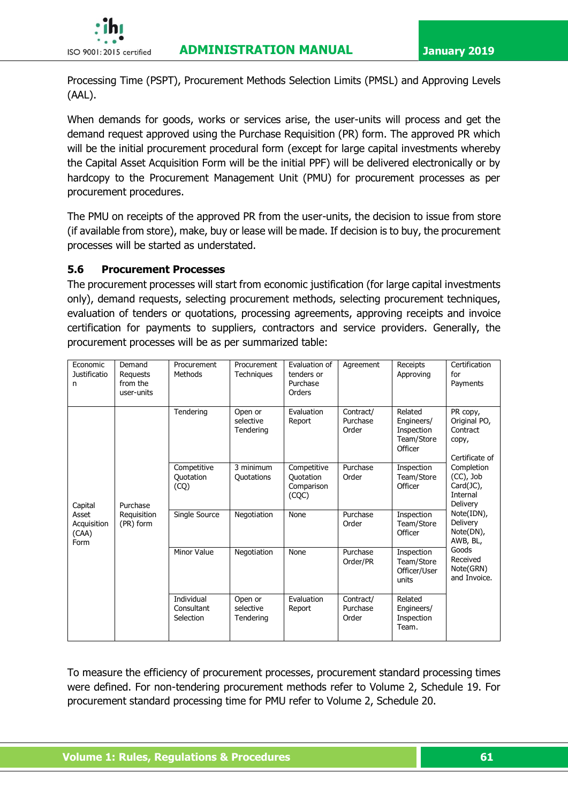

Processing Time (PSPT), Procurement Methods Selection Limits (PMSL) and Approving Levels (AAL).

When demands for goods, works or services arise, the user-units will process and get the demand request approved using the Purchase Requisition (PR) form. The approved PR which will be the initial procurement procedural form (except for large capital investments whereby the Capital Asset Acquisition Form will be the initial PPF) will be delivered electronically or by hardcopy to the Procurement Management Unit (PMU) for procurement processes as per procurement procedures.

The PMU on receipts of the approved PR from the user-units, the decision to issue from store (if available from store), make, buy or lease will be made. If decision is to buy, the procurement processes will be started as understated.

### **5.6 Procurement Processes**

The procurement processes will start from economic justification (for large capital investments only), demand requests, selecting procurement methods, selecting procurement techniques, evaluation of tenders or quotations, processing agreements, approving receipts and invoice certification for payments to suppliers, contractors and service providers. Generally, the procurement processes will be as per summarized table:

| Economic<br>Justificatio<br>n                    | Demand<br>Requests<br>from the<br>user-units | Procurement<br>Methods                | Procurement<br>Techniques         | Evaluation of<br>tenders or<br>Purchase<br>Orders | Agreement                      | Receipts<br>Approving                                        | Certification<br>for<br>Payments                                                                                                                                                                                                        |
|--------------------------------------------------|----------------------------------------------|---------------------------------------|-----------------------------------|---------------------------------------------------|--------------------------------|--------------------------------------------------------------|-----------------------------------------------------------------------------------------------------------------------------------------------------------------------------------------------------------------------------------------|
| Capital<br>Asset<br>Acquisition<br>(CAA)<br>Form | Purchase<br>Requisition<br>(PR) form         | Tendering                             | Open or<br>selective<br>Tendering | Evaluation<br>Report                              | Contract/<br>Purchase<br>Order | Related<br>Engineers/<br>Inspection<br>Team/Store<br>Officer | PR copy,<br>Original PO,<br>Contract<br>copy,<br>Certificate of<br>Completion<br>$(CC)$ , Job<br>Card(JC),<br>Internal<br>Delivery<br>Note(IDN),<br>Delivery<br>Note(DN),<br>AWB, BL,<br>Goods<br>Received<br>Note(GRN)<br>and Invoice. |
|                                                  |                                              | Competitive<br>Quotation<br>(CQ)      | 3 minimum<br>Quotations           | Competitive<br>Quotation<br>Comparison<br>(CQC)   | Purchase<br>Order              | Inspection<br>Team/Store<br>Officer                          |                                                                                                                                                                                                                                         |
|                                                  |                                              | Single Source                         | Negotiation                       | None                                              | Purchase<br>Order              | Inspection<br>Team/Store<br>Officer                          |                                                                                                                                                                                                                                         |
|                                                  |                                              | Minor Value                           | Negotiation                       | None                                              | Purchase<br>Order/PR           | Inspection<br>Team/Store<br>Officer/User<br>units            |                                                                                                                                                                                                                                         |
|                                                  |                                              | Individual<br>Consultant<br>Selection | Open or<br>selective<br>Tendering | Evaluation<br>Report                              | Contract/<br>Purchase<br>Order | Related<br>Engineers/<br>Inspection<br>Team.                 |                                                                                                                                                                                                                                         |

To measure the efficiency of procurement processes, procurement standard processing times were defined. For non-tendering procurement methods refer to Volume 2, Schedule 19. For procurement standard processing time for PMU refer to Volume 2, Schedule 20.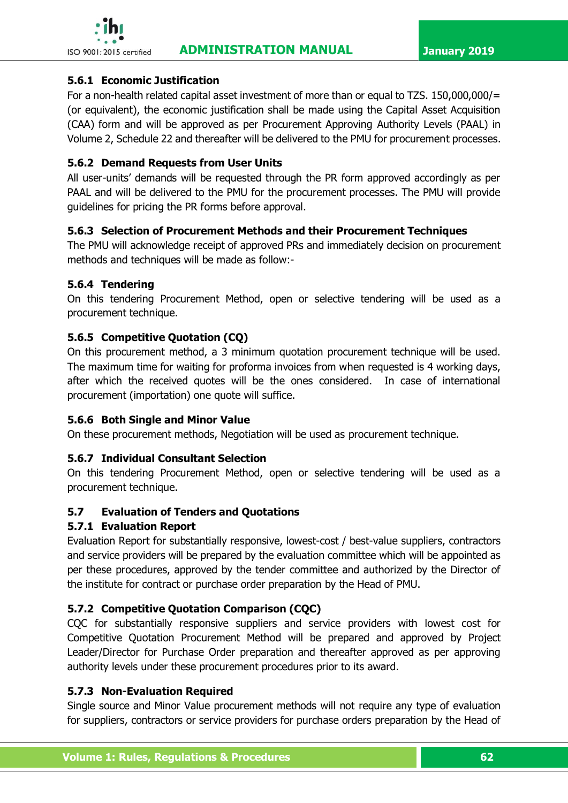

### **5.6.1 Economic Justification**

For a non-health related capital asset investment of more than or equal to TZS. 150,000,000/= (or equivalent), the economic justification shall be made using the Capital Asset Acquisition (CAA) form and will be approved as per Procurement Approving Authority Levels (PAAL) in Volume 2, Schedule 22 and thereafter will be delivered to the PMU for procurement processes.

### **5.6.2 Demand Requests from User Units**

All user-units' demands will be requested through the PR form approved accordingly as per PAAL and will be delivered to the PMU for the procurement processes. The PMU will provide guidelines for pricing the PR forms before approval.

# **5.6.3 Selection of Procurement Methods and their Procurement Techniques**

The PMU will acknowledge receipt of approved PRs and immediately decision on procurement methods and techniques will be made as follow:-

### **5.6.4 Tendering**

On this tendering Procurement Method, open or selective tendering will be used as a procurement technique.

# **5.6.5 Competitive Quotation (CQ)**

On this procurement method, a 3 minimum quotation procurement technique will be used. The maximum time for waiting for proforma invoices from when requested is 4 working days, after which the received quotes will be the ones considered. In case of international procurement (importation) one quote will suffice.

# **5.6.6 Both Single and Minor Value**

On these procurement methods, Negotiation will be used as procurement technique.

# **5.6.7 Individual Consultant Selection**

On this tendering Procurement Method, open or selective tendering will be used as a procurement technique.

# **5.7 Evaluation of Tenders and Quotations**

# **5.7.1 Evaluation Report**

Evaluation Report for substantially responsive, lowest-cost / best-value suppliers, contractors and service providers will be prepared by the evaluation committee which will be appointed as per these procedures, approved by the tender committee and authorized by the Director of the institute for contract or purchase order preparation by the Head of PMU.

# **5.7.2 Competitive Quotation Comparison (CQC)**

CQC for substantially responsive suppliers and service providers with lowest cost for Competitive Quotation Procurement Method will be prepared and approved by Project Leader/Director for Purchase Order preparation and thereafter approved as per approving authority levels under these procurement procedures prior to its award.

### **5.7.3 Non-Evaluation Required**

Single source and Minor Value procurement methods will not require any type of evaluation for suppliers, contractors or service providers for purchase orders preparation by the Head of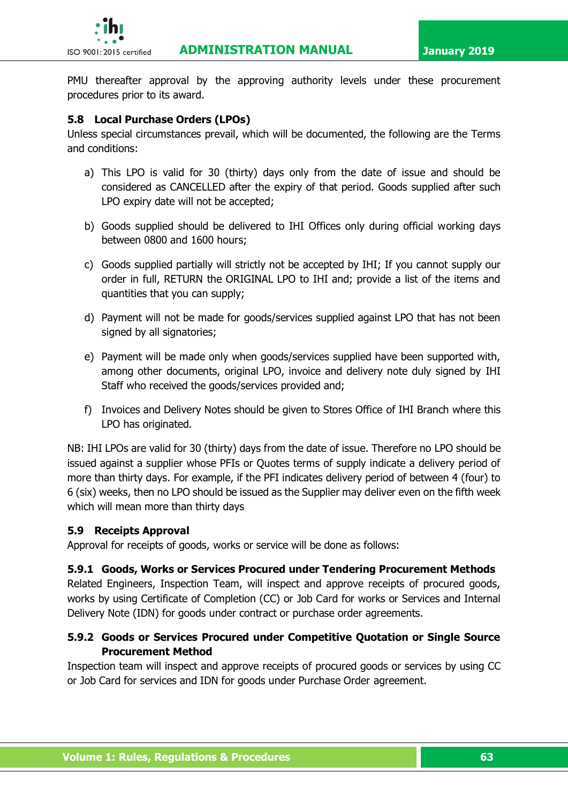

PMU thereafter approval by the approving authority levels under these procurement procedures prior to its award.

# **5.8 Local Purchase Orders (LPOs)**

Unless special circumstances prevail, which will be documented, the following are the Terms and conditions:

- a) This LPO is valid for 30 (thirty) days only from the date of issue and should be considered as CANCELLED after the expiry of that period. Goods supplied after such LPO expiry date will not be accepted;
- b) Goods supplied should be delivered to IHI Offices only during official working days between 0800 and 1600 hours;
- c) Goods supplied partially will strictly not be accepted by IHI; If you cannot supply our order in full, RETURN the ORIGINAL LPO to IHI and; provide a list of the items and quantities that you can supply;
- d) Payment will not be made for goods/services supplied against LPO that has not been signed by all signatories;
- e) Payment will be made only when goods/services supplied have been supported with, among other documents, original LPO, invoice and delivery note duly signed by IHI Staff who received the goods/services provided and;
- f) Invoices and Delivery Notes should be given to Stores Office of IHI Branch where this LPO has originated.

NB: IHI LPOs are valid for 30 (thirty) days from the date of issue. Therefore no LPO should be issued against a supplier whose PFIs or Quotes terms of supply indicate a delivery period of more than thirty days. For example, if the PFI indicates delivery period of between 4 (four) to 6 (six) weeks, then no LPO should be issued as the Supplier may deliver even on the fifth week which will mean more than thirty days

# **5.9 Receipts Approval**

Approval for receipts of goods, works or service will be done as follows:

### **5.9.1 Goods, Works or Services Procured under Tendering Procurement Methods**

Related Engineers, Inspection Team, will inspect and approve receipts of procured goods, works by using Certificate of Completion (CC) or Job Card for works or Services and Internal Delivery Note (IDN) for goods under contract or purchase order agreements.

# **5.9.2 Goods or Services Procured under Competitive Quotation or Single Source Procurement Method**

Inspection team will inspect and approve receipts of procured goods or services by using CC or Job Card for services and IDN for goods under Purchase Order agreement.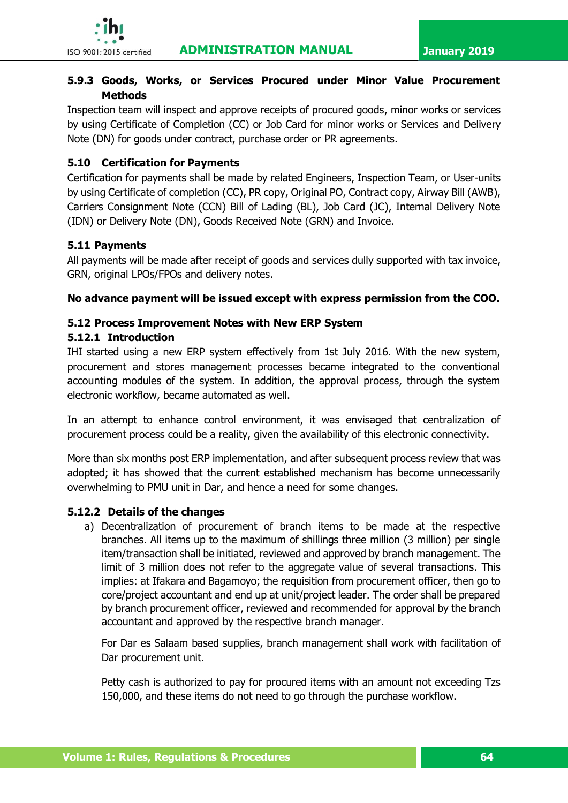

# **5.9.3 Goods, Works, or Services Procured under Minor Value Procurement Methods**

Inspection team will inspect and approve receipts of procured goods, minor works or services by using Certificate of Completion (CC) or Job Card for minor works or Services and Delivery Note (DN) for goods under contract, purchase order or PR agreements.

# **5.10 Certification for Payments**

Certification for payments shall be made by related Engineers, Inspection Team, or User-units by using Certificate of completion (CC), PR copy, Original PO, Contract copy, Airway Bill (AWB), Carriers Consignment Note (CCN) Bill of Lading (BL), Job Card (JC), Internal Delivery Note (IDN) or Delivery Note (DN), Goods Received Note (GRN) and Invoice.

# **5.11 Payments**

All payments will be made after receipt of goods and services dully supported with tax invoice, GRN, original LPOs/FPOs and delivery notes.

**No advance payment will be issued except with express permission from the COO.** 

# **5.12 Process Improvement Notes with New ERP System**

# **5.12.1 Introduction**

IHI started using a new ERP system effectively from 1st July 2016. With the new system, procurement and stores management processes became integrated to the conventional accounting modules of the system. In addition, the approval process, through the system electronic workflow, became automated as well.

In an attempt to enhance control environment, it was envisaged that centralization of procurement process could be a reality, given the availability of this electronic connectivity.

More than six months post ERP implementation, and after subsequent process review that was adopted; it has showed that the current established mechanism has become unnecessarily overwhelming to PMU unit in Dar, and hence a need for some changes.

# **5.12.2 Details of the changes**

a) Decentralization of procurement of branch items to be made at the respective branches. All items up to the maximum of shillings three million (3 million) per single item/transaction shall be initiated, reviewed and approved by branch management. The limit of 3 million does not refer to the aggregate value of several transactions. This implies: at Ifakara and Bagamoyo; the requisition from procurement officer, then go to core/project accountant and end up at unit/project leader. The order shall be prepared by branch procurement officer, reviewed and recommended for approval by the branch accountant and approved by the respective branch manager.

For Dar es Salaam based supplies, branch management shall work with facilitation of Dar procurement unit.

Petty cash is authorized to pay for procured items with an amount not exceeding Tzs 150,000, and these items do not need to go through the purchase workflow.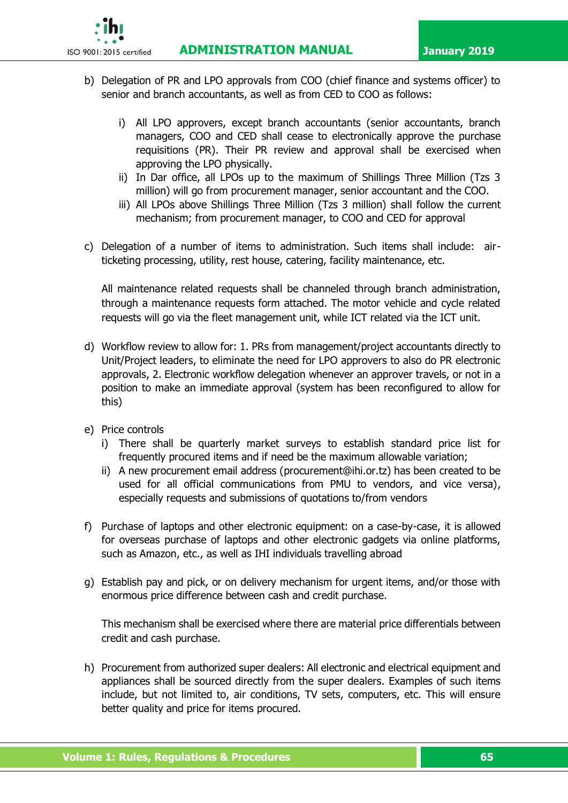**ISO 9001:2015 certified ADMINISTRATION MANUAL January 2019** 



- b) Delegation of PR and LPO approvals from COO (chief finance and systems officer) to senior and branch accountants, as well as from CED to COO as follows:
	- i) All LPO approvers, except branch accountants (senior accountants, branch managers, COO and CED shall cease to electronically approve the purchase requisitions (PR). Their PR review and approval shall be exercised when approving the LPO physically.
	- ii) In Dar office, all LPOs up to the maximum of Shillings Three Million (Tzs 3 million) will go from procurement manager, senior accountant and the COO.
	- iii) All LPOs above Shillings Three Million (Tzs 3 million) shall follow the current mechanism; from procurement manager, to COO and CED for approval
- c) Delegation of a number of items to administration. Such items shall include: airticketing processing, utility, rest house, catering, facility maintenance, etc.

All maintenance related requests shall be channeled through branch administration, through a maintenance requests form attached. The motor vehicle and cycle related requests will go via the fleet management unit, while ICT related via the ICT unit.

- d) Workflow review to allow for: 1. PRs from management/project accountants directly to Unit/Project leaders, to eliminate the need for LPO approvers to also do PR electronic approvals, 2. Electronic workflow delegation whenever an approver travels, or not in a position to make an immediate approval (system has been reconfigured to allow for this)
- e) Price controls
	- i) There shall be quarterly market surveys to establish standard price list for frequently procured items and if need be the maximum allowable variation;
	- ii) A new procurement email address [\(procurement@ihi.or.tz\)](mailto:procurement@ihi.or.tz) has been created to be used for all official communications from PMU to vendors, and vice versa), especially requests and submissions of quotations to/from vendors
- f) Purchase of laptops and other electronic equipment: on a case-by-case, it is allowed for overseas purchase of laptops and other electronic gadgets via online platforms, such as Amazon, etc., as well as IHI individuals travelling abroad
- g) Establish pay and pick, or on delivery mechanism for urgent items, and/or those with enormous price difference between cash and credit purchase.

This mechanism shall be exercised where there are material price differentials between credit and cash purchase.

h) Procurement from authorized super dealers: All electronic and electrical equipment and appliances shall be sourced directly from the super dealers. Examples of such items include, but not limited to, air conditions, TV sets, computers, etc. This will ensure better quality and price for items procured.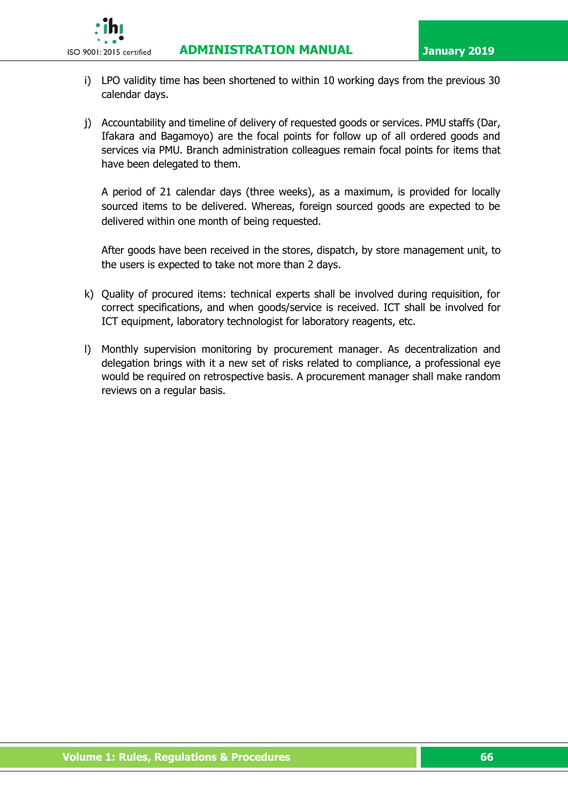**ISO 9001:2015 certified ADMINISTRATION MANUAL January 2019** 



- i) LPO validity time has been shortened to within 10 working days from the previous 30 calendar days.
- j) Accountability and timeline of delivery of requested goods or services. PMU staffs (Dar, Ifakara and Bagamoyo) are the focal points for follow up of all ordered goods and services via PMU. Branch administration colleagues remain focal points for items that have been delegated to them.

A period of 21 calendar days (three weeks), as a maximum, is provided for locally sourced items to be delivered. Whereas, foreign sourced goods are expected to be delivered within one month of being requested.

After goods have been received in the stores, dispatch, by store management unit, to the users is expected to take not more than 2 days.

- k) Quality of procured items: technical experts shall be involved during requisition, for correct specifications, and when goods/service is received. ICT shall be involved for ICT equipment, laboratory technologist for laboratory reagents, etc.
- l) Monthly supervision monitoring by procurement manager. As decentralization and delegation brings with it a new set of risks related to compliance, a professional eye would be required on retrospective basis. A procurement manager shall make random reviews on a regular basis.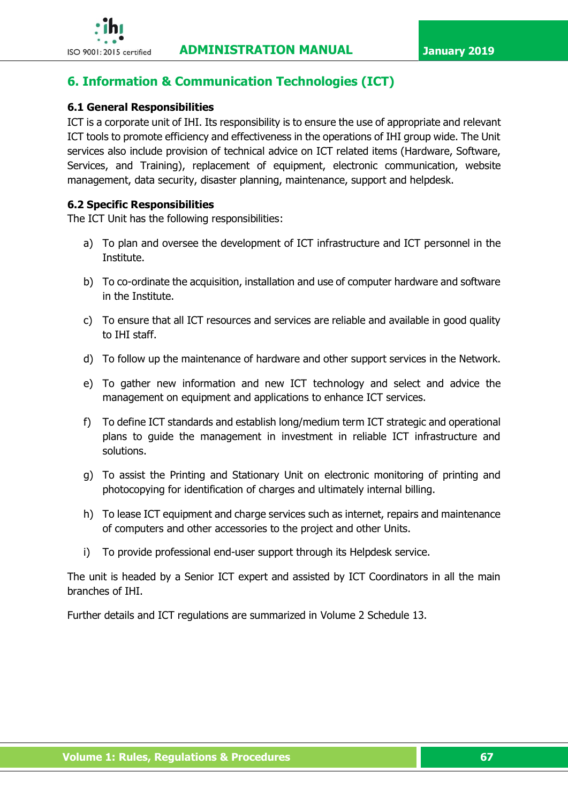

# **6. Information & Communication Technologies (ICT)**

# **6.1 General Responsibilities**

ICT is a corporate unit of IHI. Its responsibility is to ensure the use of appropriate and relevant ICT tools to promote efficiency and effectiveness in the operations of IHI group wide. The Unit services also include provision of technical advice on ICT related items (Hardware, Software, Services, and Training), replacement of equipment, electronic communication, website management, data security, disaster planning, maintenance, support and helpdesk.

# **6.2 Specific Responsibilities**

The ICT Unit has the following responsibilities:

- a) To plan and oversee the development of ICT infrastructure and ICT personnel in the Institute.
- b) To co-ordinate the acquisition, installation and use of computer hardware and software in the Institute.
- c) To ensure that all ICT resources and services are reliable and available in good quality to IHI staff.
- d) To follow up the maintenance of hardware and other support services in the Network.
- e) To gather new information and new ICT technology and select and advice the management on equipment and applications to enhance ICT services.
- f) To define ICT standards and establish long/medium term ICT strategic and operational plans to guide the management in investment in reliable ICT infrastructure and solutions.
- g) To assist the Printing and Stationary Unit on electronic monitoring of printing and photocopying for identification of charges and ultimately internal billing.
- h) To lease ICT equipment and charge services such as internet, repairs and maintenance of computers and other accessories to the project and other Units.
- i) To provide professional end-user support through its Helpdesk service.

The unit is headed by a Senior ICT expert and assisted by ICT Coordinators in all the main branches of IHI.

Further details and ICT regulations are summarized in Volume 2 Schedule 13.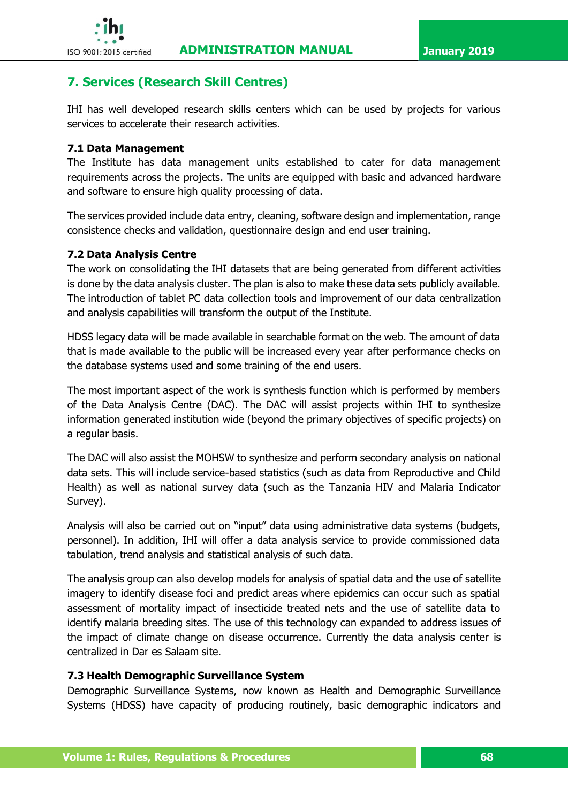

# **7. Services (Research Skill Centres)**

IHI has well developed research skills centers which can be used by projects for various services to accelerate their research activities.

### **7.1 Data Management**

The Institute has data management units established to cater for data management requirements across the projects. The units are equipped with basic and advanced hardware and software to ensure high quality processing of data.

The services provided include data entry, cleaning, software design and implementation, range consistence checks and validation, questionnaire design and end user training.

### **7.2 Data Analysis Centre**

The work on consolidating the IHI datasets that are being generated from different activities is done by the data analysis cluster. The plan is also to make these data sets publicly available. The introduction of tablet PC data collection tools and improvement of our data centralization and analysis capabilities will transform the output of the Institute.

HDSS legacy data will be made available in searchable format on the web. The amount of data that is made available to the public will be increased every year after performance checks on the database systems used and some training of the end users.

The most important aspect of the work is synthesis function which is performed by members of the Data Analysis Centre (DAC). The DAC will assist projects within IHI to synthesize information generated institution wide (beyond the primary objectives of specific projects) on a regular basis.

The DAC will also assist the MOHSW to synthesize and perform secondary analysis on national data sets. This will include service-based statistics (such as data from Reproductive and Child Health) as well as national survey data (such as the Tanzania HIV and Malaria Indicator Survey).

Analysis will also be carried out on "input" data using administrative data systems (budgets, personnel). In addition, IHI will offer a data analysis service to provide commissioned data tabulation, trend analysis and statistical analysis of such data.

The analysis group can also develop models for analysis of spatial data and the use of satellite imagery to identify disease foci and predict areas where epidemics can occur such as spatial assessment of mortality impact of insecticide treated nets and the use of satellite data to identify malaria breeding sites. The use of this technology can expanded to address issues of the impact of climate change on disease occurrence. Currently the data analysis center is centralized in Dar es Salaam site.

### **7.3 Health Demographic Surveillance System**

Demographic Surveillance Systems, now known as Health and Demographic Surveillance Systems (HDSS) have capacity of producing routinely, basic demographic indicators and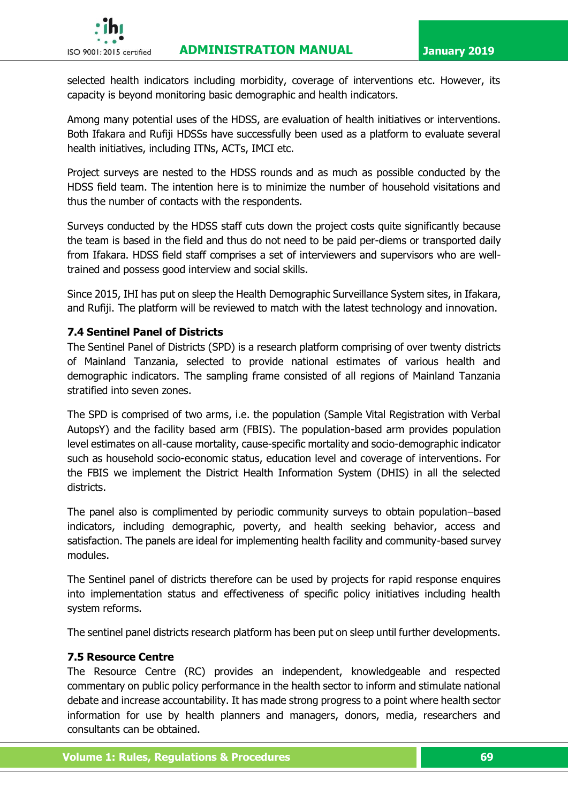# **ISO 9001:2015 certified ADMINISTRATION MANUAL January 2019**



selected health indicators including morbidity, coverage of interventions etc. However, its capacity is beyond monitoring basic demographic and health indicators.

Among many potential uses of the HDSS, are evaluation of health initiatives or interventions. Both Ifakara and Rufiji HDSSs have successfully been used as a platform to evaluate several health initiatives, including ITNs, ACTs, IMCI etc.

Project surveys are nested to the HDSS rounds and as much as possible conducted by the HDSS field team. The intention here is to minimize the number of household visitations and thus the number of contacts with the respondents.

Surveys conducted by the HDSS staff cuts down the project costs quite significantly because the team is based in the field and thus do not need to be paid per-diems or transported daily from Ifakara. HDSS field staff comprises a set of interviewers and supervisors who are welltrained and possess good interview and social skills.

Since 2015, IHI has put on sleep the Health Demographic Surveillance System sites, in Ifakara, and Rufiji. The platform will be reviewed to match with the latest technology and innovation.

### **7.4 Sentinel Panel of Districts**

The Sentinel Panel of Districts (SPD) is a research platform comprising of over twenty districts of Mainland Tanzania, selected to provide national estimates of various health and demographic indicators. The sampling frame consisted of all regions of Mainland Tanzania stratified into seven zones.

The SPD is comprised of two arms, i.e. the population (Sample Vital Registration with Verbal AutopsY) and the facility based arm (FBIS). The population-based arm provides population level estimates on all-cause mortality, cause-specific mortality and socio-demographic indicator such as household socio-economic status, education level and coverage of interventions. For the FBIS we implement the District Health Information System (DHIS) in all the selected districts.

The panel also is complimented by periodic community surveys to obtain population–based indicators, including demographic, poverty, and health seeking behavior, access and satisfaction. The panels are ideal for implementing health facility and community-based survey modules.

The Sentinel panel of districts therefore can be used by projects for rapid response enquires into implementation status and effectiveness of specific policy initiatives including health system reforms.

The sentinel panel districts research platform has been put on sleep until further developments.

# **7.5 Resource Centre**

The Resource Centre (RC) provides an independent, knowledgeable and respected commentary on public policy performance in the health sector to inform and stimulate national debate and increase accountability. It has made strong progress to a point where health sector information for use by health planners and managers, donors, media, researchers and consultants can be obtained.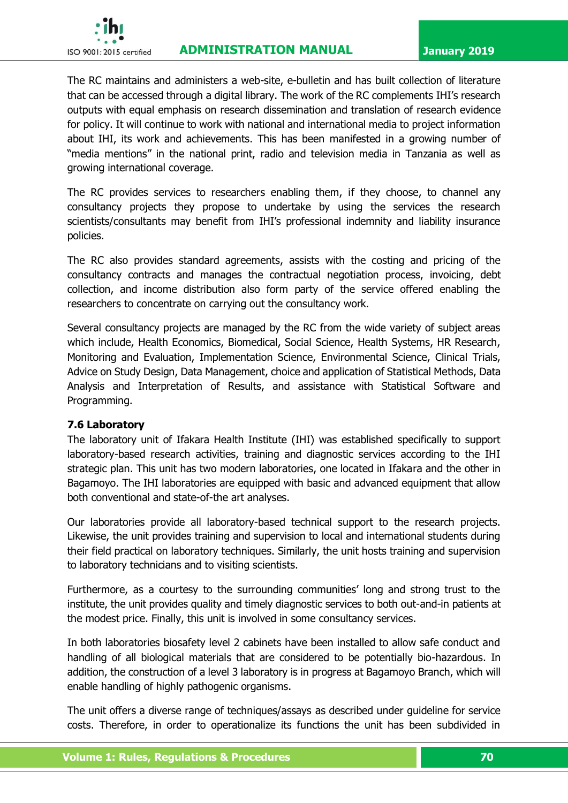

# **ISO 9001:2015 certified ADMINISTRATION MANUAL January 2019**

The RC maintains and administers a web-site, e-bulletin and has built collection of literature that can be accessed through a digital library. The work of the RC complements IHI's research outputs with equal emphasis on research dissemination and translation of research evidence for policy. It will continue to work with national and international media to project information about IHI, its work and achievements. This has been manifested in a growing number of "media mentions" in the national print, radio and television media in Tanzania as well as growing international coverage.

The RC provides services to researchers enabling them, if they choose, to channel any consultancy projects they propose to undertake by using the services the research scientists/consultants may benefit from IHI's professional indemnity and liability insurance policies.

The RC also provides standard agreements, assists with the costing and pricing of the consultancy contracts and manages the contractual negotiation process, invoicing, debt collection, and income distribution also form party of the service offered enabling the researchers to concentrate on carrying out the consultancy work.

Several consultancy projects are managed by the RC from the wide variety of subject areas which include, Health Economics, Biomedical, Social Science, Health Systems, HR Research, Monitoring and Evaluation, Implementation Science, Environmental Science, Clinical Trials, Advice on Study Design, Data Management, choice and application of Statistical Methods, Data Analysis and Interpretation of Results, and assistance with Statistical Software and Programming.

### **7.6 Laboratory**

The laboratory unit of Ifakara Health Institute (IHI) was established specifically to support laboratory-based research activities, training and diagnostic services according to the IHI strategic plan. This unit has two modern laboratories, one located in Ifakara and the other in Bagamoyo. The IHI laboratories are equipped with basic and advanced equipment that allow both conventional and state-of-the art analyses.

Our laboratories provide all laboratory-based technical support to the research projects. Likewise, the unit provides training and supervision to local and international students during their field practical on laboratory techniques. Similarly, the unit hosts training and supervision to laboratory technicians and to visiting scientists.

Furthermore, as a courtesy to the surrounding communities' long and strong trust to the institute, the unit provides quality and timely diagnostic services to both out-and-in patients at the modest price. Finally, this unit is involved in some consultancy services.

In both laboratories biosafety level 2 cabinets have been installed to allow safe conduct and handling of all biological materials that are considered to be potentially bio-hazardous. In addition, the construction of a level 3 laboratory is in progress at Bagamoyo Branch, which will enable handling of highly pathogenic organisms.

The unit offers a diverse range of techniques/assays as described under guideline for service costs. Therefore, in order to operationalize its functions the unit has been subdivided in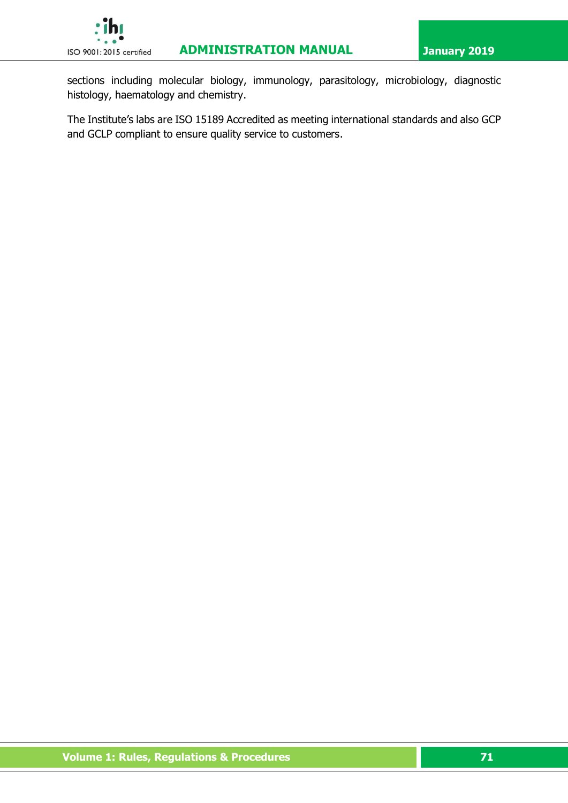

sections including molecular biology, immunology, parasitology, microbiology, diagnostic histology, haematology and chemistry.

The Institute's labs are ISO 15189 Accredited as meeting international standards and also GCP and GCLP compliant to ensure quality service to customers.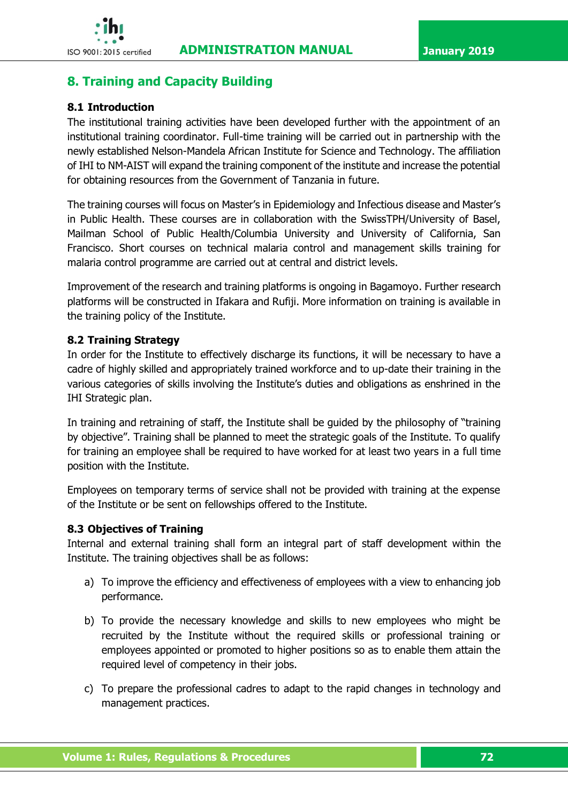# **8. Training and Capacity Building**

# **8.1 Introduction**

The institutional training activities have been developed further with the appointment of an institutional training coordinator. Full-time training will be carried out in partnership with the newly established Nelson-Mandela African Institute for Science and Technology. The affiliation of IHI to NM-AIST will expand the training component of the institute and increase the potential for obtaining resources from the Government of Tanzania in future.

The training courses will focus on Master's in Epidemiology and Infectious disease and Master's in Public Health. These courses are in collaboration with the SwissTPH/University of Basel, Mailman School of Public Health/Columbia University and University of California, San Francisco. Short courses on technical malaria control and management skills training for malaria control programme are carried out at central and district levels.

Improvement of the research and training platforms is ongoing in Bagamoyo. Further research platforms will be constructed in Ifakara and Rufiji. More information on training is available in the training policy of the Institute.

# **8.2 Training Strategy**

In order for the Institute to effectively discharge its functions, it will be necessary to have a cadre of highly skilled and appropriately trained workforce and to up-date their training in the various categories of skills involving the Institute's duties and obligations as enshrined in the IHI Strategic plan.

In training and retraining of staff, the Institute shall be guided by the philosophy of "training by objective". Training shall be planned to meet the strategic goals of the Institute. To qualify for training an employee shall be required to have worked for at least two years in a full time position with the Institute.

Employees on temporary terms of service shall not be provided with training at the expense of the Institute or be sent on fellowships offered to the Institute.

### **8.3 Objectives of Training**

Internal and external training shall form an integral part of staff development within the Institute. The training objectives shall be as follows:

- a) To improve the efficiency and effectiveness of employees with a view to enhancing job performance.
- b) To provide the necessary knowledge and skills to new employees who might be recruited by the Institute without the required skills or professional training or employees appointed or promoted to higher positions so as to enable them attain the required level of competency in their jobs.
- c) To prepare the professional cadres to adapt to the rapid changes in technology and management practices.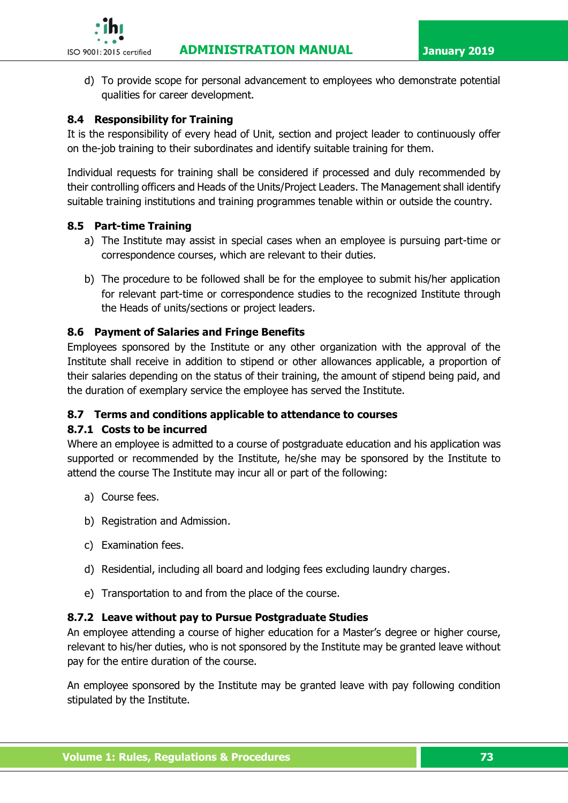

d) To provide scope for personal advancement to employees who demonstrate potential qualities for career development.

# **8.4 Responsibility for Training**

It is the responsibility of every head of Unit, section and project leader to continuously offer on the-job training to their subordinates and identify suitable training for them.

Individual requests for training shall be considered if processed and duly recommended by their controlling officers and Heads of the Units/Project Leaders. The Management shall identify suitable training institutions and training programmes tenable within or outside the country.

### **8.5 Part-time Training**

- a) The Institute may assist in special cases when an employee is pursuing part-time or correspondence courses, which are relevant to their duties.
- b) The procedure to be followed shall be for the employee to submit his/her application for relevant part-time or correspondence studies to the recognized Institute through the Heads of units/sections or project leaders.

### **8.6 Payment of Salaries and Fringe Benefits**

Employees sponsored by the Institute or any other organization with the approval of the Institute shall receive in addition to stipend or other allowances applicable, a proportion of their salaries depending on the status of their training, the amount of stipend being paid, and the duration of exemplary service the employee has served the Institute.

### **8.7 Terms and conditions applicable to attendance to courses**

### **8.7.1 Costs to be incurred**

Where an employee is admitted to a course of postgraduate education and his application was supported or recommended by the Institute, he/she may be sponsored by the Institute to attend the course The Institute may incur all or part of the following:

- a) Course fees.
- b) Registration and Admission.
- c) Examination fees.
- d) Residential, including all board and lodging fees excluding laundry charges.
- e) Transportation to and from the place of the course.

### **8.7.2 Leave without pay to Pursue Postgraduate Studies**

An employee attending a course of higher education for a Master's degree or higher course, relevant to his/her duties, who is not sponsored by the Institute may be granted leave without pay for the entire duration of the course.

An employee sponsored by the Institute may be granted leave with pay following condition stipulated by the Institute.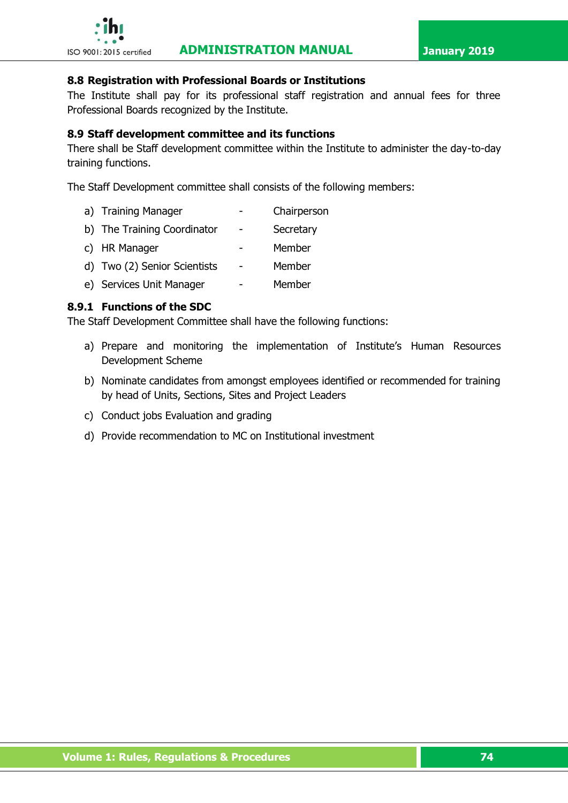

### **8.8 Registration with Professional Boards or Institutions**

The Institute shall pay for its professional staff registration and annual fees for three Professional Boards recognized by the Institute.

### **8.9 Staff development committee and its functions**

There shall be Staff development committee within the Institute to administer the day-to-day training functions.

The Staff Development committee shall consists of the following members:

- a) Training Manager **-** Chairperson
- b) The Training Coordinator Secretary
- c) HR Manager **-** Member
- d) Two (2) Senior Scientists Member
- e) Services Unit Manager Member

### **8.9.1 Functions of the SDC**

The Staff Development Committee shall have the following functions:

- a) Prepare and monitoring the implementation of Institute's Human Resources Development Scheme
- b) Nominate candidates from amongst employees identified or recommended for training by head of Units, Sections, Sites and Project Leaders
- c) Conduct jobs Evaluation and grading
- d) Provide recommendation to MC on Institutional investment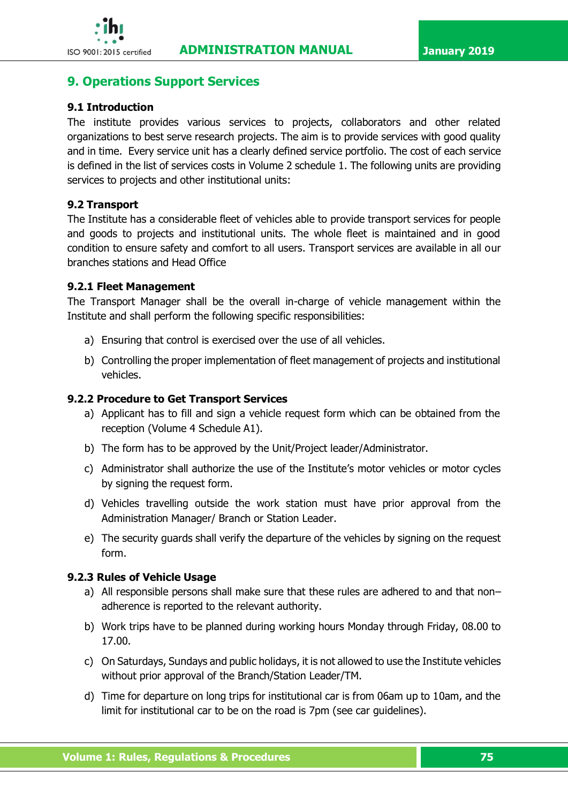

# **9. Operations Support Services**

# **9.1 Introduction**

The institute provides various services to projects, collaborators and other related organizations to best serve research projects. The aim is to provide services with good quality and in time. Every service unit has a clearly defined service portfolio. The cost of each service is defined in the list of services costs in Volume 2 schedule 1. The following units are providing services to projects and other institutional units:

### **9.2 Transport**

The Institute has a considerable fleet of vehicles able to provide transport services for people and goods to projects and institutional units. The whole fleet is maintained and in good condition to ensure safety and comfort to all users. Transport services are available in all our branches stations and Head Office

### **9.2.1 Fleet Management**

The Transport Manager shall be the overall in-charge of vehicle management within the Institute and shall perform the following specific responsibilities:

- a) Ensuring that control is exercised over the use of all vehicles.
- b) Controlling the proper implementation of fleet management of projects and institutional vehicles.

### **9.2.2 Procedure to Get Transport Services**

- a) Applicant has to fill and sign a vehicle request form which can be obtained from the reception (Volume 4 Schedule A1).
- b) The form has to be approved by the Unit/Project leader/Administrator.
- c) Administrator shall authorize the use of the Institute's motor vehicles or motor cycles by signing the request form.
- d) Vehicles travelling outside the work station must have prior approval from the Administration Manager/ Branch or Station Leader.
- e) The security guards shall verify the departure of the vehicles by signing on the request form.

### **9.2.3 Rules of Vehicle Usage**

- a) All responsible persons shall make sure that these rules are adhered to and that non– adherence is reported to the relevant authority.
- b) Work trips have to be planned during working hours Monday through Friday, 08.00 to 17.00.
- c) On Saturdays, Sundays and public holidays, it is not allowed to use the Institute vehicles without prior approval of the Branch/Station Leader/TM.
- d) Time for departure on long trips for institutional car is from 06am up to 10am, and the limit for institutional car to be on the road is 7pm (see car guidelines).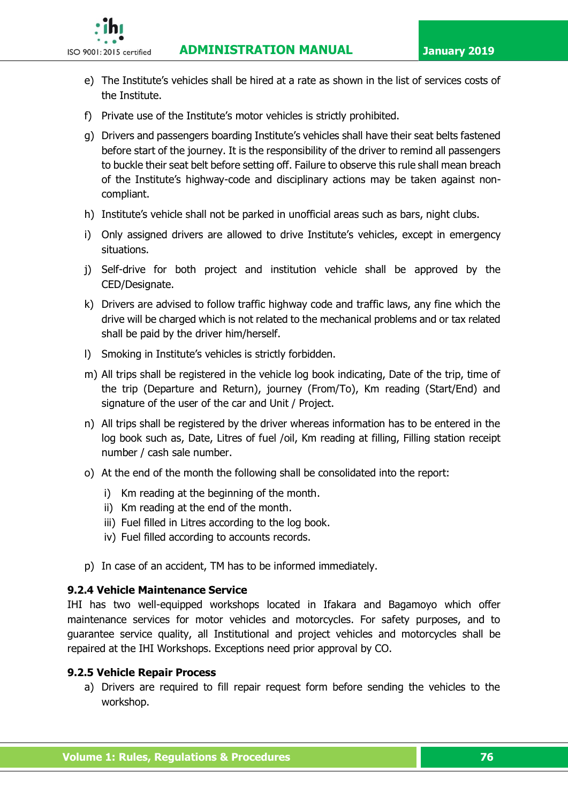**ISO 9001:2015 certified ADMINISTRATION MANUAL January 2019** 



- e) The Institute's vehicles shall be hired at a rate as shown in the list of services costs of the Institute.
- f) Private use of the Institute's motor vehicles is strictly prohibited.
- g) Drivers and passengers boarding Institute's vehicles shall have their seat belts fastened before start of the journey. It is the responsibility of the driver to remind all passengers to buckle their seat belt before setting off. Failure to observe this rule shall mean breach of the Institute's highway-code and disciplinary actions may be taken against noncompliant.
- h) Institute's vehicle shall not be parked in unofficial areas such as bars, night clubs.
- i) Only assigned drivers are allowed to drive Institute's vehicles, except in emergency situations.
- j) Self-drive for both project and institution vehicle shall be approved by the CED/Designate.
- k) Drivers are advised to follow traffic highway code and traffic laws, any fine which the drive will be charged which is not related to the mechanical problems and or tax related shall be paid by the driver him/herself.
- l) Smoking in Institute's vehicles is strictly forbidden.
- m) All trips shall be registered in the vehicle log book indicating, Date of the trip, time of the trip (Departure and Return), journey (From/To), Km reading (Start/End) and signature of the user of the car and Unit / Project.
- n) All trips shall be registered by the driver whereas information has to be entered in the log book such as, Date, Litres of fuel /oil, Km reading at filling, Filling station receipt number / cash sale number.
- o) At the end of the month the following shall be consolidated into the report:
	- i) Km reading at the beginning of the month.
	- ii) Km reading at the end of the month.
	- iii) Fuel filled in Litres according to the log book.
	- iv) Fuel filled according to accounts records.
- p) In case of an accident, TM has to be informed immediately.

### **9.2.4 Vehicle Maintenance Service**

IHI has two well-equipped workshops located in Ifakara and Bagamoyo which offer maintenance services for motor vehicles and motorcycles. For safety purposes, and to guarantee service quality, all Institutional and project vehicles and motorcycles shall be repaired at the IHI Workshops. Exceptions need prior approval by CO.

### **9.2.5 Vehicle Repair Process**

a) Drivers are required to fill repair request form before sending the vehicles to the workshop.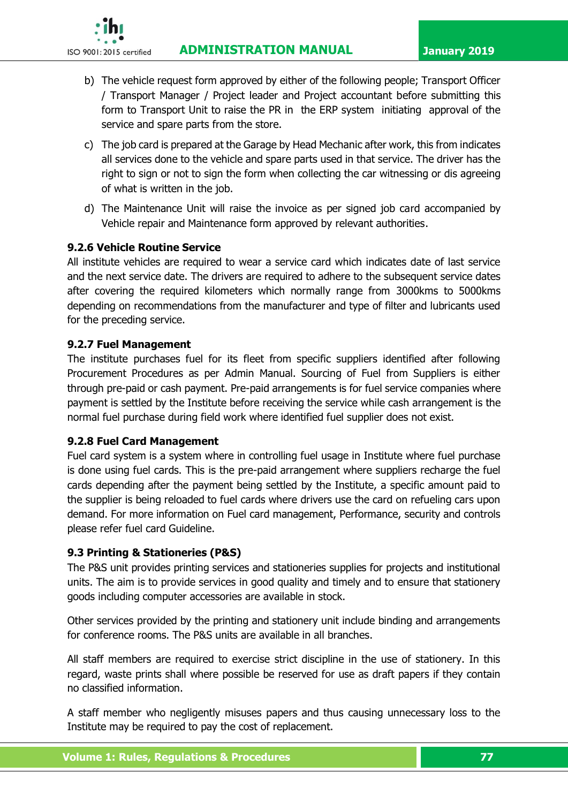**ISO 9001:2015 certified ADMINISTRATION MANUAL January 2019** 



- b) The vehicle request form approved by either of the following people; Transport Officer / Transport Manager / Project leader and Project accountant before submitting this form to Transport Unit to raise the PR in the ERP system initiating approval of the service and spare parts from the store.
- c) The job card is prepared at the Garage by Head Mechanic after work, this from indicates all services done to the vehicle and spare parts used in that service. The driver has the right to sign or not to sign the form when collecting the car witnessing or dis agreeing of what is written in the job.
- d) The Maintenance Unit will raise the invoice as per signed job card accompanied by Vehicle repair and Maintenance form approved by relevant authorities.

# **9.2.6 Vehicle Routine Service**

All institute vehicles are required to wear a service card which indicates date of last service and the next service date. The drivers are required to adhere to the subsequent service dates after covering the required kilometers which normally range from 3000kms to 5000kms depending on recommendations from the manufacturer and type of filter and lubricants used for the preceding service.

# **9.2.7 Fuel Management**

The institute purchases fuel for its fleet from specific suppliers identified after following Procurement Procedures as per Admin Manual. Sourcing of Fuel from Suppliers is either through pre-paid or cash payment. Pre-paid arrangements is for fuel service companies where payment is settled by the Institute before receiving the service while cash arrangement is the normal fuel purchase during field work where identified fuel supplier does not exist.

# **9.2.8 Fuel Card Management**

Fuel card system is a system where in controlling fuel usage in Institute where fuel purchase is done using fuel cards. This is the pre-paid arrangement where suppliers recharge the fuel cards depending after the payment being settled by the Institute, a specific amount paid to the supplier is being reloaded to fuel cards where drivers use the card on refueling cars upon demand. For more information on Fuel card management, Performance, security and controls please refer fuel card Guideline.

# **9.3 Printing & Stationeries (P&S)**

The P&S unit provides printing services and stationeries supplies for projects and institutional units. The aim is to provide services in good quality and timely and to ensure that stationery goods including computer accessories are available in stock.

Other services provided by the printing and stationery unit include binding and arrangements for conference rooms. The P&S units are available in all branches.

All staff members are required to exercise strict discipline in the use of stationery. In this regard, waste prints shall where possible be reserved for use as draft papers if they contain no classified information.

A staff member who negligently misuses papers and thus causing unnecessary loss to the Institute may be required to pay the cost of replacement.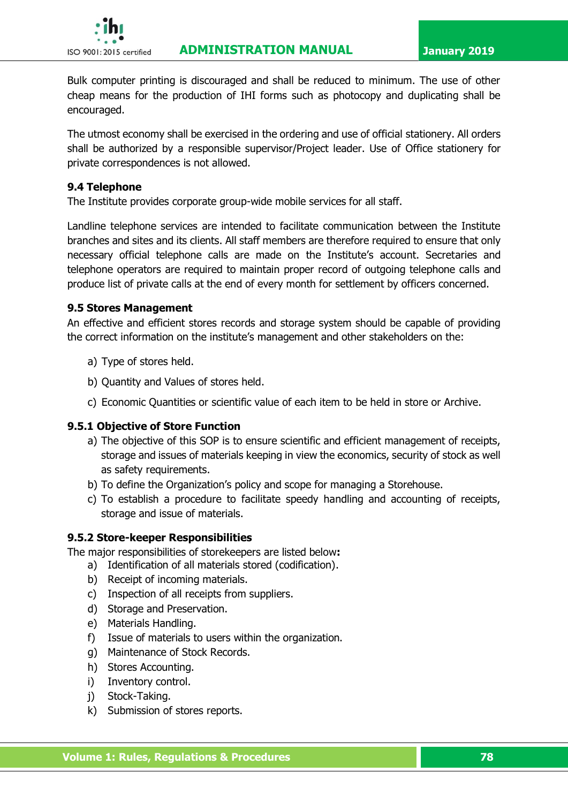

Bulk computer printing is discouraged and shall be reduced to minimum. The use of other cheap means for the production of IHI forms such as photocopy and duplicating shall be encouraged.

The utmost economy shall be exercised in the ordering and use of official stationery. All orders shall be authorized by a responsible supervisor/Project leader. Use of Office stationery for private correspondences is not allowed.

#### **9.4 Telephone**

The Institute provides corporate group-wide mobile services for all staff.

Landline telephone services are intended to facilitate communication between the Institute branches and sites and its clients. All staff members are therefore required to ensure that only necessary official telephone calls are made on the Institute's account. Secretaries and telephone operators are required to maintain proper record of outgoing telephone calls and produce list of private calls at the end of every month for settlement by officers concerned.

#### **9.5 Stores Management**

An effective and efficient stores records and storage system should be capable of providing the correct information on the institute's management and other stakeholders on the:

- a) Type of stores held.
- b) Quantity and Values of stores held.
- c) Economic Quantities or scientific value of each item to be held in store or Archive.

#### **9.5.1 Objective of Store Function**

- a) The objective of this SOP is to ensure scientific and efficient management of receipts, storage and issues of materials keeping in view the economics, security of stock as well as safety requirements.
- b) To define the Organization's policy and scope for managing a Storehouse.
- c) To establish a procedure to facilitate speedy handling and accounting of receipts, storage and issue of materials.

### **9.5.2 Store-keeper Responsibilities**

The major responsibilities of storekeepers are listed below**:**

- a) Identification of all materials stored (codification).
- b) Receipt of incoming materials.
- c) Inspection of all receipts from suppliers.
- d) Storage and Preservation.
- e) Materials Handling.
- f) Issue of materials to users within the organization.
- g) Maintenance of Stock Records.
- h) Stores Accounting.
- i) Inventory control.
- j) Stock-Taking.
- k) Submission of stores reports.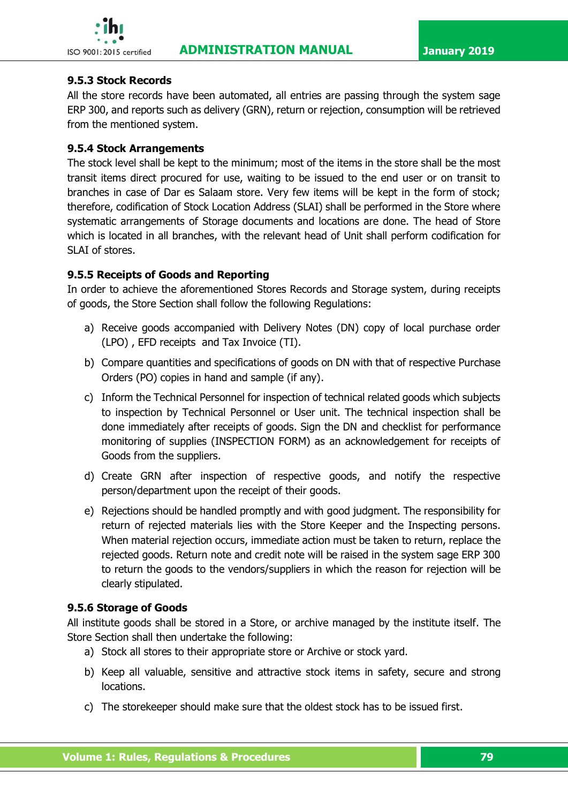

# **9.5.3 Stock Records**

All the store records have been automated, all entries are passing through the system sage ERP 300, and reports such as delivery (GRN), return or rejection, consumption will be retrieved from the mentioned system.

### **9.5.4 Stock Arrangements**

The stock level shall be kept to the minimum; most of the items in the store shall be the most transit items direct procured for use, waiting to be issued to the end user or on transit to branches in case of Dar es Salaam store. Very few items will be kept in the form of stock; therefore, codification of Stock Location Address (SLAI) shall be performed in the Store where systematic arrangements of Storage documents and locations are done. The head of Store which is located in all branches, with the relevant head of Unit shall perform codification for SLAI of stores.

### **9.5.5 Receipts of Goods and Reporting**

In order to achieve the aforementioned Stores Records and Storage system, during receipts of goods, the Store Section shall follow the following Regulations:

- a) Receive goods accompanied with Delivery Notes (DN) copy of local purchase order (LPO) , EFD receipts and Tax Invoice (TI).
- b) Compare quantities and specifications of goods on DN with that of respective Purchase Orders (PO) copies in hand and sample (if any).
- c) Inform the Technical Personnel for inspection of technical related goods which subjects to inspection by Technical Personnel or User unit. The technical inspection shall be done immediately after receipts of goods. Sign the DN and checklist for performance monitoring of supplies (INSPECTION FORM) as an acknowledgement for receipts of Goods from the suppliers.
- d) Create GRN after inspection of respective goods, and notify the respective person/department upon the receipt of their goods.
- e) Rejections should be handled promptly and with good judgment. The responsibility for return of rejected materials lies with the Store Keeper and the Inspecting persons. When material rejection occurs, immediate action must be taken to return, replace the rejected goods. Return note and credit note will be raised in the system sage ERP 300 to return the goods to the vendors/suppliers in which the reason for rejection will be clearly stipulated.

# **9.5.6 Storage of Goods**

All institute goods shall be stored in a Store, or archive managed by the institute itself. The Store Section shall then undertake the following:

- a) Stock all stores to their appropriate store or Archive or stock yard.
- b) Keep all valuable, sensitive and attractive stock items in safety, secure and strong locations.
- c) The storekeeper should make sure that the oldest stock has to be issued first.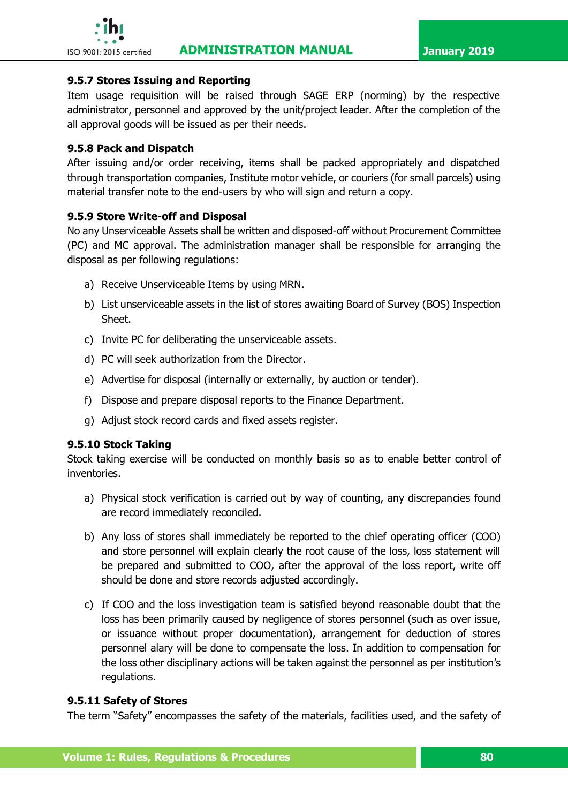### **9.5.7 Stores Issuing and Reporting**

Item usage requisition will be raised through SAGE ERP (norming) by the respective administrator, personnel and approved by the unit/project leader. After the completion of the all approval goods will be issued as per their needs.

### **9.5.8 Pack and Dispatch**

After issuing and/or order receiving, items shall be packed appropriately and dispatched through transportation companies, Institute motor vehicle, or couriers (for small parcels) using material transfer note to the end-users by who will sign and return a copy.

### **9.5.9 Store Write-off and Disposal**

No any Unserviceable Assets shall be written and disposed-off without Procurement Committee (PC) and MC approval. The administration manager shall be responsible for arranging the disposal as per following regulations:

- a) Receive Unserviceable Items by using MRN.
- b) List unserviceable assets in the list of stores awaiting Board of Survey (BOS) Inspection Sheet.
- c) Invite PC for deliberating the unserviceable assets.
- d) PC will seek authorization from the Director.
- e) Advertise for disposal (internally or externally, by auction or tender).
- f) Dispose and prepare disposal reports to the Finance Department.
- g) Adjust stock record cards and fixed assets register.

### **9.5.10 Stock Taking**

Stock taking exercise will be conducted on monthly basis so as to enable better control of inventories.

- a) Physical stock verification is carried out by way of counting, any discrepancies found are record immediately reconciled.
- b) Any loss of stores shall immediately be reported to the chief operating officer (COO) and store personnel will explain clearly the root cause of the loss, loss statement will be prepared and submitted to COO, after the approval of the loss report, write off should be done and store records adjusted accordingly.
- c) If COO and the loss investigation team is satisfied beyond reasonable doubt that the loss has been primarily caused by negligence of stores personnel (such as over issue, or issuance without proper documentation), arrangement for deduction of stores personnel alary will be done to compensate the loss. In addition to compensation for the loss other disciplinary actions will be taken against the personnel as per institution's regulations.

### **9.5.11 Safety of Stores**

The term "Safety" encompasses the safety of the materials, facilities used, and the safety of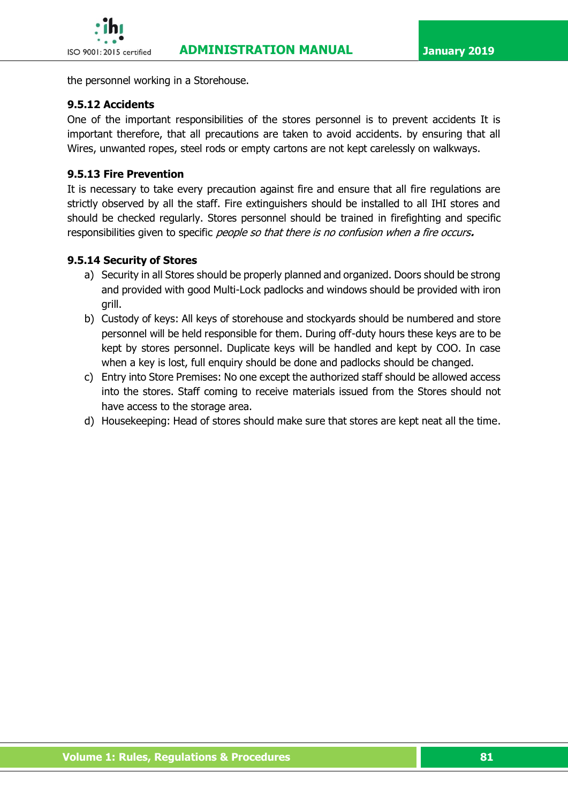the personnel working in a Storehouse.

### **9.5.12 Accidents**

One of the important responsibilities of the stores personnel is to prevent accidents It is important therefore, that all precautions are taken to avoid accidents. by ensuring that all Wires, unwanted ropes, steel rods or empty cartons are not kept carelessly on walkways.

### **9.5.13 Fire Prevention**

It is necessary to take every precaution against fire and ensure that all fire regulations are strictly observed by all the staff. Fire extinguishers should be installed to all IHI stores and should be checked regularly. Stores personnel should be trained in firefighting and specific responsibilities given to specific people so that there is no confusion when a fire occurs**.**

### **9.5.14 Security of Stores**

- a) Security in all Stores should be properly planned and organized. Doors should be strong and provided with good Multi-Lock padlocks and windows should be provided with iron grill.
- b) Custody of keys: All keys of storehouse and stockyards should be numbered and store personnel will be held responsible for them. During off-duty hours these keys are to be kept by stores personnel. Duplicate keys will be handled and kept by COO. In case when a key is lost, full enquiry should be done and padlocks should be changed.
- c) Entry into Store Premises: No one except the authorized staff should be allowed access into the stores. Staff coming to receive materials issued from the Stores should not have access to the storage area.
- d) Housekeeping: Head of stores should make sure that stores are kept neat all the time.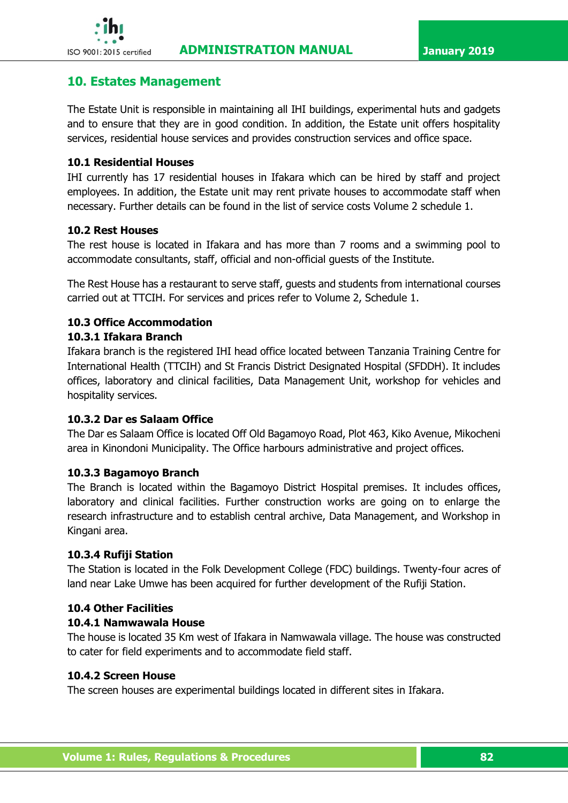

# **10. Estates Management**

The Estate Unit is responsible in maintaining all IHI buildings, experimental huts and gadgets and to ensure that they are in good condition. In addition, the Estate unit offers hospitality services, residential house services and provides construction services and office space.

### **10.1 Residential Houses**

IHI currently has 17 residential houses in Ifakara which can be hired by staff and project employees. In addition, the Estate unit may rent private houses to accommodate staff when necessary. Further details can be found in the list of service costs Volume 2 schedule 1.

### **10.2 Rest Houses**

The rest house is located in Ifakara and has more than 7 rooms and a swimming pool to accommodate consultants, staff, official and non-official guests of the Institute.

The Rest House has a restaurant to serve staff, guests and students from international courses carried out at TTCIH. For services and prices refer to Volume 2, Schedule 1.

### **10.3 Office Accommodation 10.3.1 Ifakara Branch**

Ifakara branch is the registered IHI head office located between Tanzania Training Centre for International Health (TTCIH) and St Francis District Designated Hospital (SFDDH). It includes offices, laboratory and clinical facilities, Data Management Unit, workshop for vehicles and hospitality services.

# **10.3.2 Dar es Salaam Office**

The Dar es Salaam Office is located Off Old Bagamoyo Road, Plot 463, Kiko Avenue, Mikocheni area in Kinondoni Municipality. The Office harbours administrative and project offices.

### **10.3.3 Bagamoyo Branch**

The Branch is located within the Bagamoyo District Hospital premises. It includes offices, laboratory and clinical facilities. Further construction works are going on to enlarge the research infrastructure and to establish central archive, Data Management, and Workshop in Kingani area.

### **10.3.4 Rufiji Station**

The Station is located in the Folk Development College (FDC) buildings. Twenty-four acres of land near Lake Umwe has been acquired for further development of the Rufiji Station.

### **10.4 Other Facilities**

### **10.4.1 Namwawala House**

The house is located 35 Km west of Ifakara in Namwawala village. The house was constructed to cater for field experiments and to accommodate field staff.

### **10.4.2 Screen House**

The screen houses are experimental buildings located in different sites in Ifakara.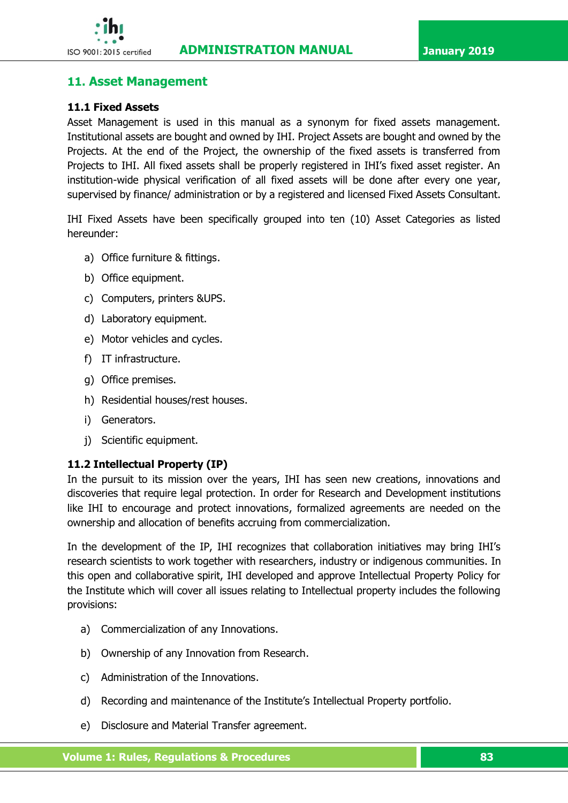

# **11. Asset Management**

### **11.1 Fixed Assets**

Asset Management is used in this manual as a synonym for fixed assets management. Institutional assets are bought and owned by IHI. Project Assets are bought and owned by the Projects. At the end of the Project, the ownership of the fixed assets is transferred from Projects to IHI. All fixed assets shall be properly registered in IHI's fixed asset register. An institution-wide physical verification of all fixed assets will be done after every one year, supervised by finance/ administration or by a registered and licensed Fixed Assets Consultant.

IHI Fixed Assets have been specifically grouped into ten (10) Asset Categories as listed hereunder:

- a) Office furniture & fittings.
- b) Office equipment.
- c) Computers, printers &UPS.
- d) Laboratory equipment.
- e) Motor vehicles and cycles.
- f) IT infrastructure.
- g) Office premises.
- h) Residential houses/rest houses.
- i) Generators.
- j) Scientific equipment.

### **11.2 Intellectual Property (IP)**

In the pursuit to its mission over the years, IHI has seen new creations, innovations and discoveries that require legal protection. In order for Research and Development institutions like IHI to encourage and protect innovations, formalized agreements are needed on the ownership and allocation of benefits accruing from commercialization.

In the development of the IP, IHI recognizes that collaboration initiatives may bring IHI's research scientists to work together with researchers, industry or indigenous communities. In this open and collaborative spirit, IHI developed and approve Intellectual Property Policy for the Institute which will cover all issues relating to Intellectual property includes the following provisions:

- a) Commercialization of any Innovations.
- b) Ownership of any Innovation from Research.
- c) Administration of the Innovations.
- d) Recording and maintenance of the Institute's Intellectual Property portfolio.
- e) Disclosure and Material Transfer agreement.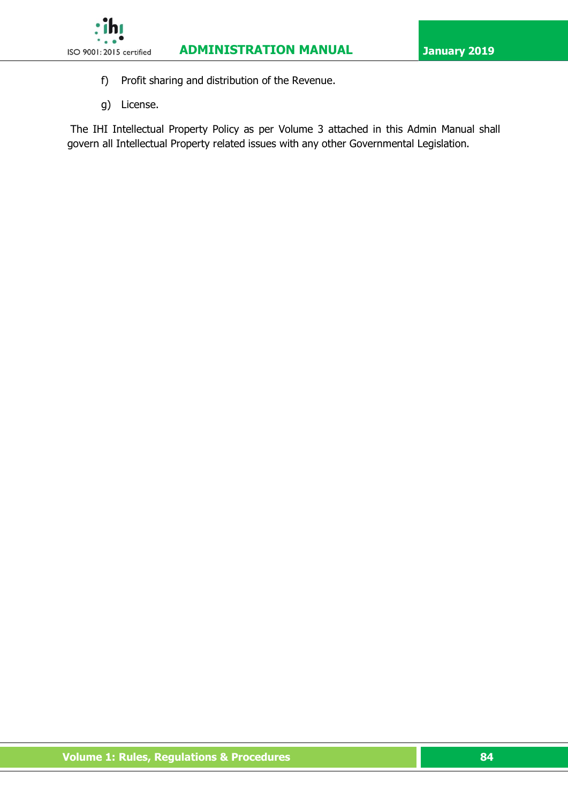

- f) Profit sharing and distribution of the Revenue.
- g) License.

The IHI Intellectual Property Policy as per Volume 3 attached in this Admin Manual shall govern all Intellectual Property related issues with any other Governmental Legislation.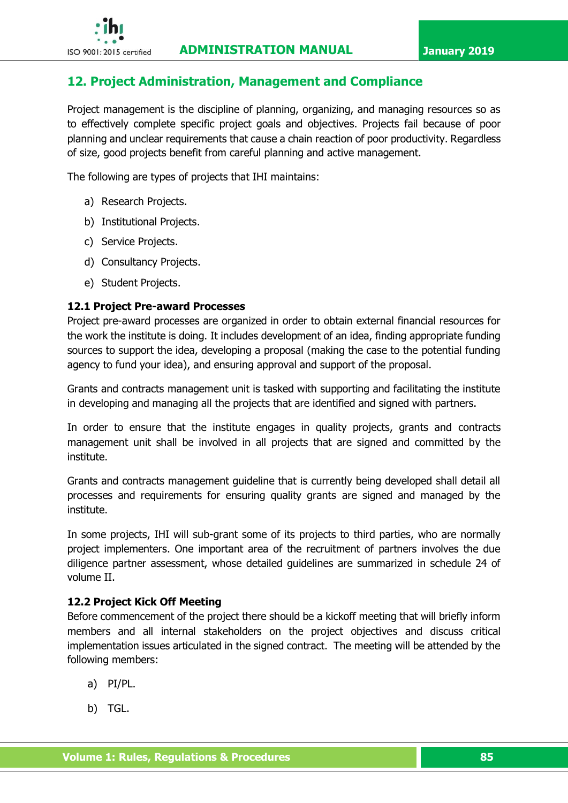# **12. Project Administration, Management and Compliance**

Project management is the discipline of planning, organizing, and managing resources so as to effectively complete specific project goals and objectives. Projects fail because of poor planning and unclear requirements that cause a chain reaction of poor productivity. Regardless of size, good projects benefit from careful planning and active management.

The following are types of projects that IHI maintains:

- a) Research Projects.
- b) Institutional Projects.
- c) Service Projects.
- d) Consultancy Projects.
- e) Student Projects.

### **12.1 Project Pre-award Processes**

Project pre-award processes are organized in order to obtain external financial resources for the work the institute is doing. It includes development of an idea, finding appropriate funding sources to support the idea, developing a proposal (making the case to the potential funding agency to fund your idea), and ensuring approval and support of the proposal.

Grants and contracts management unit is tasked with supporting and facilitating the institute in developing and managing all the projects that are identified and signed with partners.

In order to ensure that the institute engages in quality projects, grants and contracts management unit shall be involved in all projects that are signed and committed by the institute.

Grants and contracts management guideline that is currently being developed shall detail all processes and requirements for ensuring quality grants are signed and managed by the institute.

In some projects, IHI will sub-grant some of its projects to third parties, who are normally project implementers. One important area of the recruitment of partners involves the due diligence partner assessment, whose detailed guidelines are summarized in schedule 24 of volume II.

### **12.2 Project Kick Off Meeting**

Before commencement of the project there should be a kickoff meeting that will briefly inform members and all internal stakeholders on the project objectives and discuss critical implementation issues articulated in the signed contract. The meeting will be attended by the following members:

- a) PI/PL.
- b) TGL.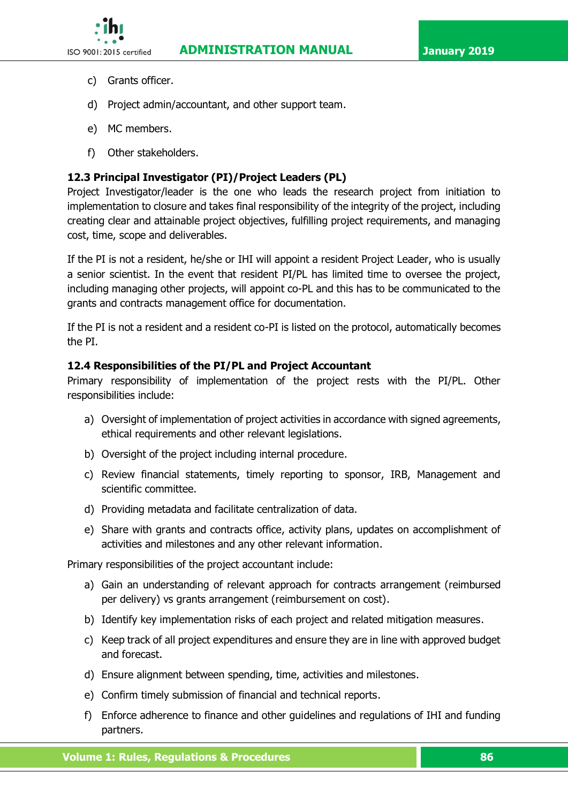- - c) Grants officer.
	- d) Project admin/accountant, and other support team.
	- e) MC members.
	- f) Other stakeholders.

# **12.3 Principal Investigator (PI)/Project Leaders (PL)**

Project Investigator/leader is the one who leads the research project from initiation to implementation to closure and takes final responsibility of the integrity of the project, including creating clear and attainable project objectives, fulfilling project requirements, and managing cost, time, scope and deliverables.

If the PI is not a resident, he/she or IHI will appoint a resident Project Leader, who is usually a senior scientist. In the event that resident PI/PL has limited time to oversee the project, including managing other projects, will appoint co-PL and this has to be communicated to the grants and contracts management office for documentation.

If the PI is not a resident and a resident co-PI is listed on the protocol, automatically becomes the PI.

# **12.4 Responsibilities of the PI/PL and Project Accountant**

Primary responsibility of implementation of the project rests with the PI/PL. Other responsibilities include:

- a) Oversight of implementation of project activities in accordance with signed agreements, ethical requirements and other relevant legislations.
- b) Oversight of the project including internal procedure.
- c) Review financial statements, timely reporting to sponsor, IRB, Management and scientific committee.
- d) Providing metadata and facilitate centralization of data.
- e) Share with grants and contracts office, activity plans, updates on accomplishment of activities and milestones and any other relevant information.

Primary responsibilities of the project accountant include:

- a) Gain an understanding of relevant approach for contracts arrangement (reimbursed per delivery) vs grants arrangement (reimbursement on cost).
- b) Identify key implementation risks of each project and related mitigation measures.
- c) Keep track of all project expenditures and ensure they are in line with approved budget and forecast.
- d) Ensure alignment between spending, time, activities and milestones.
- e) Confirm timely submission of financial and technical reports.
- f) Enforce adherence to finance and other guidelines and regulations of IHI and funding partners.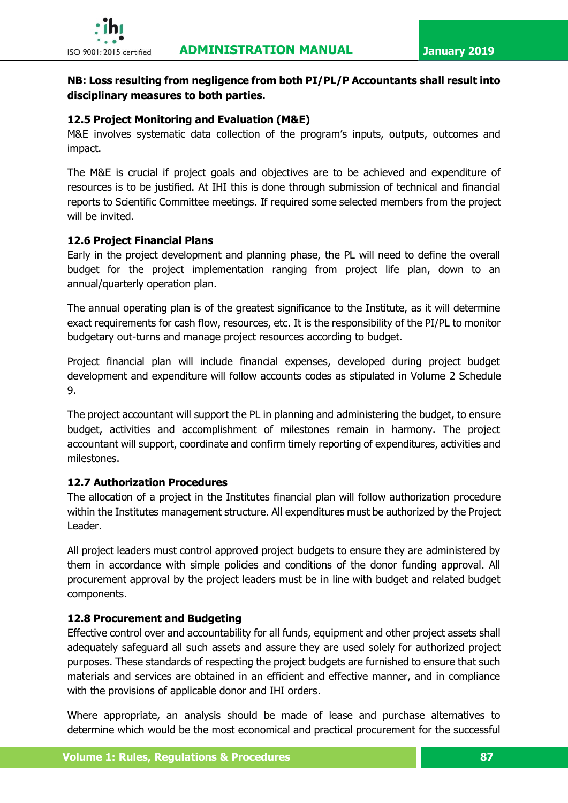

# **NB: Loss resulting from negligence from both PI/PL/P Accountants shall result into disciplinary measures to both parties.**

# **12.5 Project Monitoring and Evaluation (M&E)**

M&E involves systematic data collection of the program's inputs, outputs, outcomes and impact.

The M&E is crucial if project goals and objectives are to be achieved and expenditure of resources is to be justified. At IHI this is done through submission of technical and financial reports to Scientific Committee meetings. If required some selected members from the project will be invited.

# **12.6 Project Financial Plans**

Early in the project development and planning phase, the PL will need to define the overall budget for the project implementation ranging from project life plan, down to an annual/quarterly operation plan.

The annual operating plan is of the greatest significance to the Institute, as it will determine exact requirements for cash flow, resources, etc. It is the responsibility of the PI/PL to monitor budgetary out-turns and manage project resources according to budget.

Project financial plan will include financial expenses, developed during project budget development and expenditure will follow accounts codes as stipulated in Volume 2 Schedule 9.

The project accountant will support the PL in planning and administering the budget, to ensure budget, activities and accomplishment of milestones remain in harmony. The project accountant will support, coordinate and confirm timely reporting of expenditures, activities and milestones.

# **12.7 Authorization Procedures**

The allocation of a project in the Institutes financial plan will follow authorization procedure within the Institutes management structure. All expenditures must be authorized by the Project Leader.

All project leaders must control approved project budgets to ensure they are administered by them in accordance with simple policies and conditions of the donor funding approval. All procurement approval by the project leaders must be in line with budget and related budget components.

### **12.8 Procurement and Budgeting**

Effective control over and accountability for all funds, equipment and other project assets shall adequately safeguard all such assets and assure they are used solely for authorized project purposes. These standards of respecting the project budgets are furnished to ensure that such materials and services are obtained in an efficient and effective manner, and in compliance with the provisions of applicable donor and IHI orders.

Where appropriate, an analysis should be made of lease and purchase alternatives to determine which would be the most economical and practical procurement for the successful

 **Volume 1: Rules, Regulations & Procedures 87 87**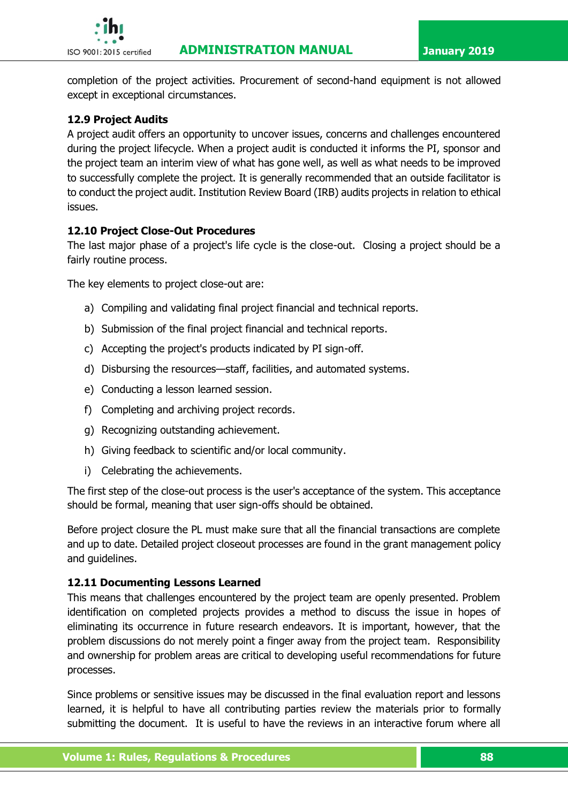

completion of the project activities. Procurement of second-hand equipment is not allowed except in exceptional circumstances.

# **12.9 Project Audits**

A project audit offers an opportunity to uncover issues, concerns and challenges encountered during the project lifecycle. When a project audit is conducted it informs the PI, sponsor and the project team an interim view of what has gone well, as well as what needs to be improved to successfully complete the project. It is generally recommended that an outside facilitator is to conduct the project audit. Institution Review Board (IRB) audits projects in relation to ethical issues.

# **12.10 Project Close-Out Procedures**

The last major phase of a project's life cycle is the close-out. Closing a project should be a fairly routine process.

The key elements to project close-out are:

- a) Compiling and validating final project financial and technical reports.
- b) Submission of the final project financial and technical reports.
- c) Accepting the project's products indicated by PI sign-off.
- d) Disbursing the resources—staff, facilities, and automated systems.
- e) Conducting a lesson learned session.
- f) Completing and archiving project records.
- g) Recognizing outstanding achievement.
- h) Giving feedback to scientific and/or local community.
- i) Celebrating the achievements.

The first step of the close-out process is the user's acceptance of the system. This acceptance should be formal, meaning that user sign-offs should be obtained.

Before project closure the PL must make sure that all the financial transactions are complete and up to date. Detailed project closeout processes are found in the grant management policy and guidelines.

# **12.11 Documenting Lessons Learned**

This means that challenges encountered by the project team are openly presented. Problem identification on completed projects provides a method to discuss the issue in hopes of eliminating its occurrence in future research endeavors. It is important, however, that the problem discussions do not merely point a finger away from the project team. Responsibility and ownership for problem areas are critical to developing useful recommendations for future processes.

Since problems or sensitive issues may be discussed in the final evaluation report and lessons learned, it is helpful to have all contributing parties review the materials prior to formally submitting the document. It is useful to have the reviews in an interactive forum where all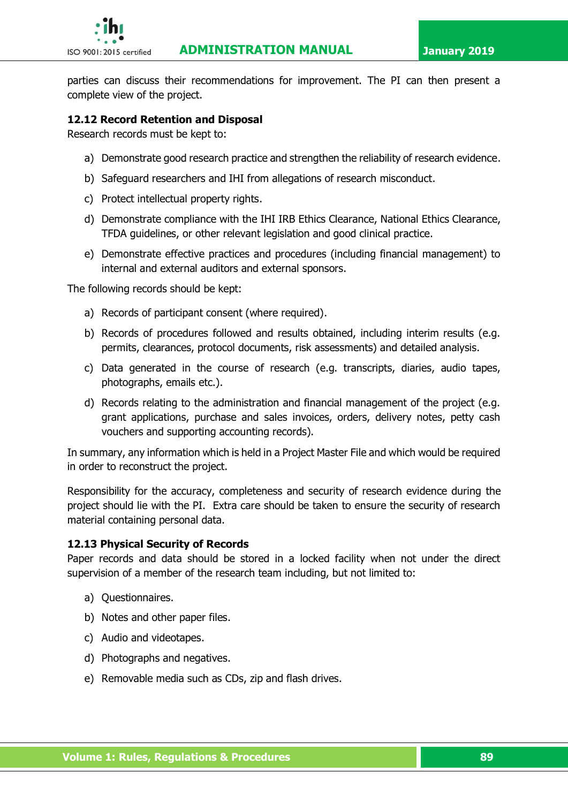

parties can discuss their recommendations for improvement. The PI can then present a complete view of the project.

### **12.12 Record Retention and Disposal**

Research records must be kept to:

- a) Demonstrate good research practice and strengthen the reliability of research evidence.
- b) Safeguard researchers and IHI from allegations of research misconduct.
- c) Protect intellectual property rights.
- d) Demonstrate compliance with the IHI IRB Ethics Clearance, National Ethics Clearance, TFDA guidelines, or other relevant legislation and good clinical practice.
- e) Demonstrate effective practices and procedures (including financial management) to internal and external auditors and external sponsors.

The following records should be kept:

- a) Records of participant consent (where required).
- b) Records of procedures followed and results obtained, including interim results (e.g. permits, clearances, protocol documents, risk assessments) and detailed analysis.
- c) Data generated in the course of research (e.g. transcripts, diaries, audio tapes, photographs, emails etc.).
- d) Records relating to the administration and financial management of the project (e.g. grant applications, purchase and sales invoices, orders, delivery notes, petty cash vouchers and supporting accounting records).

In summary, any information which is held in a Project Master File and which would be required in order to reconstruct the project.

Responsibility for the accuracy, completeness and security of research evidence during the project should lie with the PI. Extra care should be taken to ensure the security of research material containing personal data.

### **12.13 Physical Security of Records**

Paper records and data should be stored in a locked facility when not under the direct supervision of a member of the research team including, but not limited to:

- a) Questionnaires.
- b) Notes and other paper files.
- c) Audio and videotapes.
- d) Photographs and negatives.
- e) Removable media such as CDs, zip and flash drives.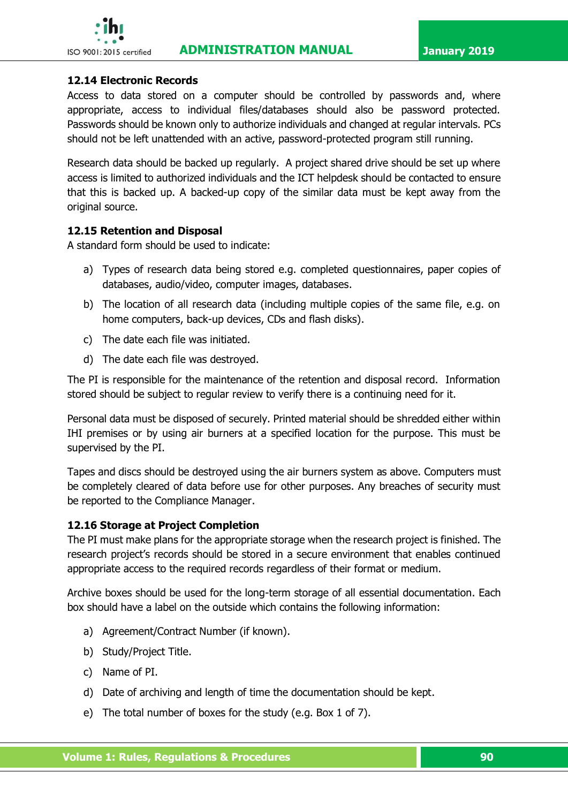

### **12.14 Electronic Records**

Access to data stored on a computer should be controlled by passwords and, where appropriate, access to individual files/databases should also be password protected. Passwords should be known only to authorize individuals and changed at regular intervals. PCs should not be left unattended with an active, password-protected program still running.

Research data should be backed up regularly. A project shared drive should be set up where access is limited to authorized individuals and the ICT helpdesk should be contacted to ensure that this is backed up. A backed-up copy of the similar data must be kept away from the original source.

### **12.15 Retention and Disposal**

A standard form should be used to indicate:

- a) Types of research data being stored e.g. completed questionnaires, paper copies of databases, audio/video, computer images, databases.
- b) The location of all research data (including multiple copies of the same file, e.g. on home computers, back-up devices, CDs and flash disks).
- c) The date each file was initiated.
- d) The date each file was destroyed.

The PI is responsible for the maintenance of the retention and disposal record. Information stored should be subject to regular review to verify there is a continuing need for it.

Personal data must be disposed of securely. Printed material should be shredded either within IHI premises or by using air burners at a specified location for the purpose. This must be supervised by the PI.

Tapes and discs should be destroyed using the air burners system as above. Computers must be completely cleared of data before use for other purposes. Any breaches of security must be reported to the Compliance Manager.

### **12.16 Storage at Project Completion**

The PI must make plans for the appropriate storage when the research project is finished. The research project's records should be stored in a secure environment that enables continued appropriate access to the required records regardless of their format or medium.

Archive boxes should be used for the long-term storage of all essential documentation. Each box should have a label on the outside which contains the following information:

- a) Agreement/Contract Number (if known).
- b) Study/Project Title.
- c) Name of PI.
- d) Date of archiving and length of time the documentation should be kept.
- e) The total number of boxes for the study (e.g. Box 1 of 7).